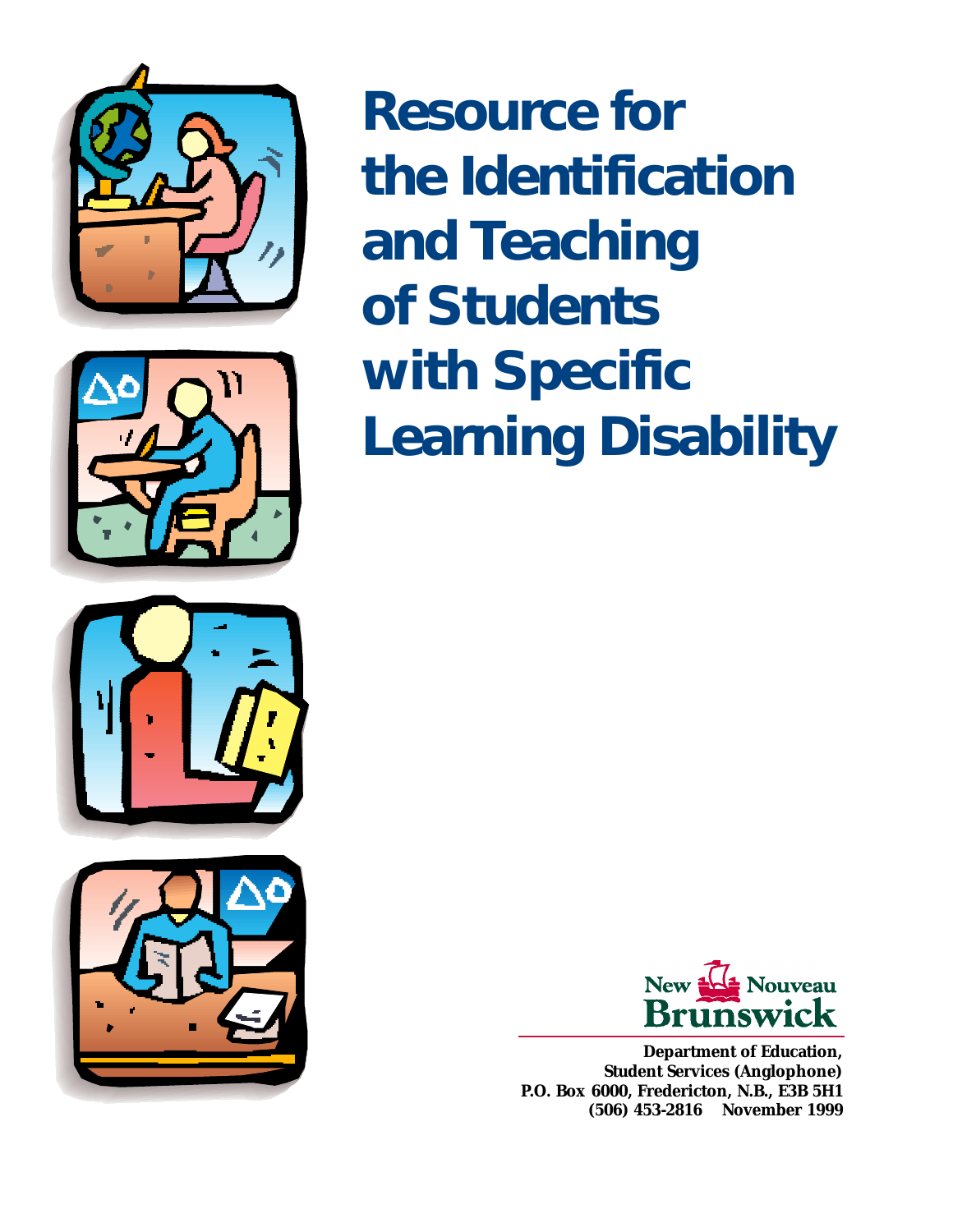







**Resource for the Identification and Teaching of Students with Specific Learning Disability**



**Department of Education, Student Services (Anglophone) P.O. Box 6000, Fredericton, N.B., E3B 5H1 (506) 453-2816 November 1999**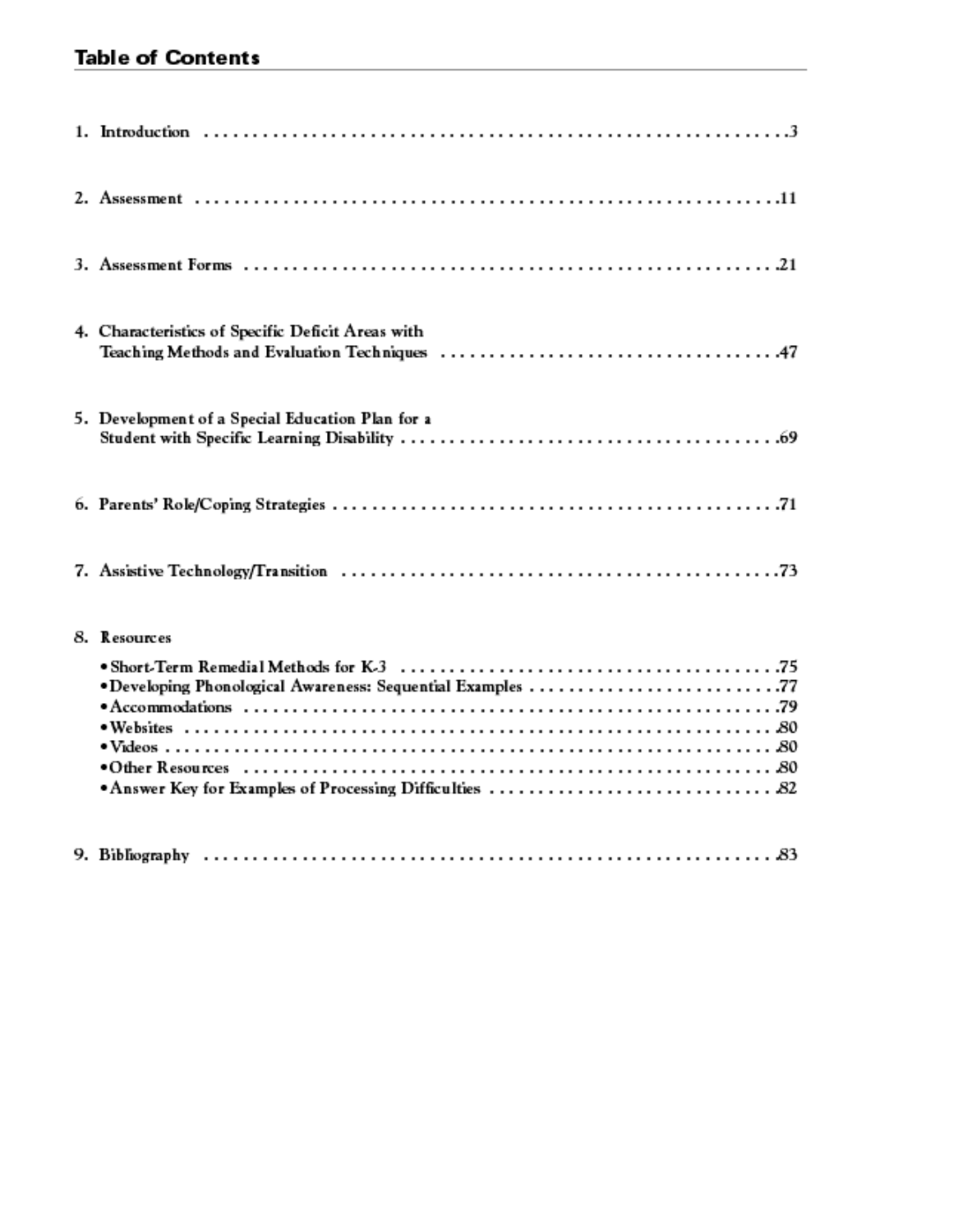# **Table of Contents**

| 4. Characteristics of Specific Deficit Areas with |
|---------------------------------------------------|
| 5. Development of a Special Education Plan for a  |
|                                                   |
|                                                   |
| 8. Resources                                      |
|                                                   |
|                                                   |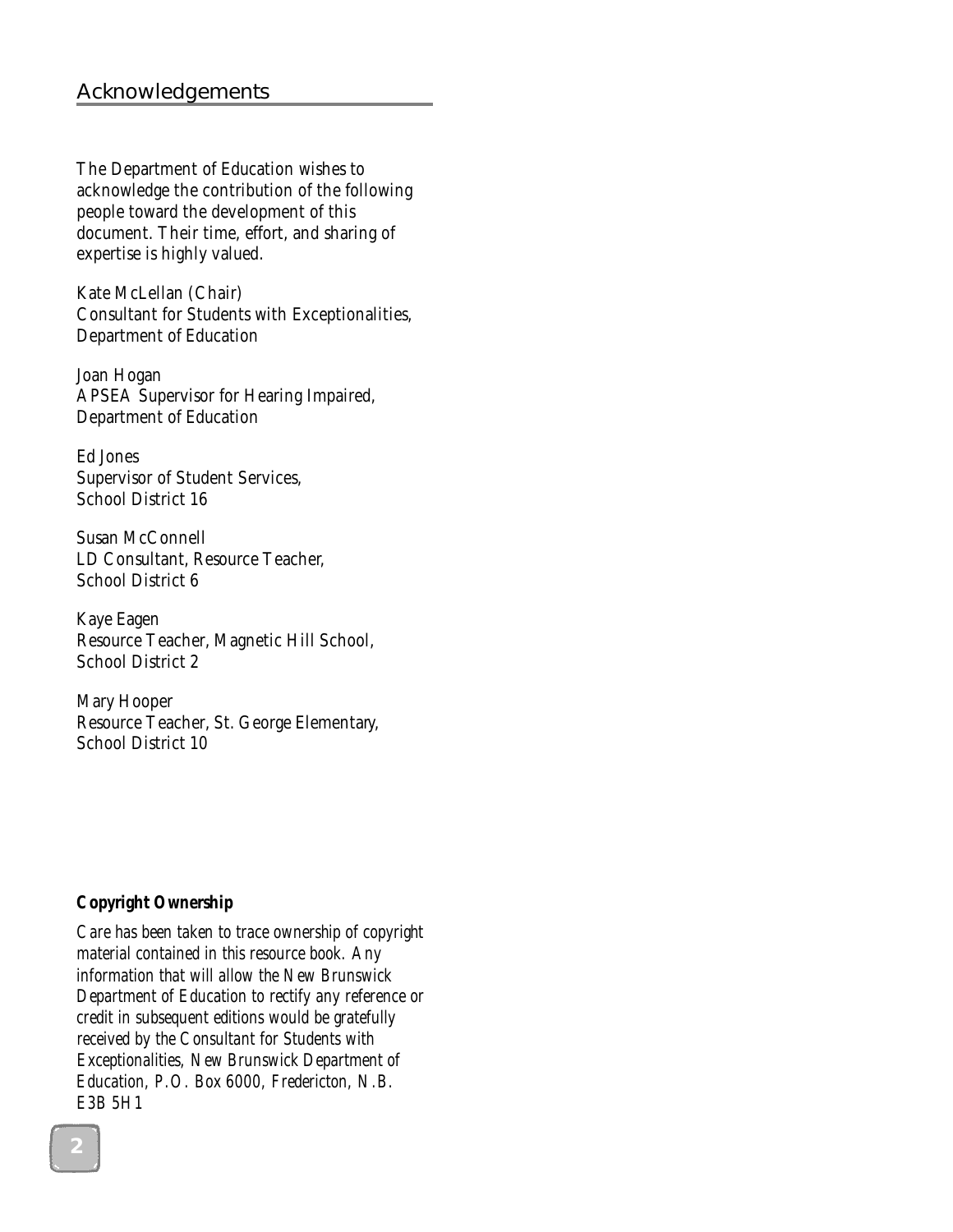#### Acknowledgements

The Department of Education wishes to acknowledge the contribution of the following people toward the development of this document. Their time, effort, and sharing of expertise is highly valued.

Kate McLellan (Chair) Consultant for Students with Exceptionalities, Department of Education

Joan Hogan APSEA Supervisor for Hearing Impaired, Department of Education

Ed Jones Supervisor of Student Services, School District 16

Susan McConnell LD Consultant, Resource Teacher, School District 6

Kaye Eagen Resource Teacher, Magnetic Hill School, School District 2

Mary Hooper Resource Teacher, St. George Elementary, School District 10

#### **Copyright Ownership**

*Care has been taken to trace ownership of copyright material contained in this resource book. Any information that will allow the New Brunswick Department of Education to rectify any reference or credit in subsequent editions would be gratefully received by the Consultant for Students with Exceptionalities, New Brunswick Department of Education, P.O. Box 6000, Fredericton, N.B. E3B 5H1*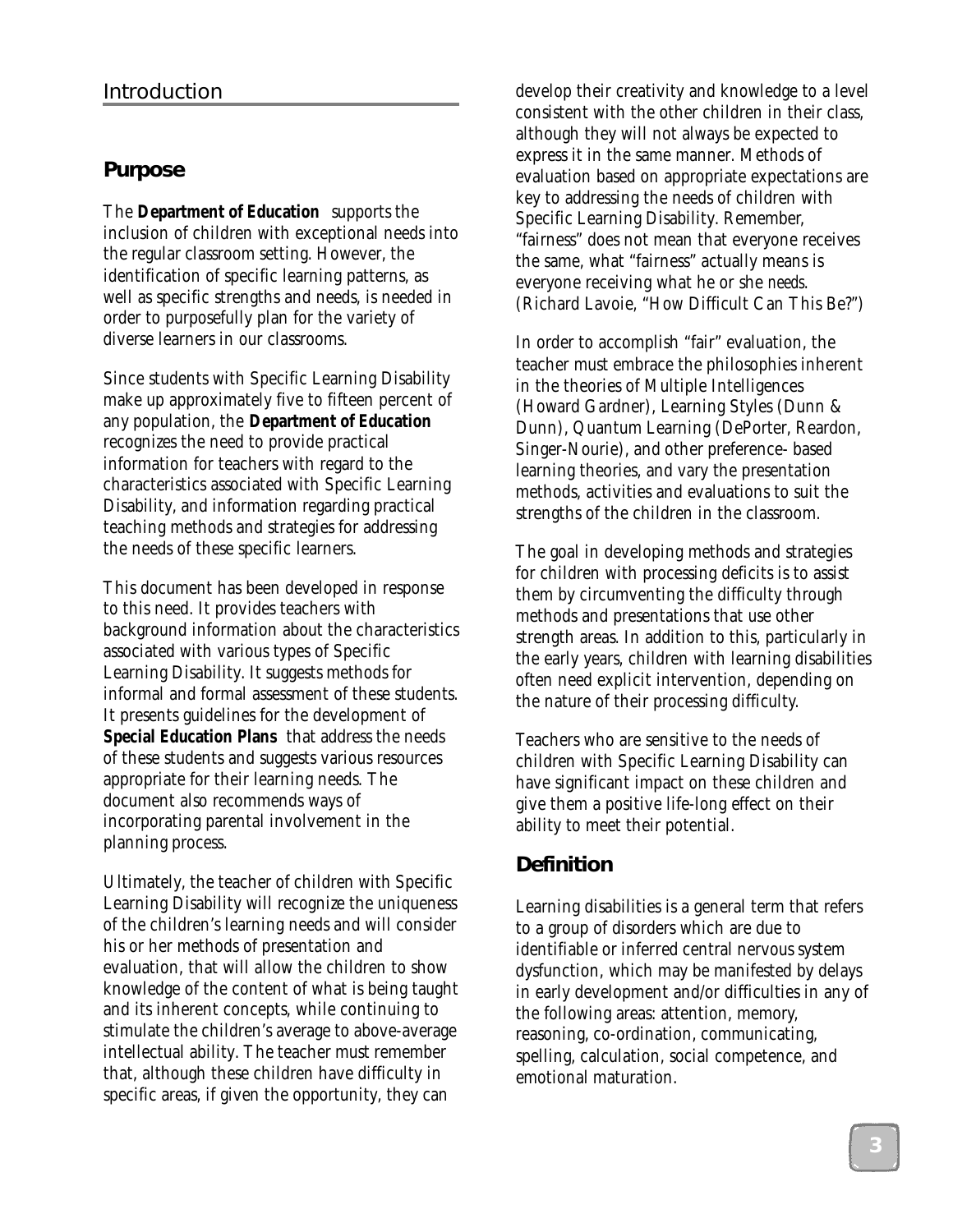### **Purpose**

The **Department of Education** supports the inclusion of children with exceptional needs into the regular classroom setting. However, the identification of specific learning patterns, as well as specific strengths and needs, is needed in order to purposefully plan for the variety of diverse learners in our classrooms.

Since students with Specific Learning Disability make up approximately five to fifteen percent of any population, the **Department of Education** recognizes the need to provide practical information for teachers with regard to the characteristics associated with Specific Learning Disability, and information regarding practical teaching methods and strategies for addressing the needs of these specific learners.

This document has been developed in response to this need. It provides teachers with background information about the characteristics associated with various types of Specific Learning Disability. It suggests methods for informal and formal assessment of these students. It presents guidelines for the development of **Special Education Plans** that address the needs of these students and suggests various resources appropriate for their learning needs. The document also recommends ways of incorporating parental involvement in the planning process.

Ultimately, the teacher of children with Specific Learning Disability will recognize the uniqueness of the children's learning needs and will consider his or her methods of presentation and evaluation, that will allow the children to show knowledge of the content of what is being taught and its inherent concepts, while continuing to stimulate the children's average to above-average intellectual ability. The teacher must remember that, although these children have difficulty in specific areas, if given the opportunity, they can

develop their creativity and knowledge to a level consistent with the other children in their class, although they will not always be expected to express it in the same manner. Methods of evaluation based on appropriate expectations are key to addressing the needs of children with Specific Learning Disability. Remember, "fairness" does not mean that everyone receives the same, what "fairness" actually means is everyone receiving what he or she *needs*. (Richard Lavoie, "How Difficult Can This Be?")

In order to accomplish "fair" evaluation, the teacher must embrace the philosophies inherent in the theories of Multiple Intelligences (Howard Gardner), Learning Styles (Dunn & Dunn), Quantum Learning (DePorter, Reardon, Singer-Nourie), and other preference- based learning theories, and vary the presentation methods, activities and evaluations to suit the strengths of the children in the classroom.

The goal in developing methods and strategies for children with processing deficits is to assist them by circumventing the difficulty through methods and presentations that use other strength areas. In addition to this, particularly in the early years, children with learning disabilities often need explicit intervention, depending on the nature of their processing difficulty.

Teachers who are sensitive to the needs of children with Specific Learning Disability can have significant impact on these children and give them a positive life-long effect on their ability to meet their potential.

### **Definition**

Learning disabilities is a general term that refers to a group of disorders which are due to identifiable or inferred central nervous system dysfunction, which may be manifested by delays in early development and/or difficulties in any of the following areas: attention, memory, reasoning, co-ordination, communicating, spelling, calculation, social competence, and emotional maturation.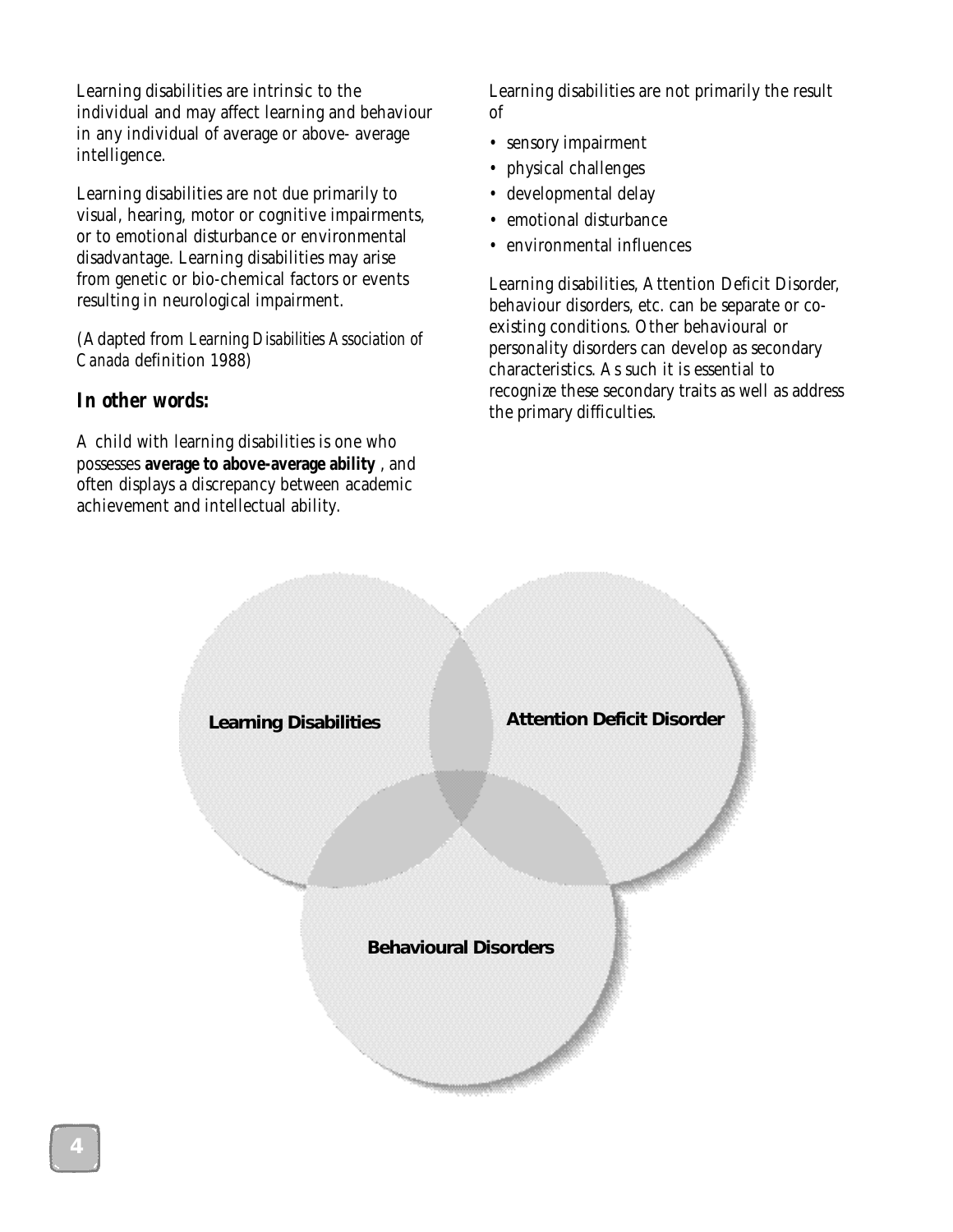Learning disabilities are intrinsic to the individual and may affect learning and behaviour in any individual of average or above- average intelligence.

Learning disabilities are not due primarily to visual, hearing, motor or cognitive impairments, or to emotional disturbance or environmental disadvantage. Learning disabilities may arise from genetic or bio-chemical factors or events resulting in neurological impairment.

(Adapted from *Learning Disabilities Association of Canada* definition 1988)

### *In other words:*

A child with learning disabilities is one who possesses **average to above-average ability** , and often displays a discrepancy between academic achievement and intellectual ability.

Learning disabilities are not primarily the result of

- sensory impairment
- physical challenges
- developmental delay
- emotional disturbance
- environmental influences

Learning disabilities, Attention Deficit Disorder, behaviour disorders, etc. can be separate or coexisting conditions. Other behavioural or personality disorders can develop as secondary characteristics. As such it is essential to recognize these secondary traits as well as address the primary difficulties.

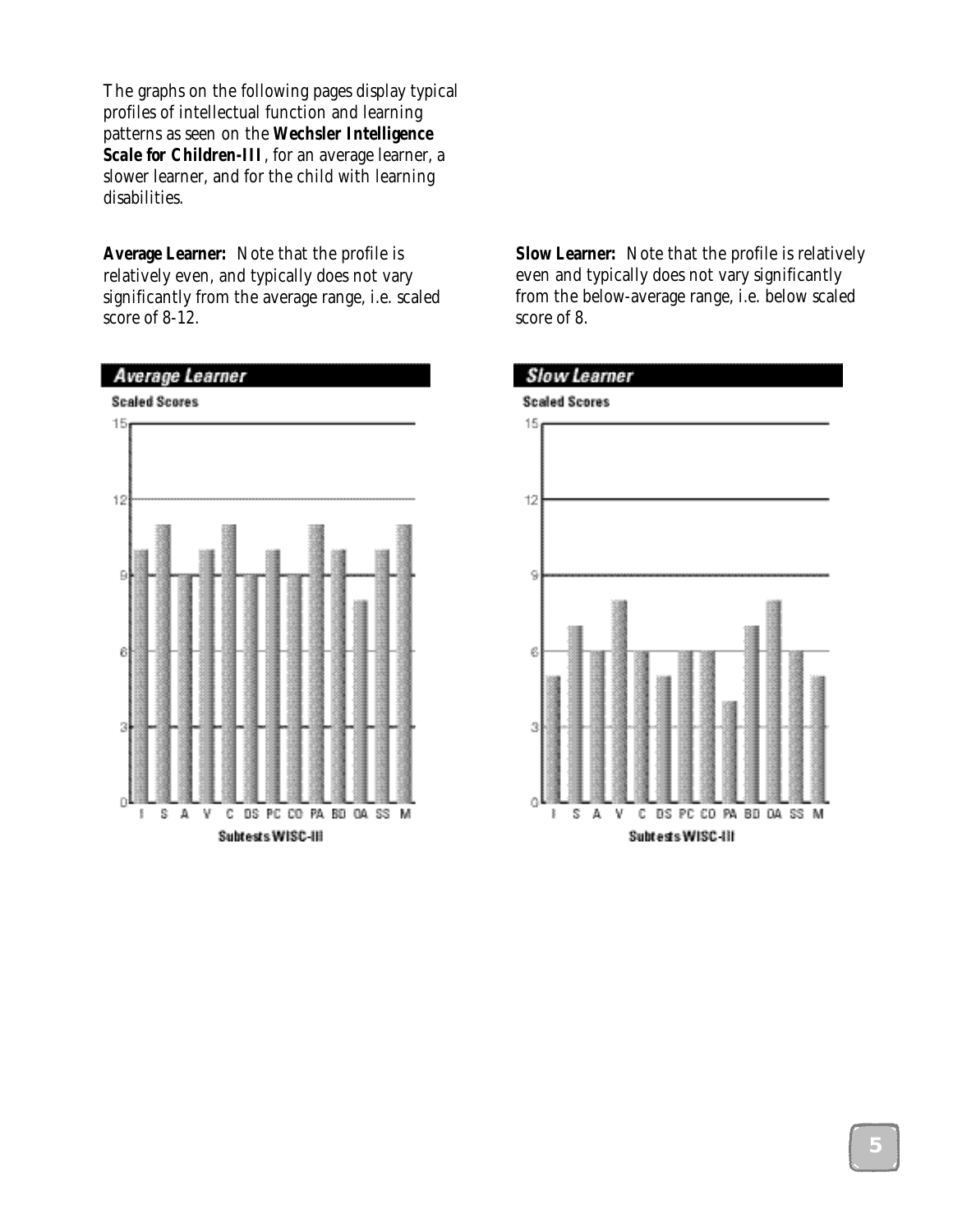The graphs on the following pages display typical profiles of intellectual function and learning patterns as seen on the *Wechsler Intelligence Scale for Children-III*, for an average learner, a slower learner, and for the child with learning disabilities.

**Average Learner:** Note that the profile is relatively even, and typically does not vary significantly from the average range, i.e. scaled score of 8-12.



**Slow Learner:** Note that the profile is relatively even and typically does not vary significantly from the below-average range, i.e. below scaled score of 8.

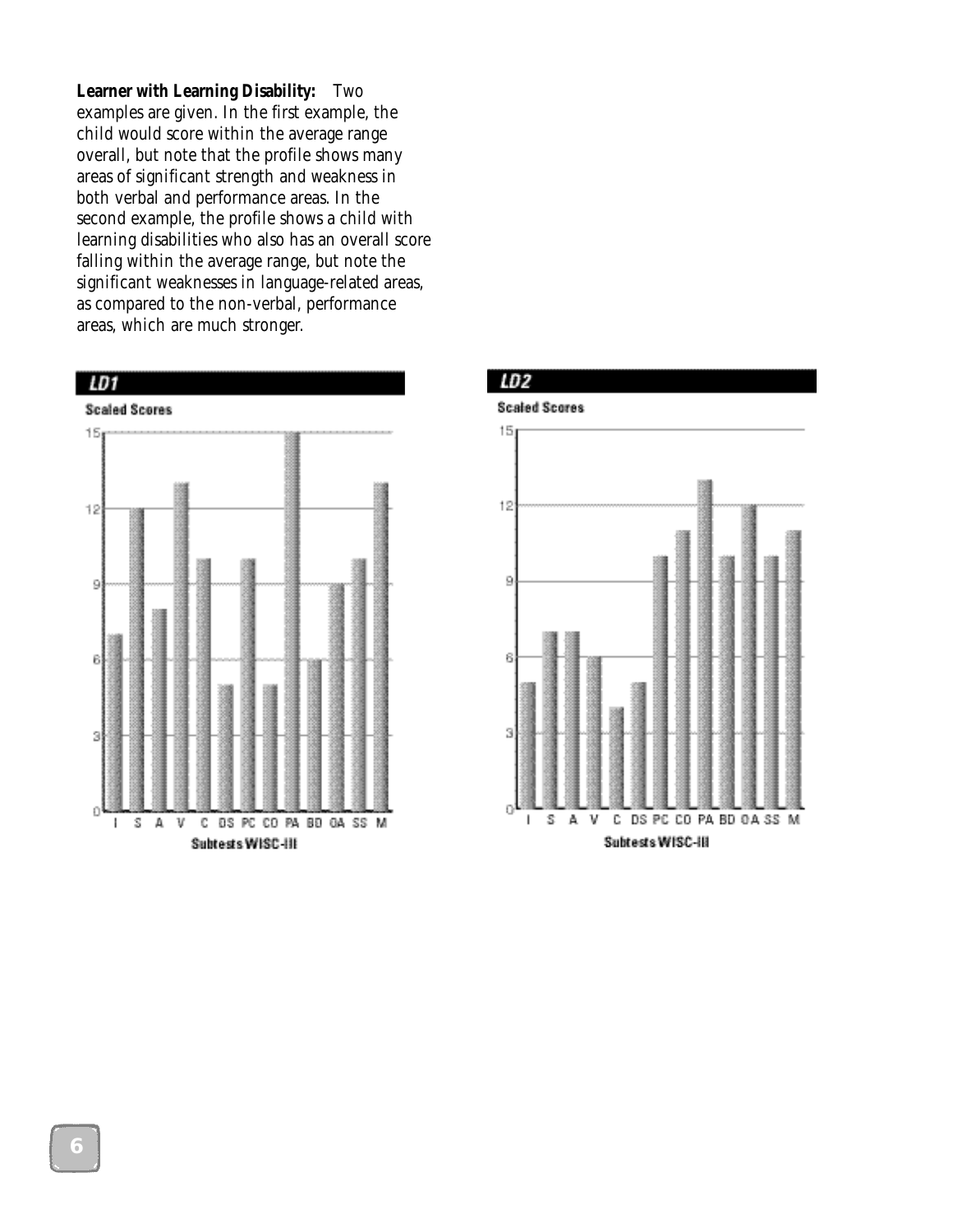**Learner with Learning Disability:** Two examples are given. In the first example, the child would score within the average range overall, but note that the profile shows many areas of significant strength and weakness in both verbal and performance areas. In the second example, the profile shows a child with learning disabilities who also has an overall score falling within the average range, but note the significant weaknesses in language-related areas, as compared to the non-verbal, performance areas, which are much stronger.





**Scaled Scores** 

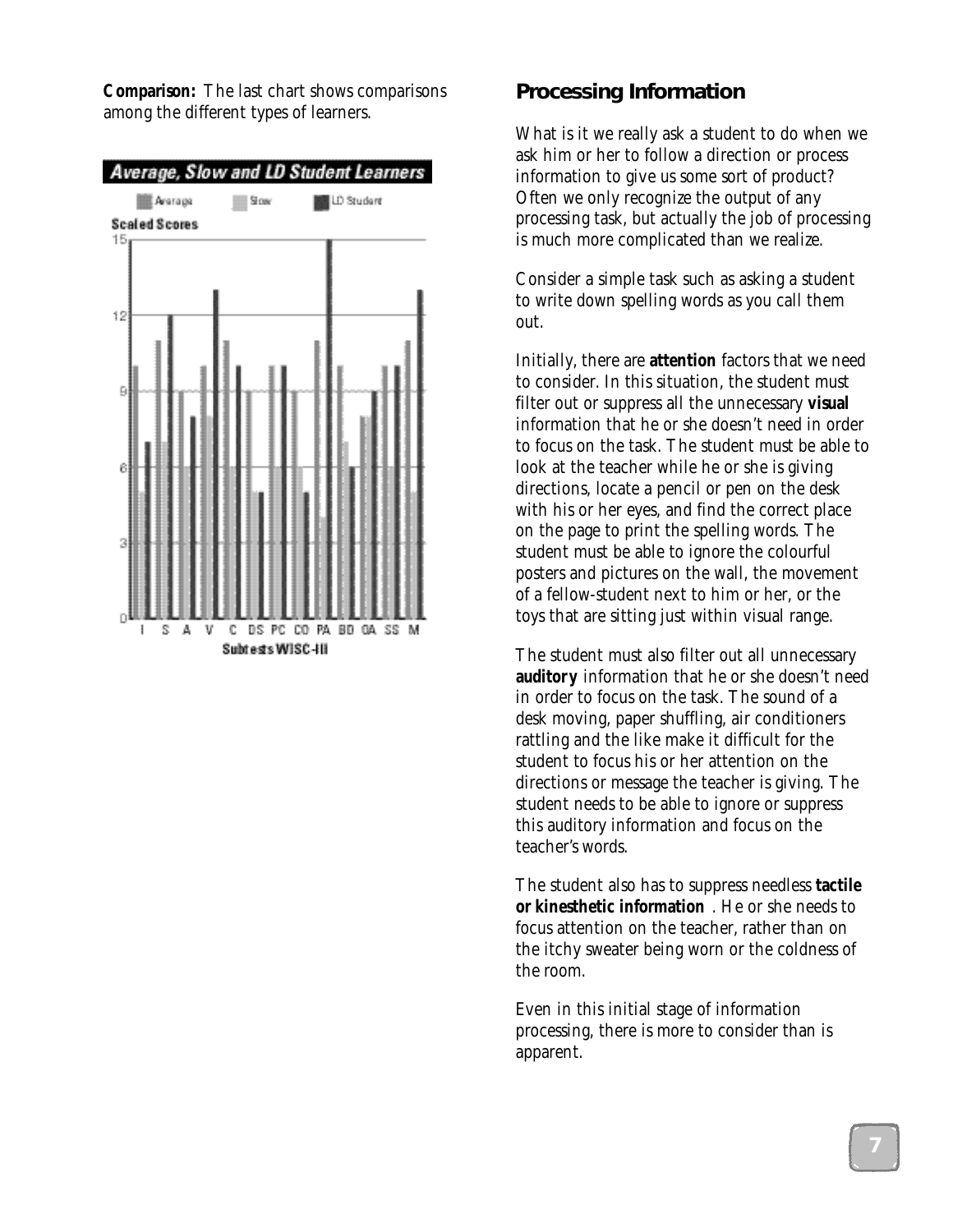**Comparison:** The last chart shows comparisons among the different types of learners.



### **Processing Information**

What is it we really ask a student to do when we ask him or her to follow a direction or process information to give us some sort of product? Often we only recognize the output of any processing task, but actually the job of processing is much more complicated than we realize.

Consider a simple task such as asking a student to write down spelling words as you call them out.

Initially, there are **attention** factors that we need to consider. In this situation, the student must filter out or suppress all the unnecessary **visual** information that he or she doesn't need in order to focus on the task. The student must be able to look at the teacher while he or she is giving directions, locate a pencil or pen on the desk with his or her eyes, and find the correct place on the page to print the spelling words. The student must be able to ignore the colourful posters and pictures on the wall, the movement of a fellow-student next to him or her, or the toys that are sitting just within visual range.

The student must also filter out all unnecessary **auditor y** information that he or she doesn't need in order to focus on the task. The sound of a desk moving, paper shuffling, air conditioners rattling and the like make it difficult for the student to focus his or her attention on the directions or message the teacher is giving. The student needs to be able to ignore or suppress this auditory information and focus on the teacher's words.

The student also has to suppress needless **tactile or kinesthetic information** . He or she needs to focus attention on the teacher, rather than on the itchy sweater being worn or the coldness of the room.

Even in this initial stage of information processing, there is more to consider than is apparent.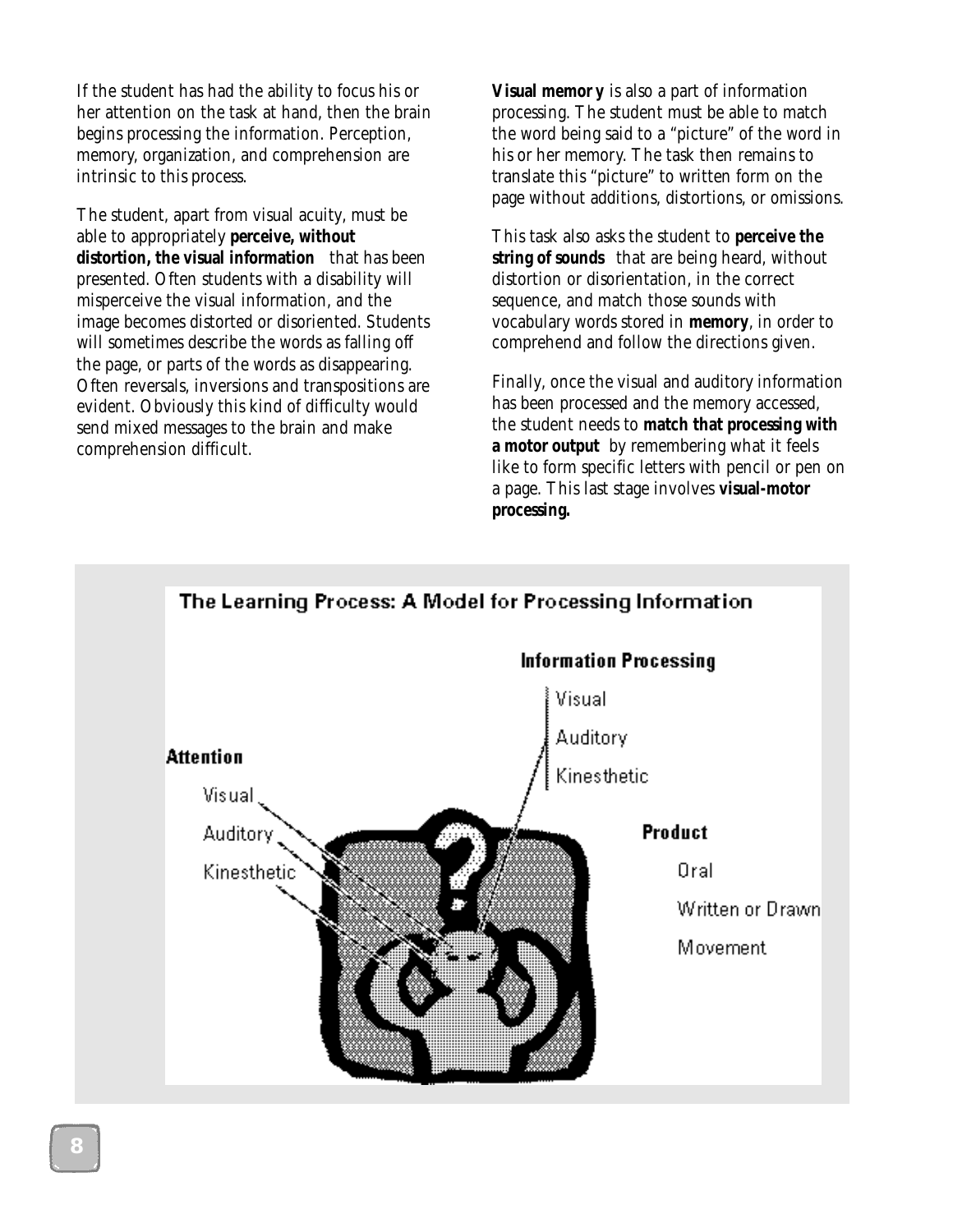If the student has had the ability to focus his or her attention on the task at hand, then the brain begins processing the information. Perception, memory, organization, and comprehension are intrinsic to this process.

The student, apart from visual acuity, must be able to appropriately **perceive, without distortion, the visual information** that has been presented. Often students with a disability will misperceive the visual information, and the image becomes distorted or disoriented. Students will sometimes describe the words as falling off the page, or parts of the words as disappearing. Often reversals, inversions and transpositions are evident. Obviously this kind of difficulty would send mixed messages to the brain and make comprehension difficult.

**Visual memor y** is also a part of information processing. The student must be able to match the word being said to a "picture" of the word in his or her memory. The task then remains to translate this "picture" to written form on the page without additions, distortions, or omissions.

This task also asks the student to **perceive the string of sounds** that are being heard, without distortion or disorientation, in the correct sequence, and match those sounds with vocabulary words stored in **memory**, in order to comprehend and follow the directions given.

Finally, once the visual and auditory information has been processed and the memory accessed, the student needs to **match that processing with a motor output** by remembering what it feels like to form specific letters with pencil or pen on a page. This last stage involves **visual-motor processing.**

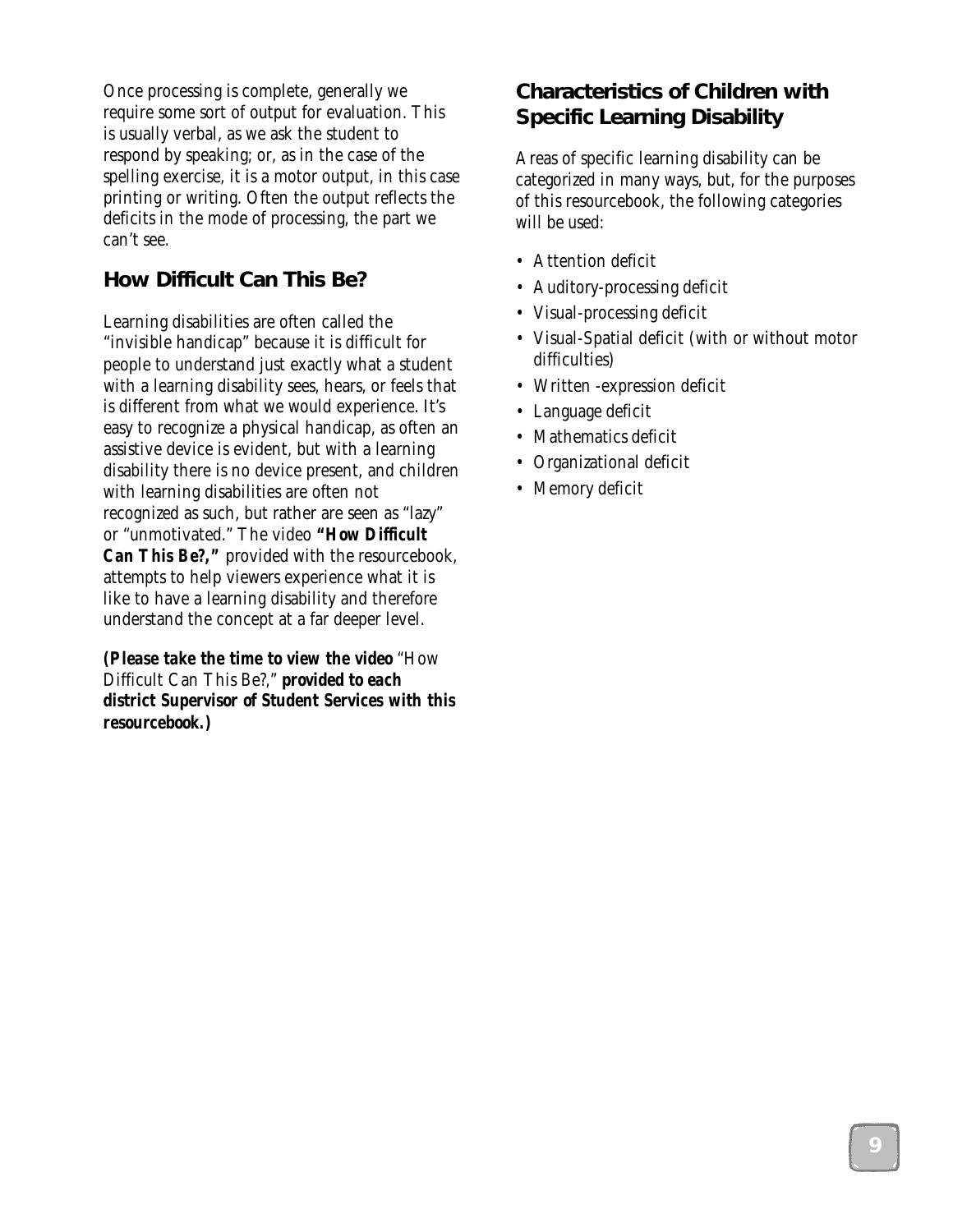Once processing is complete, generally we require some sort of output for evaluation. This is usually verbal, as we ask the student to respond by speaking; or, as in the case of the spelling exercise, it is a motor output, in this case printing or writing. Often the output reflects the deficits in the mode of processing, the part we can't see.

# **How Difficult Can This Be?**

Learning disabilities are often called the "invisible handicap" because it is difficult for people to understand just exactly what a student with a learning disability sees, hears, or feels that is different from what we would experience. It's easy to recognize a physical handicap, as often an assistive device is evident, but with a learning disability there is no device present, and children with learning disabilities are often not recognized as such, but rather are seen as "lazy" or "unmotivated." The video *"How Difficult Can This Be?,"* provided with the resourcebook, attempts to help viewers experience what it is like to have a learning disability and therefore understand the concept at a far deeper level.

*(Please take the time to view the video* "How Difficult Can This Be?," *provided to each district Supervisor of Student Services with this resourcebook.)*

# **Characteristics of Children with Specific Learning Disability**

Areas of specific learning disability can be categorized in many ways, but, for the purposes of this resourcebook, the following categories will be used:

- Attention deficit
- Auditory-processing deficit
- Visual-processing deficit
- Visual-Spatial deficit (with or without motor difficulties)
- Written -expression deficit
- Language deficit
- Mathematics deficit
- Organizational deficit
- Memory deficit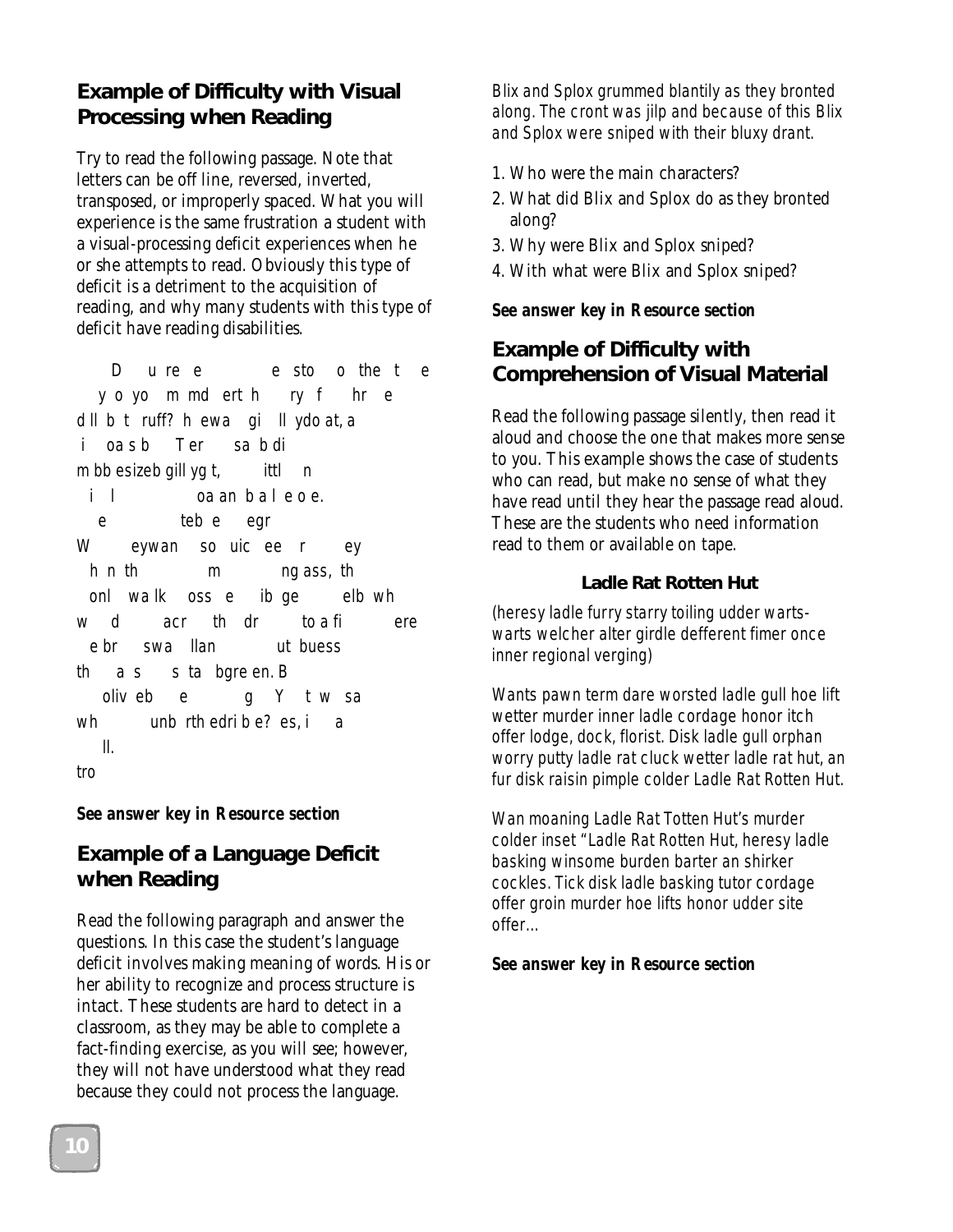# **Example of Difficulty with Visual Processing when Reading**

Try to read the following passage. Note that letters can be off line, reversed, inverted, transposed, or improperly spaced. What you will experience is the same frustration a student with a visual-processing deficit experiences when he or she attempts to read. Obviously this type of deficit is a detriment to the acquisition of reading, and why many students with this type of deficit have reading disabilities.

D u re e e sto o the t e y o yo m md ert h ry f hr e d ll b t ruff? h ewa gi ll ydo at, a i oa sb Ter sa b di m bb esizeb gill yg t, ittl n i l oa an b a l e o e. e teb e egr W eywan so uic ee r ey h n th m m ng ass, th onl wa lk oss e ib ge elb wh w d acr th dr to a fi ere e br swa llan ut buess th a s s ta bgre en. B oliv eb e g Y t w sa wh unb rth edribe? es, i a ll. tro

*See answer key in Resource section*

# **Example of a Language Deficit when Reading**

Read the following paragraph and answer the questions. In this case the student's language deficit involves making meaning of words. His or her ability to recognize and process structure is intact. These students are hard to detect in a classroom, as they may be able to complete a fact-finding exercise, as you will see; however, they will not have understood what they read because they could not process the language.

Blix and Splox grummed blantily as they bronted along. The cront was jilp and because of this Blix and Splox were sniped with their bluxy drant.

- 1. Who were the main characters?
- 2. What did Blix and Splox do as they bronted along?
- 3. Why were Blix and Splox sniped?
- 4. With what were Blix and Splox sniped?

*See answer key in Resource section*

# **Example of Difficulty with Comprehension of Visual Material**

Read the following passage silently, then read it aloud and choose the one that makes more sense to you. This example shows the case of students who can read, but make no sense of what they have read until they hear the passage read aloud. These are the students who need information read to them or available on tape.

### *Ladle Rat Rotten Hut*

(heresy ladle furry starry toiling udder wartswarts welcher alter girdle defferent fimer once inner regional verging)

Wants pawn term dare worsted ladle gull hoe lift wetter murder inner ladle cordage honor itch offer lodge, dock, florist. Disk ladle gull orphan worry putty ladle rat cluck wetter ladle rat hut, an fur disk raisin pimple colder Ladle Rat Rotten Hut.

Wan moaning Ladle Rat Totten Hut's murder colder inset "Ladle Rat Rotten Hut, heresy ladle basking winsome burden barter an shirker cockles. Tick disk ladle basking tutor cordage offer groin murder hoe lifts honor udder site offer…

#### *See answer key in Resource section*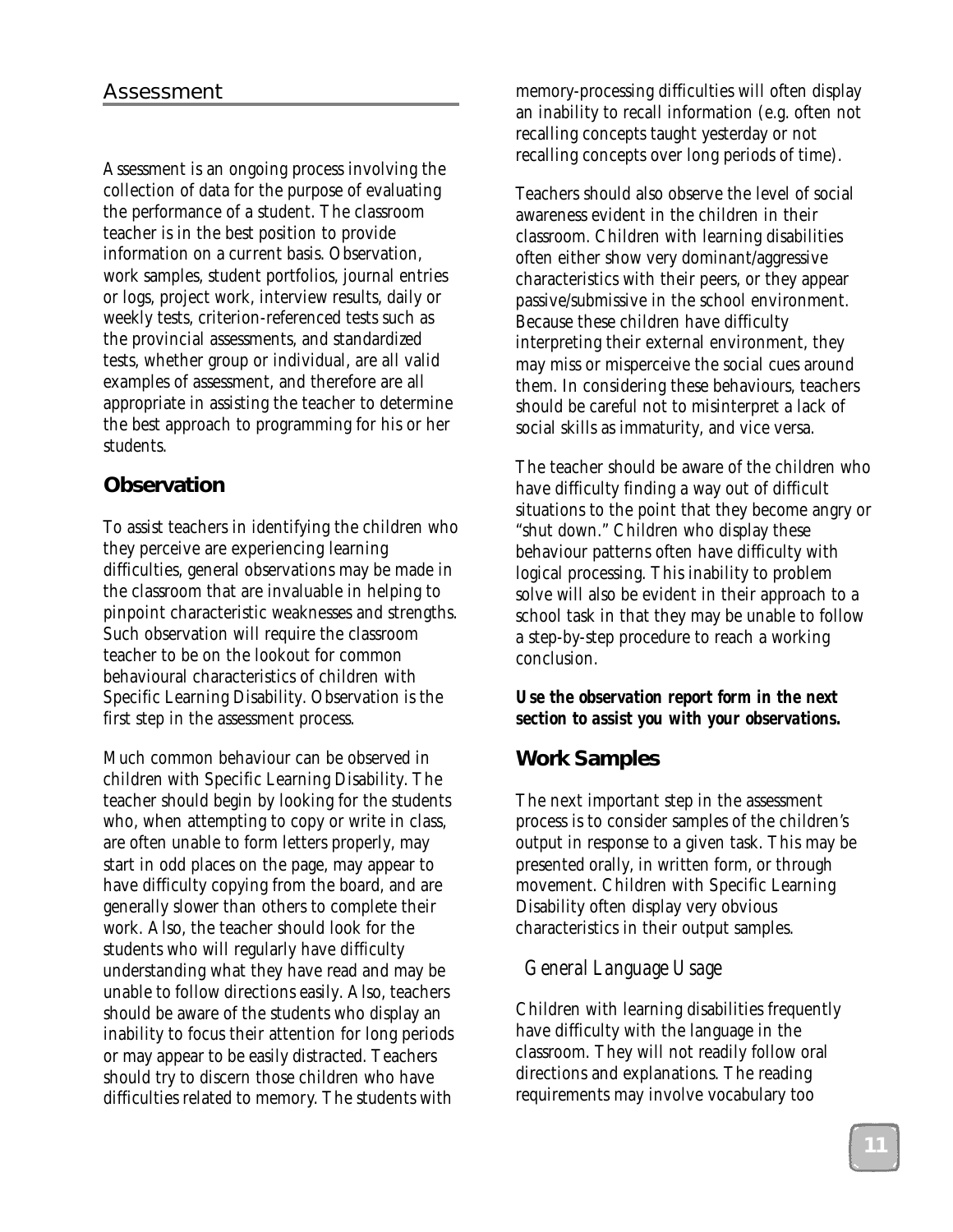Assessment is an ongoing process involving the collection of data for the purpose of evaluating the performance of a student. The classroom teacher is in the best position to provide information on a current basis. Observation, work samples, student portfolios, journal entries or logs, project work, interview results, daily or weekly tests, criterion-referenced tests such as the provincial assessments, and standardized tests, whether group or individual, are all valid examples of assessment, and therefore are all appropriate in assisting the teacher to determine the best approach to programming for his or her students.

# **Observation**

To assist teachers in identifying the children who they perceive are experiencing learning difficulties, general observations may be made in the classroom that are invaluable in helping to pinpoint characteristic weaknesses and strengths. Such observation will require the classroom teacher to be on the lookout for common behavioural characteristics of children with Specific Learning Disability. Observation is the first step in the assessment process.

Much common behaviour can be observed in children with Specific Learning Disability. The teacher should begin by looking for the students who, when attempting to copy or write in class, are often unable to form letters properly, may start in odd places on the page, may appear to have difficulty copying from the board, and are generally slower than others to complete their work. Also, the teacher should look for the students who will regularly have difficulty understanding what they have read and may be unable to follow directions easily. Also, teachers should be aware of the students who display an inability to focus their attention for long periods or may appear to be easily distracted. Teachers should try to discern those children who have difficulties related to memory. The students with

memory-processing difficulties will often display an inability to recall information (e.g. often not recalling concepts taught yesterday or not recalling concepts over long periods of time).

Teachers should also observe the level of social awareness evident in the children in their classroom. Children with learning disabilities often either show very dominant/aggressive characteristics with their peers, or they appear passive/submissive in the school environment. Because these children have difficulty interpreting their external environment, they may miss or misperceive the social cues around them. In considering these behaviours, teachers should be careful not to misinterpret a lack of social skills as immaturity, and vice versa.

The teacher should be aware of the children who have difficulty finding a way out of difficult situations to the point that they become angry or "shut down." Children who display these behaviour patterns often have difficulty with logical processing. This inability to problem solve will also be evident in their approach to a school task in that they may be unable to follow a step-by-step procedure to reach a working conclusion.

*Use the observation report form in the next section to assist you with your observations.*

### **Work Samples**

The next important step in the assessment process is to consider samples of the children's output in response to a given task. This may be presented orally, in written form, or through movement. Children with Specific Learning Disability often display very obvious characteristics in their output samples.

### *General Language Usage*

Children with learning disabilities frequently have difficulty with the language in the classroom. They will not readily follow oral directions and explanations. The reading requirements may involve vocabulary too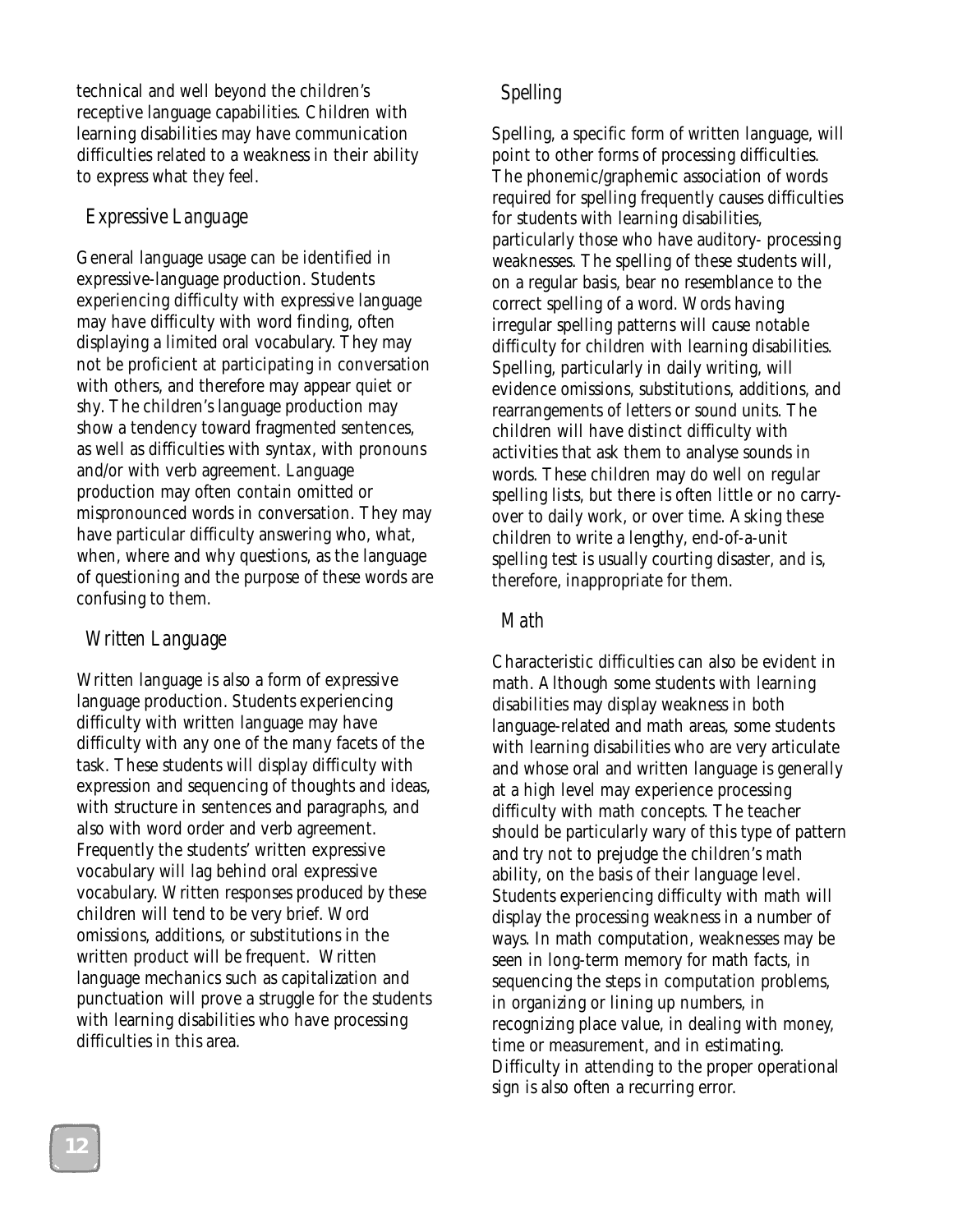technical and well beyond the children's receptive language capabilities. Children with learning disabilities may have communication difficulties related to a weakness in their ability to express what they feel.

### *Expressive Language*

General language usage can be identified in expressive-language production. Students experiencing difficulty with expressive language may have difficulty with word finding, often displaying a limited oral vocabulary. They may not be proficient at participating in conversation with others, and therefore may appear quiet or shy. The children's language production may show a tendency toward fragmented sentences, as well as difficulties with syntax, with pronouns and/or with verb agreement. Language production may often contain omitted or mispronounced words in conversation. They may have particular difficulty answering who, what, when, where and why questions, as the language of questioning and the purpose of these words are confusing to them.

### *Written Language*

Written language is also a form of expressive language production. Students experiencing difficulty with written language may have difficulty with any one of the many facets of the task. These students will display difficulty with expression and sequencing of thoughts and ideas, with structure in sentences and paragraphs, and also with word order and verb agreement. Frequently the students' written expressive vocabulary will lag behind oral expressive vocabulary. Written responses produced by these children will tend to be very brief. Word omissions, additions, or substitutions in the written product will be frequent. Written language mechanics such as capitalization and punctuation will prove a struggle for the students with learning disabilities who have processing difficulties in this area.

# *Spelling*

Spelling, a specific form of written language, will point to other forms of processing difficulties. The phonemic/graphemic association of words required for spelling frequently causes difficulties for students with learning disabilities, particularly those who have auditory- processing weaknesses. The spelling of these students will, on a regular basis, bear no resemblance to the correct spelling of a word. Words having irregular spelling patterns will cause notable difficulty for children with learning disabilities. Spelling, particularly in daily writing, will evidence omissions, substitutions, additions, and rearrangements of letters or sound units. The children will have distinct difficulty with activities that ask them to analyse sounds in words. These children may do well on regular spelling lists, but there is often little or no carryover to daily work, or over time. Asking these children to write a lengthy, end-of-a-unit spelling test is usually courting disaster, and is, therefore, inappropriate for them.

### *Math*

Characteristic difficulties can also be evident in math. Although some students with learning disabilities may display weakness in both language-related and math areas, some students with learning disabilities who are very articulate and whose oral and written language is generally at a high level may experience processing difficulty with math concepts. The teacher should be particularly wary of this type of pattern and try not to prejudge the children's math ability, on the basis of their language level. Students experiencing difficulty with math will display the processing weakness in a number of ways. In math computation, weaknesses may be seen in long-term memory for math facts, in sequencing the steps in computation problems, in organizing or lining up numbers, in recognizing place value, in dealing with money, time or measurement, and in estimating. Difficulty in attending to the proper operational sign is also often a recurring error.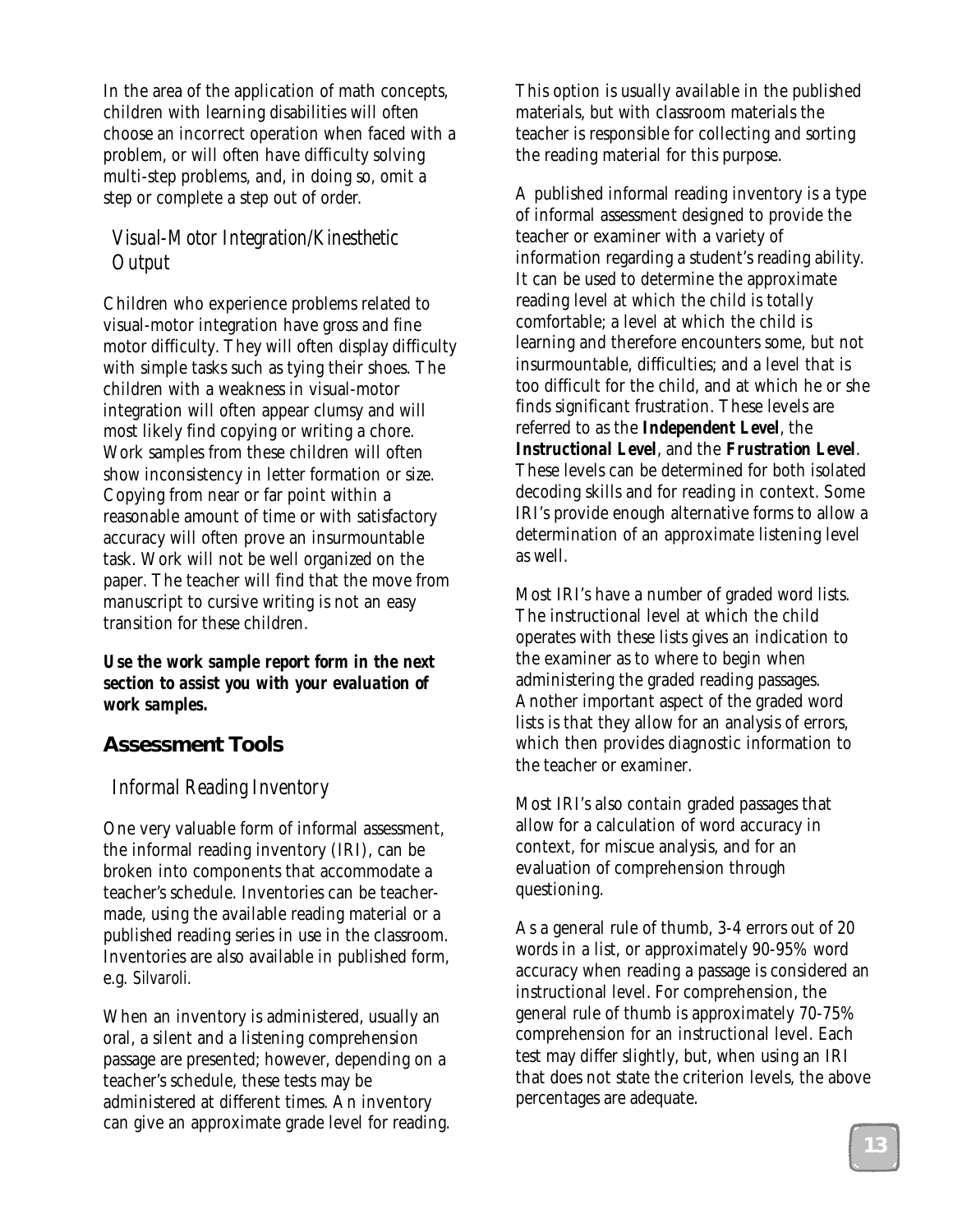In the area of the application of math concepts, children with learning disabilities will often choose an incorrect operation when faced with a problem, or will often have difficulty solving multi-step problems, and, in doing so, omit a step or complete a step out of order.

#### *Visual-Motor Integration/Kinesthetic Output*

Children who experience problems related to visual-motor integration have gross and fine motor difficulty. They will often display difficulty with simple tasks such as tying their shoes. The children with a weakness in visual-motor integration will often appear clumsy and will most likely find copying or writing a chore. Work samples from these children will often show inconsistency in letter formation or size. Copying from near or far point within a reasonable amount of time or with satisfactory accuracy will often prove an insurmountable task. Work will not be well organized on the paper. The teacher will find that the move from manuscript to cursive writing is not an easy transition for these children.

*Use the work sample report form in the next section to assist you with your evaluation of work samples.*

#### **Assessment Tools**

#### *Informal Reading Inventory*

One very valuable form of informal assessment, the informal reading inventory (IRI), can be broken into components that accommodate a teacher's schedule. Inventories can be teachermade, using the available reading material or a published reading series in use in the classroom. Inventories are also available in published form, e.g. *Silvaroli.*

When an inventory is administered, usually an oral, a silent and a listening comprehension passage are presented; however, depending on a teacher's schedule, these tests may be administered at different times. An inventory can give an approximate grade level for reading. This option is usually available in the published materials, but with classroom materials the teacher is responsible for collecting and sorting the reading material for this purpose.

A published informal reading inventory is a type of informal assessment designed to provide the teacher or examiner with a variety of information regarding a student's reading ability. It can be used to determine the approximate reading level at which the child is totally comfortable; a level at which the child is learning and therefore encounters some, but not insurmountable, difficulties; and a level that is too difficult for the child, and at which he or she finds significant frustration. These levels are referred to as the *Independent Level*, the *Instructional Level*, and the *Frustration Level*. These levels can be determined for both isolated decoding skills and for reading in context. Some IRI's provide enough alternative forms to allow a determination of an approximate listening level as well.

Most IRI's have a number of graded word lists. The instructional level at which the child operates with these lists gives an indication to the examiner as to where to begin when administering the graded reading passages. Another important aspect of the graded word lists is that they allow for an analysis of errors, which then provides diagnostic information to the teacher or examiner.

Most IRI's also contain graded passages that allow for a calculation of word accuracy in context, for miscue analysis, and for an evaluation of comprehension through questioning.

As a general rule of thumb, 3-4 errors out of 20 words in a list, or approximately 90-95% word accuracy when reading a passage is considered an instructional level. For comprehension, the general rule of thumb is approximately 70-75% comprehension for an instructional level. Each test may differ slightly, but, when using an IRI that does not state the criterion levels, the above percentages are adequate.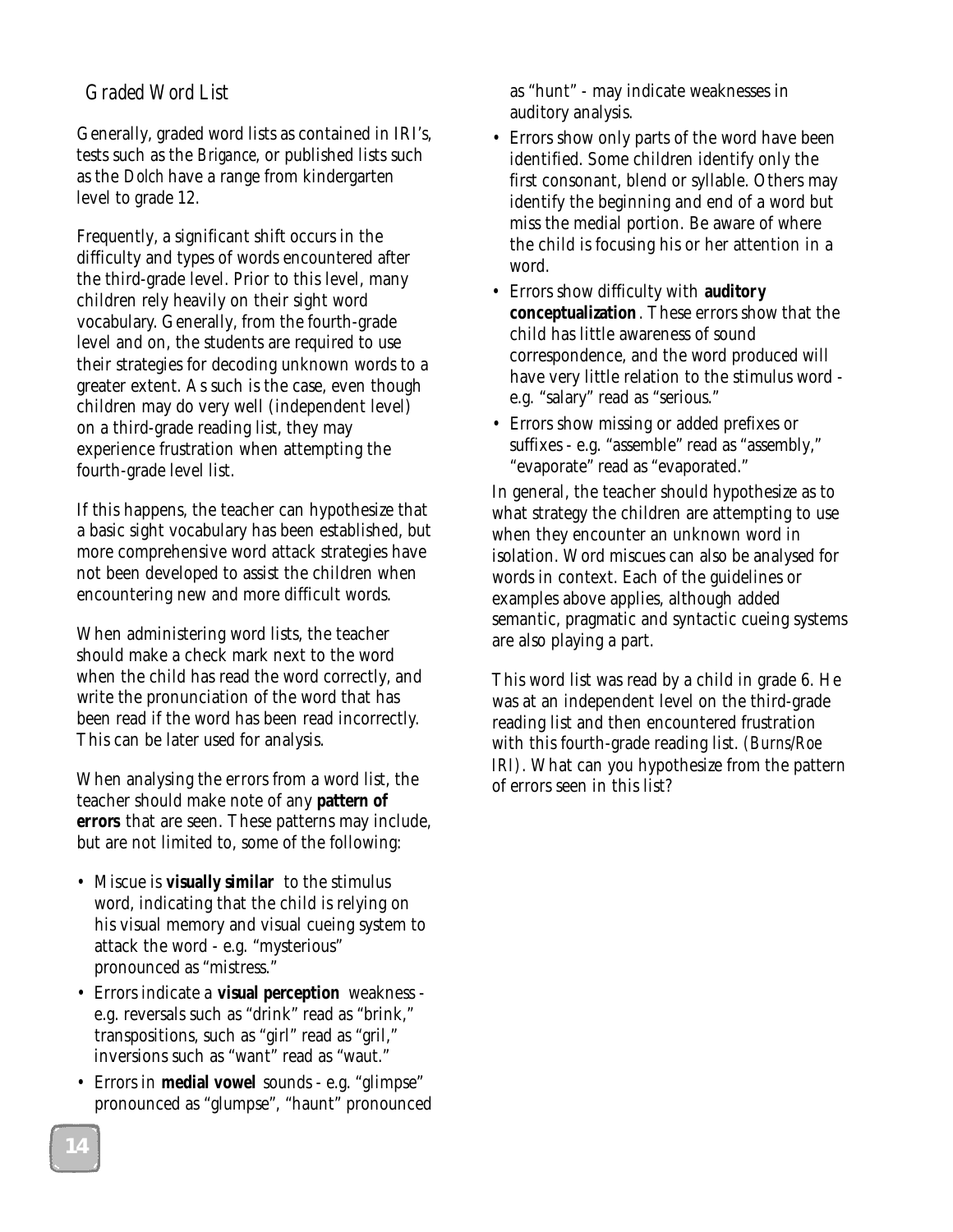# *Graded Word List*

Generally, graded word lists as contained in IRI's, tests such as the *Brigance*, or published lists such as the *Dolch* have a range from kindergarten level to grade 12.

Frequently, a significant shift occurs in the difficulty and types of words encountered after the third-grade level. Prior to this level, many children rely heavily on their sight word vocabulary. Generally, from the fourth-grade level and on, the students are required to use their strategies for decoding unknown words to a greater extent. As such is the case, even though children may do very well (independent level) on a third-grade reading list, they may experience frustration when attempting the fourth-grade level list.

If this happens, the teacher can hypothesize that a basic sight vocabulary has been established, but more comprehensive word attack strategies have not been developed to assist the children when encountering new and more difficult words.

When administering word lists, the teacher should make a check mark next to the word when the child has read the word correctly, and write the pronunciation of the word that has been read if the word has been read incorrectly. This can be later used for analysis.

When analysing the errors from a word list, the teacher should make note of any **pattern of errors** that are seen. These patterns may include, but are not limited to, some of the following:

- Miscue is **visually similar** to the stimulus word, indicating that the child is relying on his visual memory and visual cueing system to attack the word - e.g. "mysterious" pronounced as "mistress."
- Errors indicate a **visual perception** weakness e.g. reversals such as "drink" read as "brink," transpositions, such as "girl" read as "gril," inversions such as "want" read as "waut."
- Errors in **medial vowel** sounds e.g. "glimpse" pronounced as "glumpse", "haunt" pronounced

as "hunt" - may indicate weaknesses in auditory analysis.

- Errors show only parts of the word have been identified. Some children identify only the first consonant, blend or syllable. Others may identify the beginning and end of a word but miss the medial portion. Be aware of where the child is focusing his or her attention in a word.
- Errors show difficulty with **auditor y conceptualization**. These errors show that the child has little awareness of sound correspondence, and the word produced will have very little relation to the stimulus word e.g. "salary" read as "serious."
- Errors show missing or added prefixes or suffixes - e.g. "assemble" read as "assembly," "evaporate" read as "evaporated."

In general, the teacher should hypothesize as to what strategy the children are attempting to use when they encounter an unknown word in isolation. Word miscues can also be analysed for words in context. Each of the guidelines or examples above applies, although added semantic, pragmatic and syntactic cueing systems are also playing a part.

This word list was read by a child in grade 6. He was at an independent level on the third-grade reading list and then encountered frustration with this fourth-grade reading list. *(Burns/Roe IRI)*. What can you hypothesize from the pattern of errors seen in this list?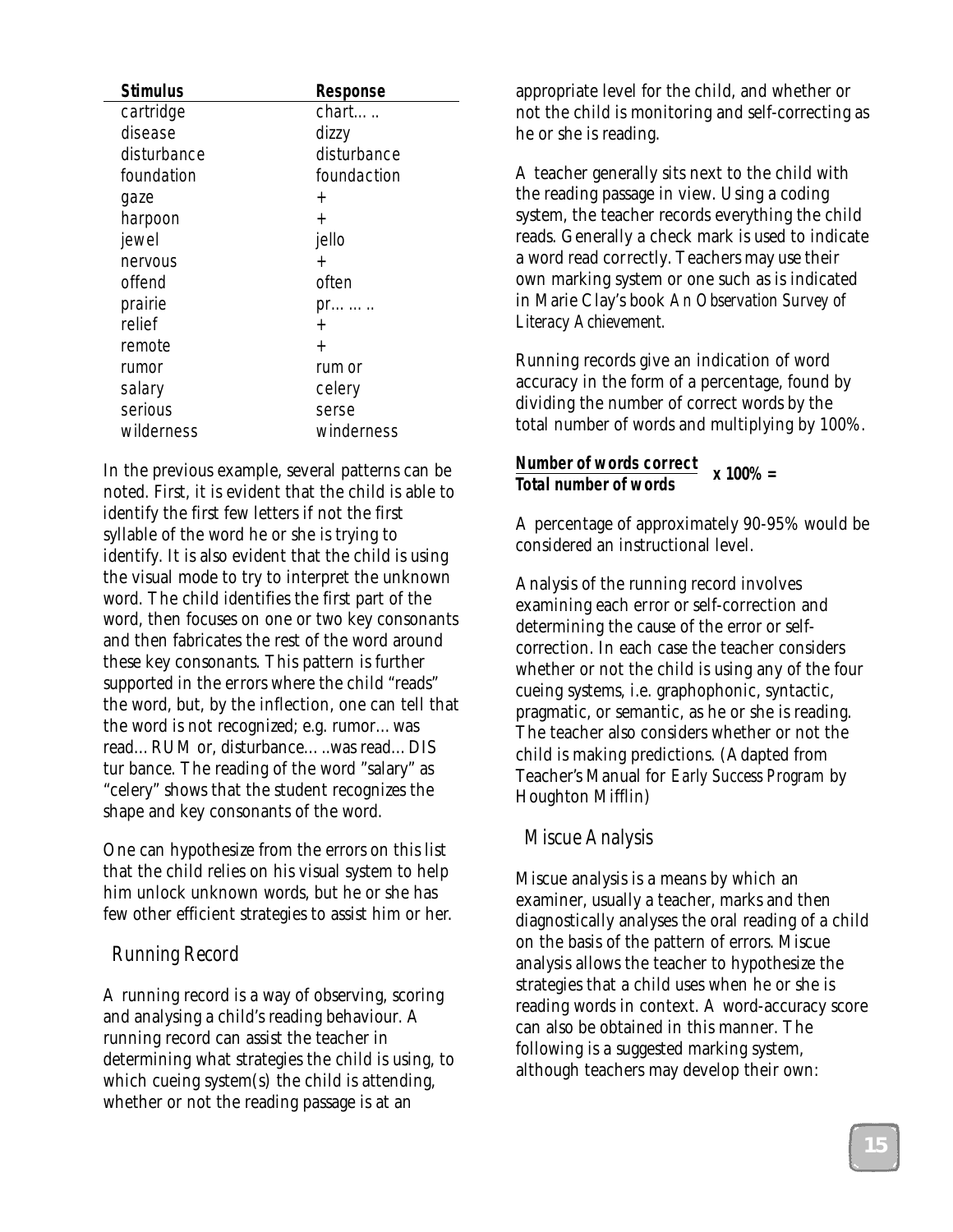| <b>Stimulus</b> | <b>Response</b> |
|-----------------|-----------------|
| cartridge       | $chart$         |
| disease         | dizzy           |
| disturbance     | disturbance     |
| foundation      | foundaction     |
| gaze            | $^{+}$          |
| harpoon         | $^{+}$          |
| jewel           | jello           |
| nervous         | $\ddot{}$       |
| offend          | often           |
| prairie         | $pr. \ldots$    |
| relief          | $\ddot{}$       |
| remote          | $\ddot{}$       |
| rumor           | rum or          |
| salary          | celery          |
| serious         | serse           |
| wilderness      | winderness      |

In the previous example, several patterns can be noted. First, it is evident that the child is able to identify the first few letters if not the first syllable of the word he or she is trying to identify. It is also evident that the child is using the visual mode to try to interpret the unknown word. The child identifies the first part of the word, then focuses on one or two key consonants and then fabricates the rest of the word around these key consonants. This pattern is further supported in the errors where the child "reads" the word, but, by the inflection, one can tell that the word is not recognized; e.g. rumor…was read…RUM or, disturbance…..was read…DIS tur bance. The reading of the word "salary" as "celery" shows that the student recognizes the shape and key consonants of the word.

One can hypothesize from the errors on this list that the child relies on his visual system to help him unlock unknown words, but he or she has few other efficient strategies to assist him or her.

#### *Running Record*

A running record is a way of observing, scoring and analysing a child's reading behaviour. A running record can assist the teacher in determining what strategies the child is using, to which cueing system(s) the child is attending, whether or not the reading passage is at an

appropriate level for the child, and whether or not the child is monitoring and self-correcting as he or she is reading.

A teacher generally sits next to the child with the reading passage in view. Using a coding system, the teacher records everything the child reads. Generally a check mark is used to indicate a word read correctly. Teachers may use their own marking system or one such as is indicated in Marie Clay's book *An Observation Survey of Literacy Achievement.*

Running records give an indication of word accuracy in the form of a percentage, found by dividing the number of correct words by the total number of words and multiplying by 100%.

#### **Number of words correct Total number of words x 100% =**

A percentage of approximately 90-95% would be considered an instructional level.

Analysis of the running record involves examining each error or self-correction and determining the cause of the error or selfcorrection. In each case the teacher considers whether or not the child is using any of the four cueing systems, i.e. graphophonic, syntactic, pragmatic, or semantic, as he or she is reading. The teacher also considers whether or not the child is making predictions. (Adapted from Teacher's Manual for *Early Success Program* by Houghton Mifflin)

### *Miscue Analysis*

Miscue analysis is a means by which an examiner, usually a teacher, marks and then diagnostically analyses the oral reading of a child on the basis of the pattern of errors. Miscue analysis allows the teacher to hypothesize the strategies that a child uses when he or she is reading words in context. A word-accuracy score can also be obtained in this manner. The following is a suggested marking system, although teachers may develop their own: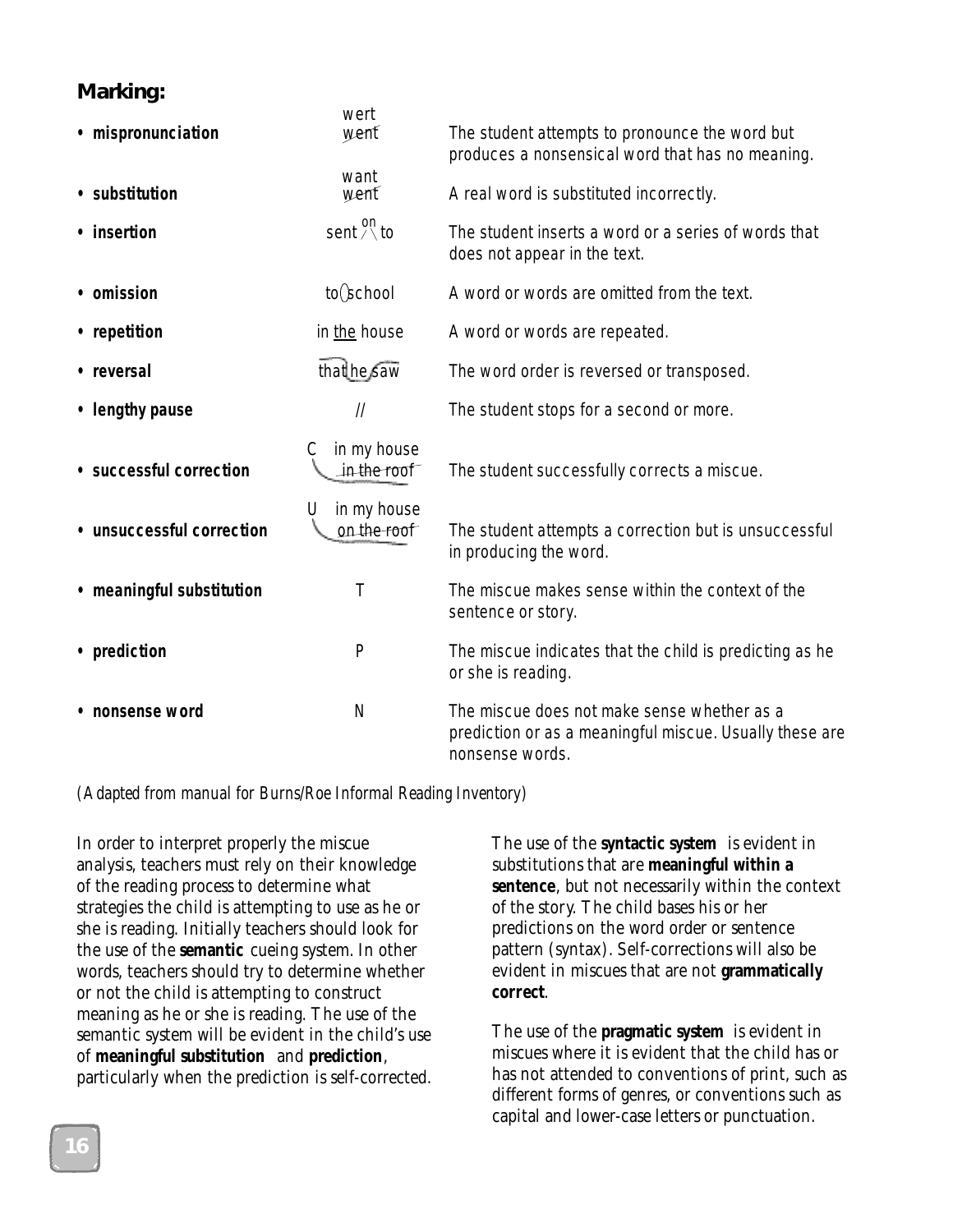# **Marking:**

| • mispronunciation        | wert<br>went                    | The student attempts to pronounce the word but<br>produces a nonsensical word that has no meaning.                        |
|---------------------------|---------------------------------|---------------------------------------------------------------------------------------------------------------------------|
| • substitution            | want<br>went                    | A real word is substituted incorrectly.                                                                                   |
| • insertion               | sent $\stackrel{on}{\wedge}$ to | The student inserts a word or a series of words that<br>does not appear in the text.                                      |
| • omission                | $to$ School                     | A word or words are omitted from the text.                                                                                |
| • repetition              | in the house                    | A word or words are repeated.                                                                                             |
| • reversal                | that he saw                     | The word order is reversed or transposed.                                                                                 |
| • lengthy pause           | $\frac{1}{2}$                   | The student stops for a second or more.                                                                                   |
| • successful correction   | in my house<br>C<br>in the roof | The student successfully corrects a miscue.                                                                               |
| • unsuccessful correction | in my house<br>U<br>on the roof | The student attempts a correction but is unsuccessful<br>in producing the word.                                           |
| • meaningful substitution | Τ                               | The miscue makes sense within the context of the<br>sentence or story.                                                    |
| • prediction              | P                               | The miscue indicates that the child is predicting as he<br>or she is reading.                                             |
| nonsense word             | N                               | The miscue does not make sense whether as a<br>prediction or as a meaningful miscue. Usually these are<br>nonsense words. |

*(Adapted from manual for Burns/Roe Informal Reading Inventory)*

In order to interpret properly the miscue analysis, teachers must rely on their knowledge of the reading process to determine what strategies the child is attempting to use as he or she is reading. Initially teachers should look for the use of the **semantic** cueing system. In other words, teachers should try to determine whether or not the child is attempting to construct meaning as he or she is reading. The use of the semantic system will be evident in the child's use of **meaningful substitution** and **prediction**, particularly when the prediction is self-corrected. The use of the **syntactic system** is evident in substitutions that are **meaningful within a sentence**, but not necessarily within the context of the story. The child bases his or her predictions on the word order or sentence pattern (syntax). Self-corrections will also be evident in miscues that are not **grammatically correct**.

The use of the **pragmatic system** is evident in miscues where it is evident that the child has or has not attended to conventions of print, such as different forms of genres, or conventions such as capital and lower-case letters or punctuation.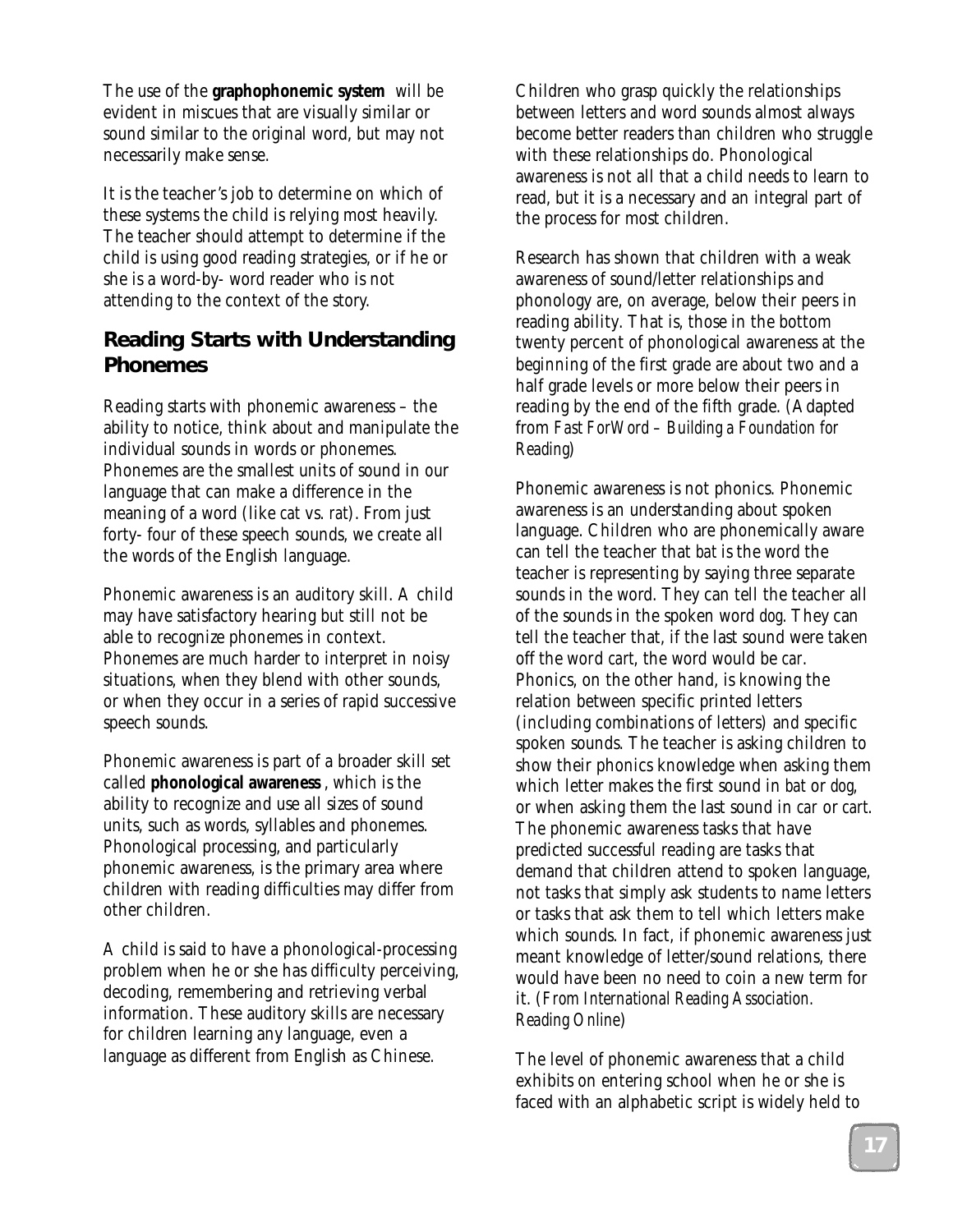The use of the **graphophonemic system** will be evident in miscues that are visually similar or sound similar to the original word, but may not necessarily make sense.

It is the teacher's job to determine on which of these systems the child is relying most heavily. The teacher should attempt to determine if the child is using good reading strategies, or if he or she is a word-by- word reader who is not attending to the context of the story.

### **Reading Starts with Understanding Phonemes**

Reading starts with phonemic awareness – the ability to notice, think about and manipulate the individual sounds in words or phonemes. Phonemes are the smallest units of sound in our language that can make a difference in the meaning of a word (like *cat* vs. *rat*). From just forty- four of these speech sounds, we create all the words of the English language.

Phonemic awareness is an auditory skill. A child may have satisfactory hearing but still not be able to recognize phonemes in context. Phonemes are much harder to interpret in noisy situations, when they blend with other sounds, or when they occur in a series of rapid successive speech sounds.

Phonemic awareness is part of a broader skill set called **phonological awareness** , which is the ability to recognize and use all sizes of sound units, such as words, syllables and phonemes. Phonological processing, and particularly phonemic awareness, is the primary area where children with reading difficulties may differ from other children.

A child is said to have a phonological-processing problem when he or she has difficulty perceiving, decoding, remembering and retrieving verbal information. These auditory skills are necessary for children learning any language, even a language as different from English as Chinese.

Children who grasp quickly the relationships between letters and word sounds almost always become better readers than children who struggle with these relationships do. Phonological awareness is not all that a child needs to learn to read, but it is a necessary and an integral part of the process for most children.

Research has shown that children with a weak awareness of sound/letter relationships and phonology are, on average, below their peers in reading ability. That is, those in the bottom twenty percent of phonological awareness at the beginning of the first grade are about two and a half grade levels or more below their peers in reading by the end of the fifth grade. (Adapted from *Fast ForWord – Building a Foundation for Reading*)

Phonemic awareness is not phonics. Phonemic awareness is an understanding about spoken language. Children who are phonemically aware can tell the teacher that *bat* is the word the teacher is representing by saying three separate sounds in the word. They can tell the teacher all of the sounds in the spoken word *dog*. They can tell the teacher that, if the last sound were taken off the word *cart*, the word would be *car*. Phonics, on the other hand, is knowing the relation between specific printed letters (including combinations of letters) and specific spoken sounds. The teacher is asking children to show their phonics knowledge when asking them which letter makes the first sound in *bat* or *dog*, or when asking them the last sound in *car* or *cart*. The phonemic awareness tasks that have predicted successful reading are tasks that demand that children attend to spoken language, not tasks that simply ask students to name letters or tasks that ask them to tell which letters make which sounds. In fact, if phonemic awareness just meant knowledge of letter/sound relations, there would have been no need to coin a new term for it. (*From International Reading Association. Reading Online*)

The level of phonemic awareness that a child exhibits on entering school when he or she is faced with an alphabetic script is widely held to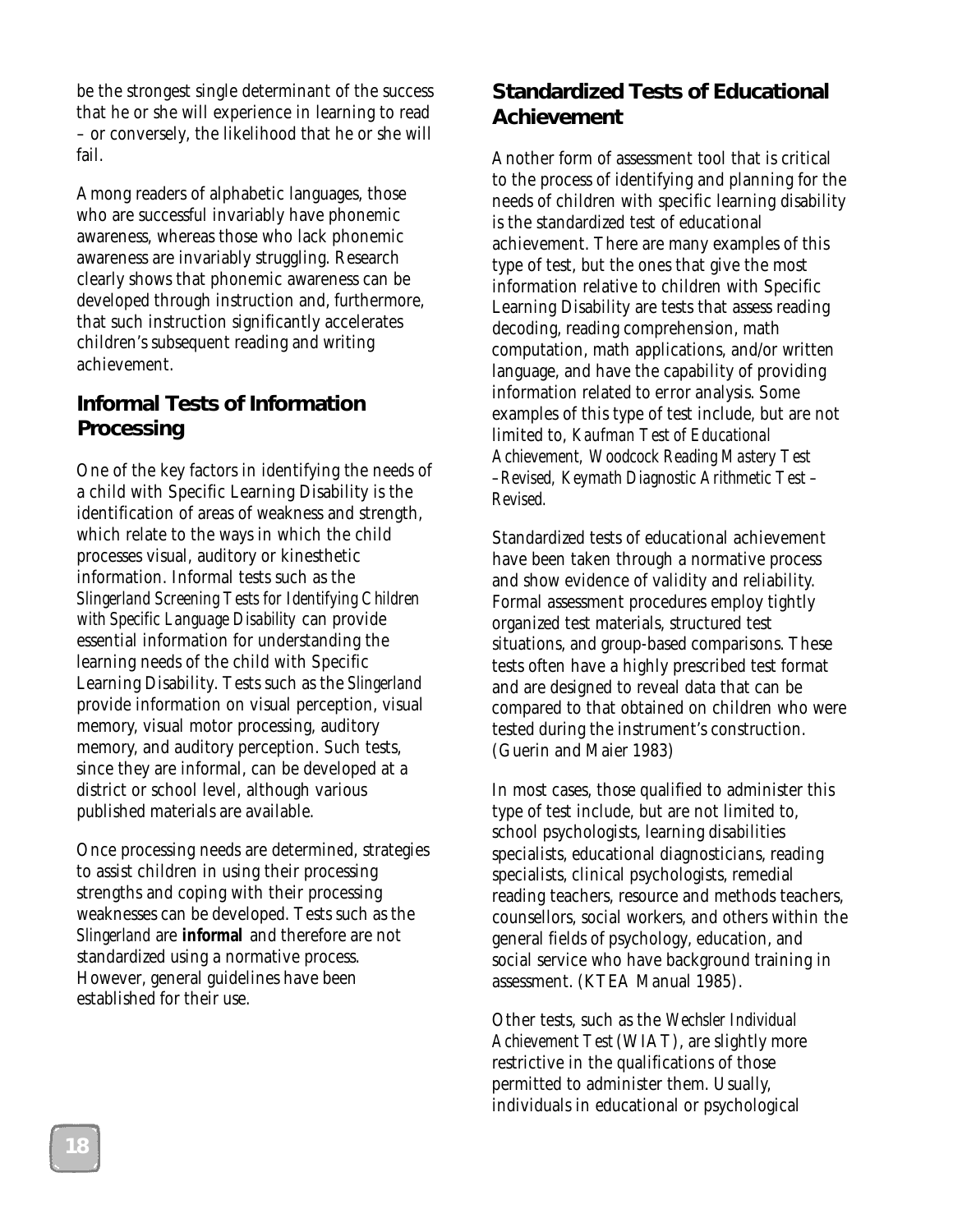be the strongest single determinant of the success that he or she will experience in learning to read – or conversely, the likelihood that he or she will fail.

Among readers of alphabetic languages, those who are successful invariably have phonemic awareness, whereas those who lack phonemic awareness are invariably struggling. Research clearly shows that phonemic awareness can be developed through instruction and, furthermore, that such instruction significantly accelerates children's subsequent reading and writing achievement.

# **Informal Tests of Information Processing**

One of the key factors in identifying the needs of a child with Specific Learning Disability is the identification of areas of weakness and strength, which relate to the ways in which the child processes visual, auditory or kinesthetic information. Informal tests such as the *Slingerland Screening Tests for Identifying Children with Specific Language Disability* can provide essential information for understanding the learning needs of the child with Specific Learning Disability. Tests such as the *Slingerland* provide information on visual perception, visual memory, visual motor processing, auditory memory, and auditory perception. Such tests, since they are informal, can be developed at a district or school level, although various published materials are available.

Once processing needs are determined, strategies to assist children in using their processing strengths and coping with their processing weaknesses can be developed. Tests such as the *Slingerland* are **informal** and therefore are not standardized using a normative process. However, general guidelines have been established for their use.

# **Standardized Tests of Educational Achievement**

Another form of assessment tool that is critical to the process of identifying and planning for the needs of children with specific learning disability is the standardized test of educational achievement. There are many examples of this type of test, but the ones that give the most information relative to children with Specific Learning Disability are tests that assess reading decoding, reading comprehension, math computation, math applications, and/or written language, and have the capability of providing information related to error analysis. Some examples of this type of test include, but are not limited to, *Kaufman Test of Educational Achievement, Woodcock Reading Mastery Test –Revised, Keymath Diagnostic Arithmetic Test – Revised.*

Standardized tests of educational achievement have been taken through a normative process and show evidence of validity and reliability. Formal assessment procedures employ tightly organized test materials, structured test situations, and group-based comparisons. These tests often have a highly prescribed test format and are designed to reveal data that can be compared to that obtained on children who were tested during the instrument's construction. (Guerin and Maier 1983)

In most cases, those qualified to administer this type of test include, but are not limited to, school psychologists, learning disabilities specialists, educational diagnosticians, reading specialists, clinical psychologists, remedial reading teachers, resource and methods teachers, counsellors, social workers, and others within the general fields of psychology, education, and social service who have background training in assessment. (KTEA Manual 1985).

Other tests, such as the *Wechsler Individual Achievement Test* (WIAT), are slightly more restrictive in the qualifications of those permitted to administer them. Usually, individuals in educational or psychological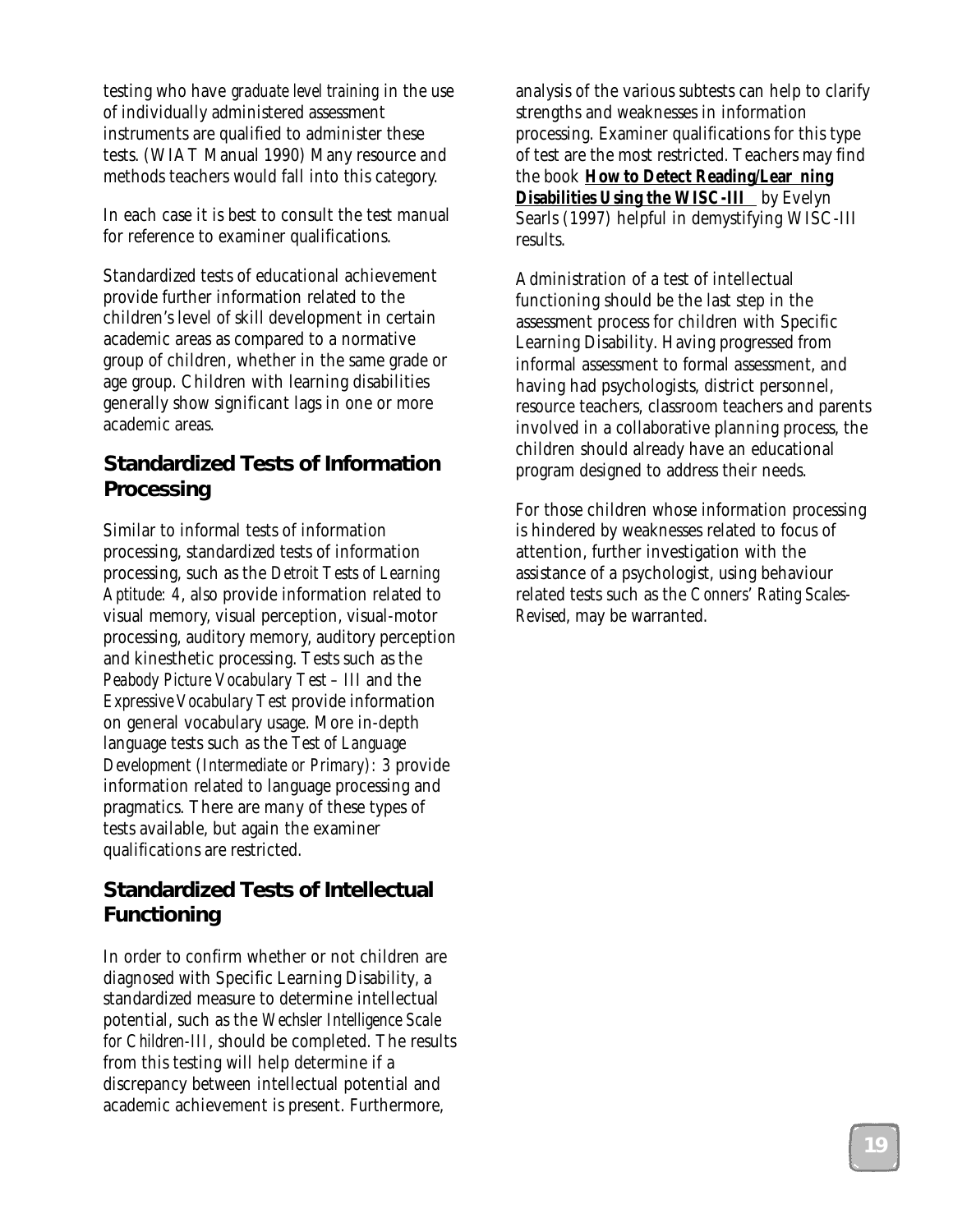testing who have *graduate level training* in the use of individually administered assessment instruments are qualified to administer these tests. (WIAT Manual 1990) Many resource and methods teachers would fall into this category.

In each case it is best to consult the test manual for reference to examiner qualifications.

Standardized tests of educational achievement provide further information related to the children's level of skill development in certain academic areas as compared to a normative group of children, whether in the same grade or age group. Children with learning disabilities generally show significant lags in one or more academic areas.

# **Standardized Tests of Information Processing**

Similar to informal tests of information processing, standardized tests of information processing, such as the *Detroit Tests of Learning Aptitude: 4*, also provide information related to visual memory, visual perception, visual-motor processing, auditory memory, auditory perception and kinesthetic processing. Tests such as the *Peabody Picture Vocabulary Test – III* and the *Expressive Vocabulary Test* provide information on general vocabulary usage. More in-depth language tests such as the *Test of Language Development (Intermediate or Primary): 3* provide information related to language processing and pragmatics. There are many of these types of tests available, but again the examiner qualifications are restricted.

# **Standardized Tests of Intellectual Functioning**

In order to confirm whether or not children are diagnosed with Specific Learning Disability, a standardized measure to determine intellectual potential, such as the *Wechsler Intelligence Scale for Children-III*, should be completed. The results from this testing will help determine if a discrepancy between intellectual potential and academic achievement is present. Furthermore,

analysis of the various subtests can help to clarify strengths and weaknesses in information processing. Examiner qualifications for this type of test are the most restricted. Teachers may find the book **How to Detect Reading/Lear ning Disabilities Using the WISC-III** by Evelyn Searls (1997) helpful in demystifying WISC-III results.

Administration of a test of intellectual functioning should be the last step in the assessment process for children with Specific Learning Disability. Having progressed from informal assessment to formal assessment, and having had psychologists, district personnel, resource teachers, classroom teachers and parents involved in a collaborative planning process, the children should already have an educational program designed to address their needs.

For those children whose information processing is hindered by weaknesses related to focus of attention, further investigation with the assistance of a psychologist, using behaviour related tests such as the *Conners' Rating Scales-Revised*, may be warranted.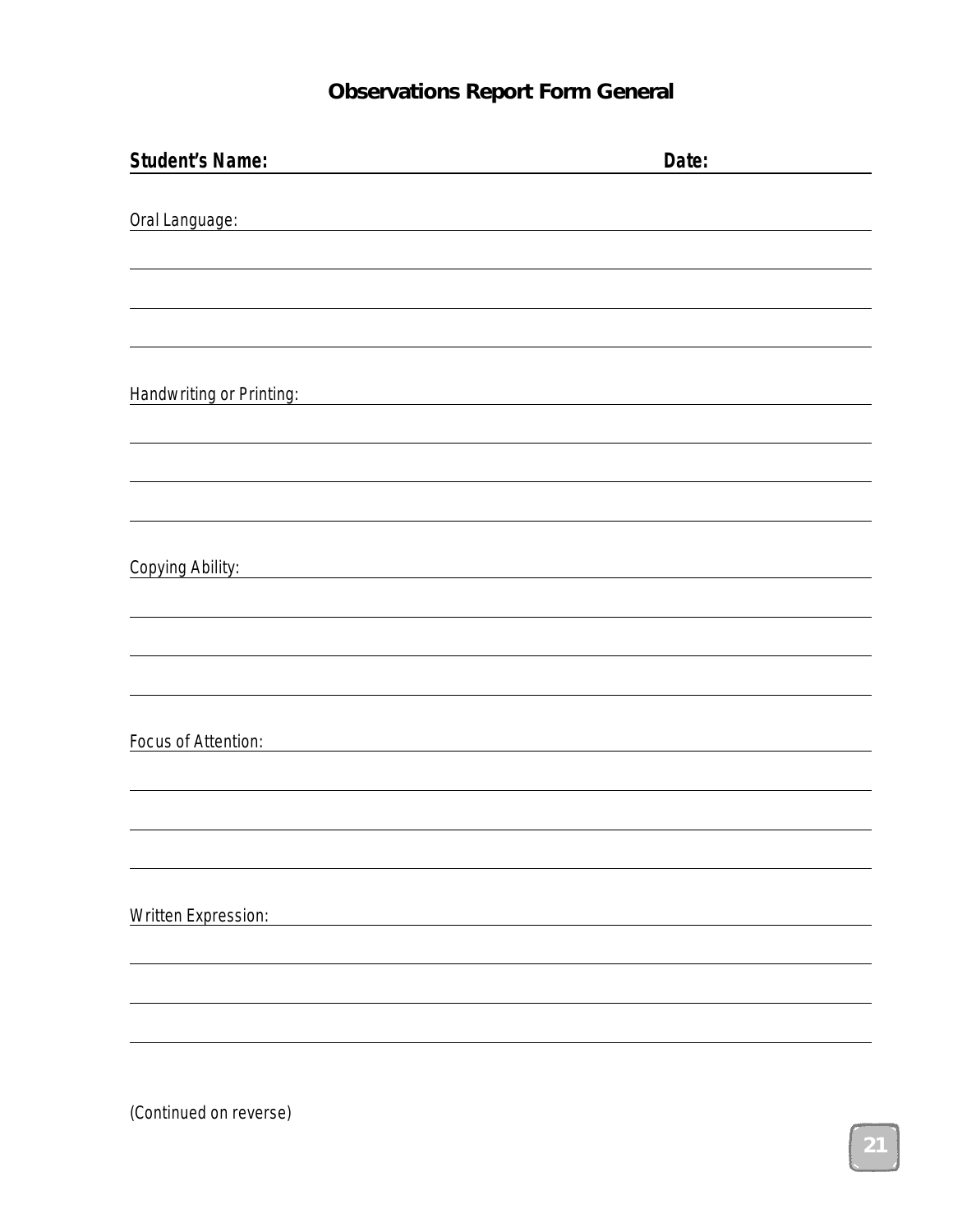# **Observations Report Form General**

| <b>Student's Name:</b>                                                                                          | Date: |
|-----------------------------------------------------------------------------------------------------------------|-------|
| Oral Language: and Contract Contract Contract Contract Contract Contract Contract Contract Contract Contract Co |       |
|                                                                                                                 |       |
|                                                                                                                 |       |
|                                                                                                                 |       |
| Handwriting or Printing: National Prince of America and America and America and America and America and America |       |
|                                                                                                                 |       |
|                                                                                                                 |       |
|                                                                                                                 |       |
| Copying Ability: Copying Ability:                                                                               |       |
|                                                                                                                 |       |
|                                                                                                                 |       |
|                                                                                                                 |       |
| Focus of Attention:<br><u> 1989 - John Stein, Amerikaansk politiker (</u>                                       |       |
|                                                                                                                 |       |
|                                                                                                                 |       |
|                                                                                                                 |       |
| <b>Written Expression:</b>                                                                                      |       |
|                                                                                                                 |       |
|                                                                                                                 |       |
|                                                                                                                 |       |
|                                                                                                                 |       |

(Continued on reverse)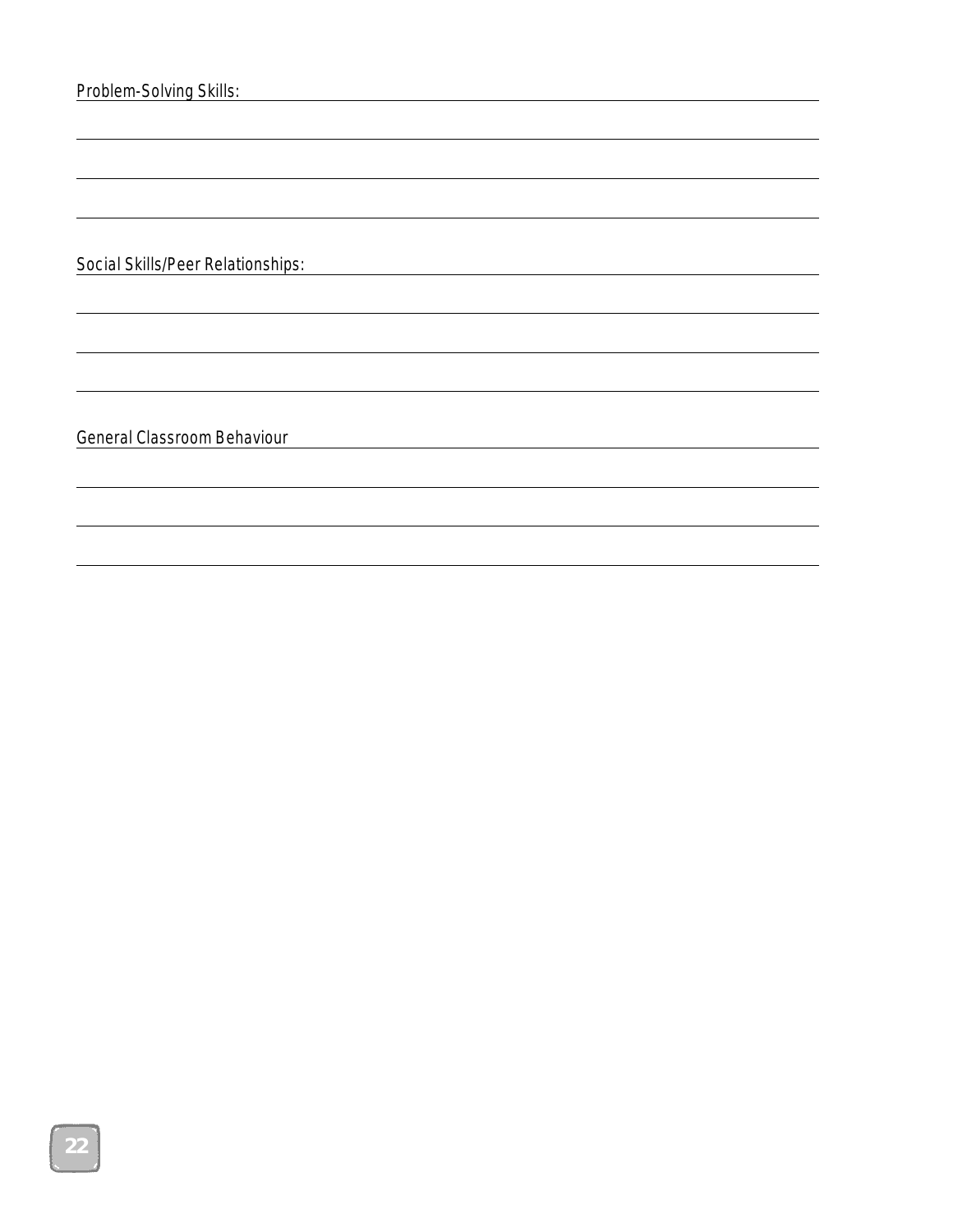Social Skills/Peer Relationships: **Social Skills/Peer Relationships:** 

General Classroom Behaviour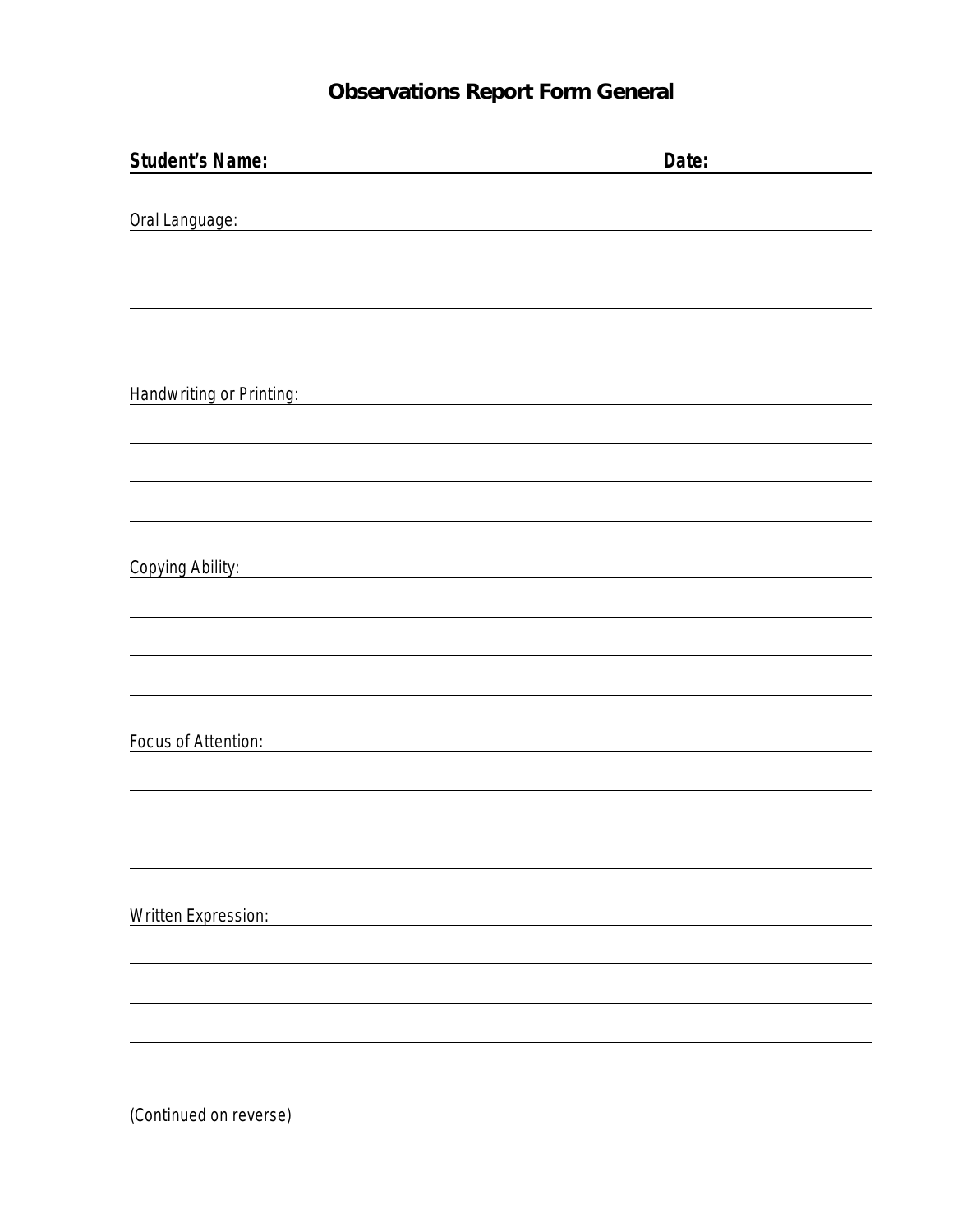# **Observations Report Form General**

| <b>Student's Name:</b>                                                                                         | Date: |
|----------------------------------------------------------------------------------------------------------------|-------|
|                                                                                                                |       |
| Oral Language: experience of the state of the state of the state of the state of the state of the state of the |       |
|                                                                                                                |       |
|                                                                                                                |       |
|                                                                                                                |       |
|                                                                                                                |       |
| Handwriting or Printing: National Prince of Printing:                                                          |       |
|                                                                                                                |       |
|                                                                                                                |       |
|                                                                                                                |       |
|                                                                                                                |       |
| Copying Ability: National Property of Copying Ability:                                                         |       |
|                                                                                                                |       |
|                                                                                                                |       |
|                                                                                                                |       |
|                                                                                                                |       |
| Focus of Attention:                                                                                            |       |
|                                                                                                                |       |
|                                                                                                                |       |
|                                                                                                                |       |
|                                                                                                                |       |
| <b>Written Expression:</b>                                                                                     |       |
|                                                                                                                |       |
|                                                                                                                |       |
|                                                                                                                |       |
|                                                                                                                |       |

(Continued on reverse)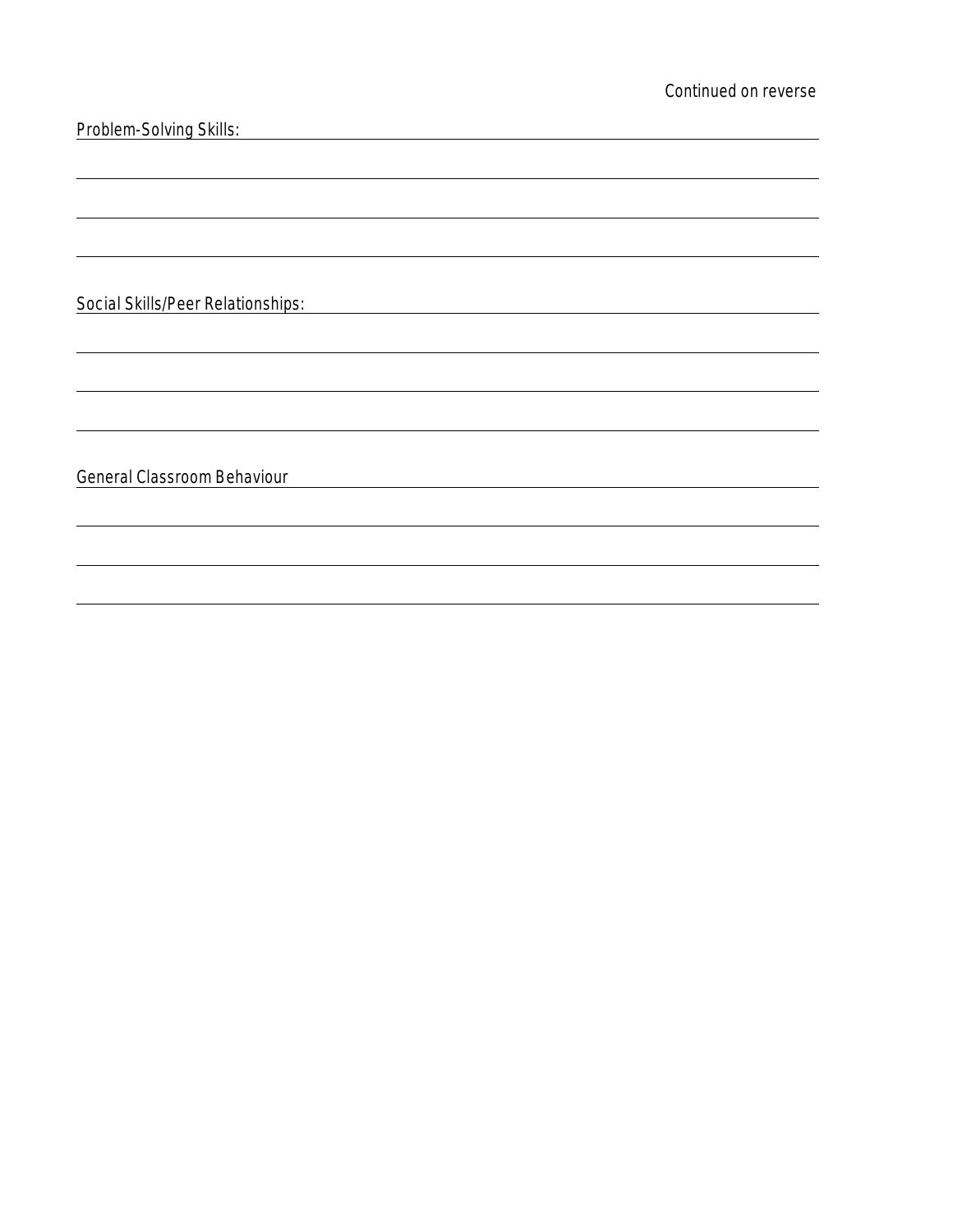<u> 1980 - Johann Barbara, martxa alemaniar a</u>

| Problem-Solving Skills: |  |
|-------------------------|--|
|-------------------------|--|

Social Skills/Peer Relationships:

General Classroom Behaviour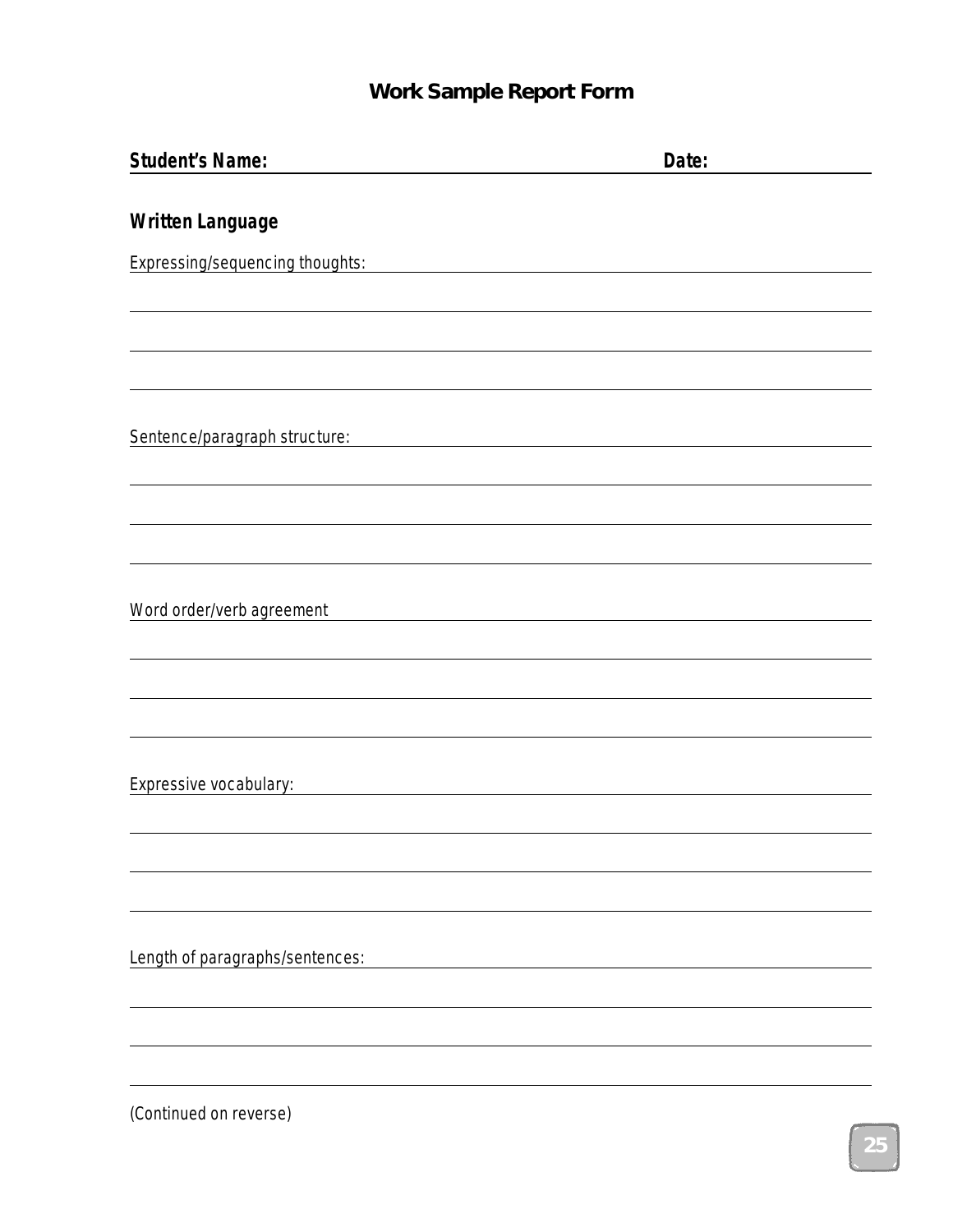# **Work Sample Report Form**

| <b>Student's Name:</b>                                                                                                                                | Date: |
|-------------------------------------------------------------------------------------------------------------------------------------------------------|-------|
|                                                                                                                                                       |       |
| <b>Written Language</b>                                                                                                                               |       |
| <b>Expressing/sequencing thoughts:</b>                                                                                                                |       |
|                                                                                                                                                       |       |
|                                                                                                                                                       |       |
|                                                                                                                                                       |       |
|                                                                                                                                                       |       |
| Sentence/paragraph structure:<br><u> 1980 - Johann Stein, marwolaethau a bhann an t-Amhair an t-Amhair an t-Amhair an t-Amhair an t-Amhair an t-A</u> |       |
|                                                                                                                                                       |       |
|                                                                                                                                                       |       |
|                                                                                                                                                       |       |
|                                                                                                                                                       |       |
| Word order/verb agreement                                                                                                                             |       |
|                                                                                                                                                       |       |
|                                                                                                                                                       |       |
|                                                                                                                                                       |       |
|                                                                                                                                                       |       |
| Expressive vocabulary:<br><u> 1980 - Johann Barn, mars ann an t-Amhainn an t-Amhainn an t-Amhainn an t-Amhainn an t-Amhainn an t-Amhainn an</u>       |       |
|                                                                                                                                                       |       |
|                                                                                                                                                       |       |
|                                                                                                                                                       |       |
|                                                                                                                                                       |       |
| Length of paragraphs/sentences:                                                                                                                       |       |
|                                                                                                                                                       |       |
|                                                                                                                                                       |       |
|                                                                                                                                                       |       |
|                                                                                                                                                       |       |

(Continued on reverse)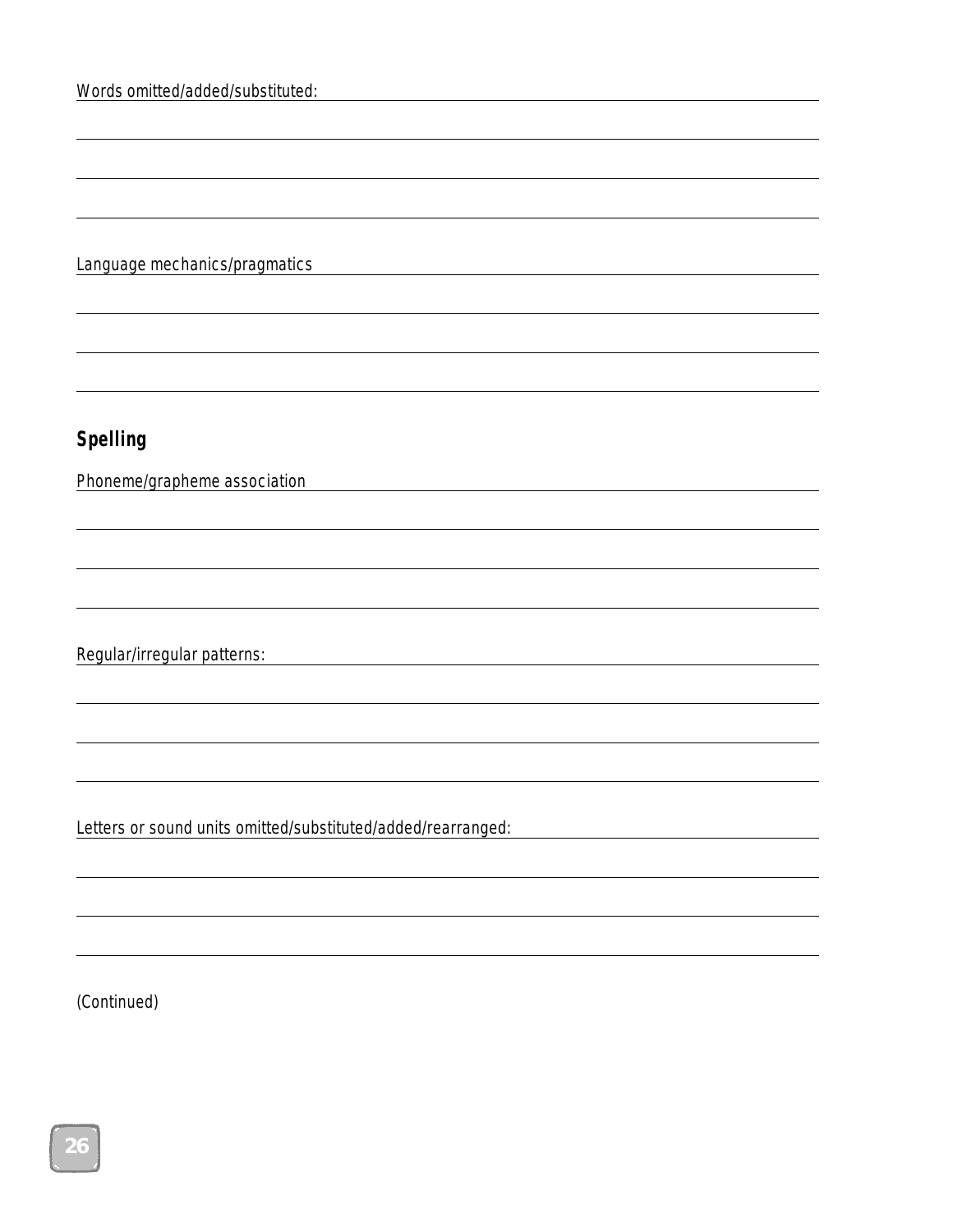Language mechanics/pragmatics

<u> 1989 - Johann Barn, amerikansk politiker (d. 1989)</u>

# **Spelling**

Phoneme/grapheme association<br>
and the contract of the contract of the contract of the contract of the contract of the contract of the contract of the contract of the contract of the contract of the contract of the contract

Regular/irregular patterns:

Letters or sound units omitted/substituted/added/rearranged:

(Continued)

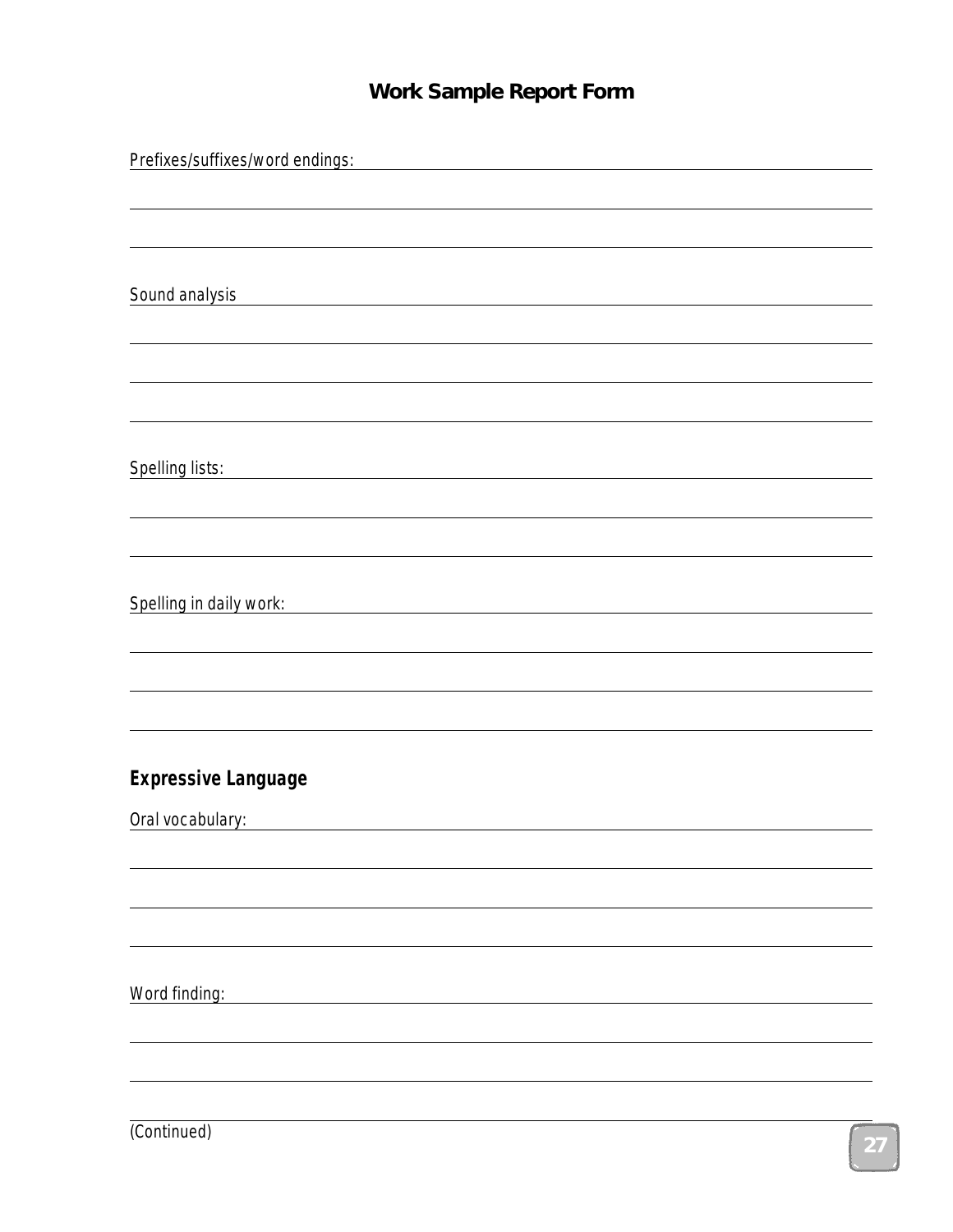# **Work Sample Report Form**

| Prefixes/suffixes/word endings:                                                       |
|---------------------------------------------------------------------------------------|
|                                                                                       |
|                                                                                       |
|                                                                                       |
|                                                                                       |
| Sound analysis                                                                        |
|                                                                                       |
|                                                                                       |
|                                                                                       |
|                                                                                       |
|                                                                                       |
| Spelling lists:<br><u> 1980 - Johann Barn, fransk politik (d. 1980)</u>               |
|                                                                                       |
|                                                                                       |
|                                                                                       |
|                                                                                       |
| Spelling in daily work:<br><u> 1989 - Johann Barn, amerikansk politiker (d. 1989)</u> |
|                                                                                       |
|                                                                                       |
|                                                                                       |
|                                                                                       |
|                                                                                       |
| <b>Expressive Language</b>                                                            |
| Oral vocabulary:                                                                      |
|                                                                                       |
|                                                                                       |
|                                                                                       |
|                                                                                       |
|                                                                                       |
|                                                                                       |
| Word finding:                                                                         |
|                                                                                       |
|                                                                                       |
|                                                                                       |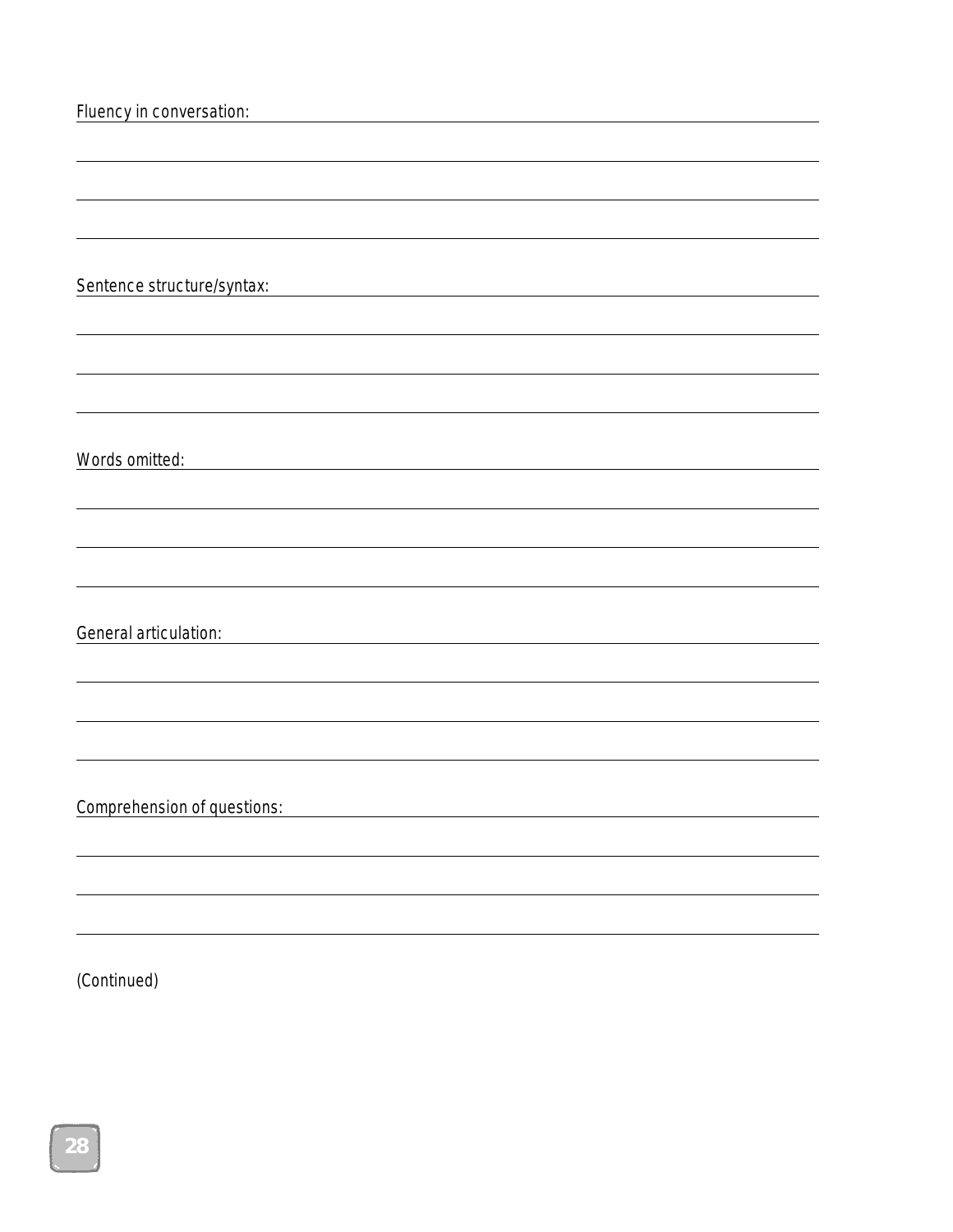| Fluency in conversation:<br><u> 1980 - Jan Stein Stein Stein Stein Stein Stein Stein Stein Stein Stein Stein Stein Stein Stein Stein Stein S</u> |
|--------------------------------------------------------------------------------------------------------------------------------------------------|
|                                                                                                                                                  |
|                                                                                                                                                  |
|                                                                                                                                                  |
|                                                                                                                                                  |
| Sentence structure/syntax:                                                                                                                       |
|                                                                                                                                                  |
|                                                                                                                                                  |
|                                                                                                                                                  |
|                                                                                                                                                  |
| Words omitted:<br><u> 1980 - John Stein, Amerikaansk politiker (</u>                                                                             |
|                                                                                                                                                  |
|                                                                                                                                                  |
|                                                                                                                                                  |
|                                                                                                                                                  |
| General articulation:<br><u> 1980 - Johann Barbara, martxa alemaniar a</u>                                                                       |
|                                                                                                                                                  |
|                                                                                                                                                  |
|                                                                                                                                                  |
|                                                                                                                                                  |
| Comprehension of questions:                                                                                                                      |
|                                                                                                                                                  |
|                                                                                                                                                  |
|                                                                                                                                                  |
|                                                                                                                                                  |

(Continued)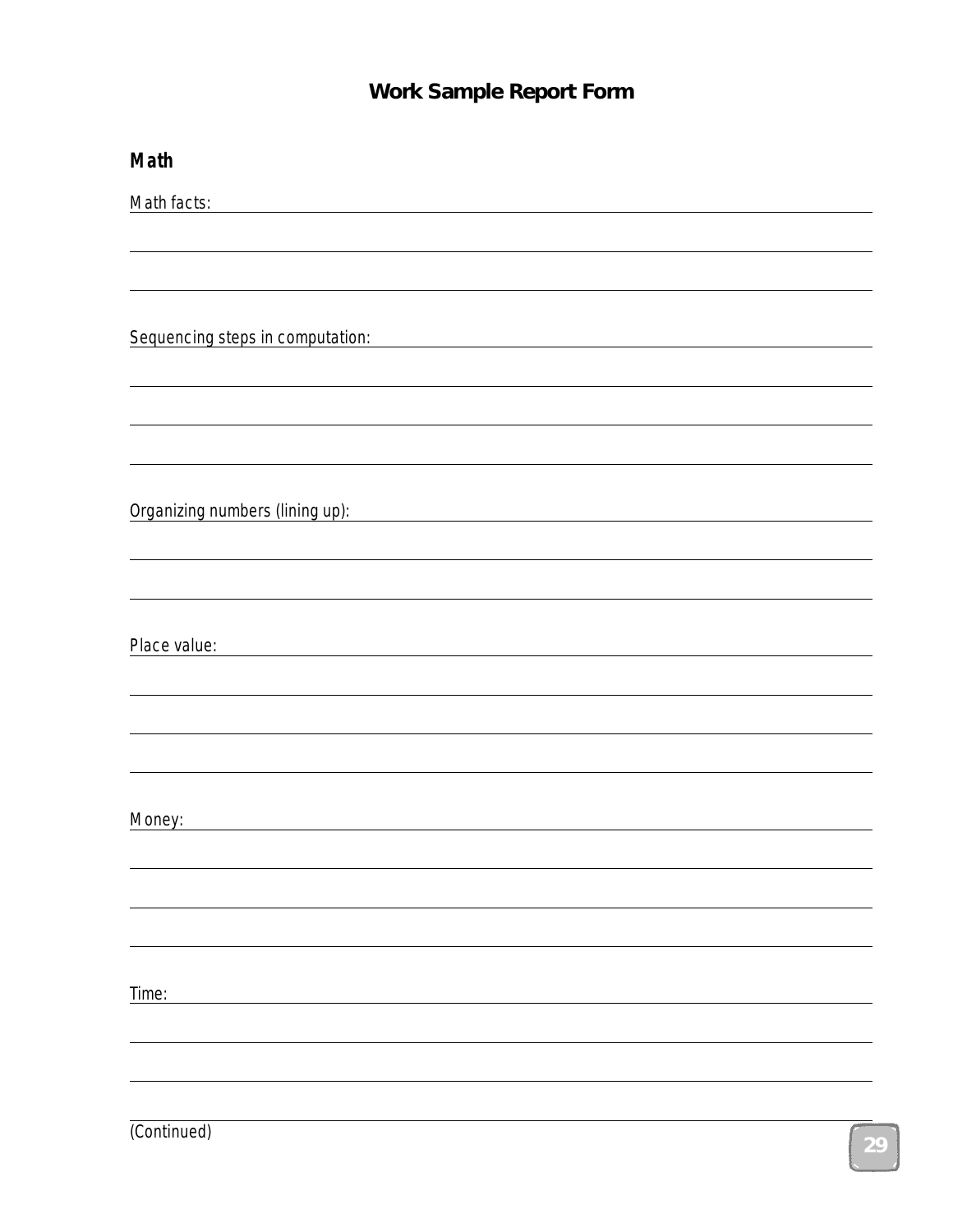# **Work Sample Report Form**

| <b>Math</b>                                                                          |
|--------------------------------------------------------------------------------------|
| Math facts:                                                                          |
|                                                                                      |
|                                                                                      |
|                                                                                      |
| Sequencing steps in computation:<br><u> 1989 - Johann Barbara, martin a</u>          |
|                                                                                      |
|                                                                                      |
|                                                                                      |
|                                                                                      |
| Organizing numbers (lining up):<br><u> 1989 - Andrea State Barbara, amerikan per</u> |
|                                                                                      |
|                                                                                      |
| Place value:                                                                         |
|                                                                                      |
|                                                                                      |
|                                                                                      |
|                                                                                      |
| Money:                                                                               |
|                                                                                      |
|                                                                                      |
|                                                                                      |
|                                                                                      |
| Time:                                                                                |
|                                                                                      |
|                                                                                      |
|                                                                                      |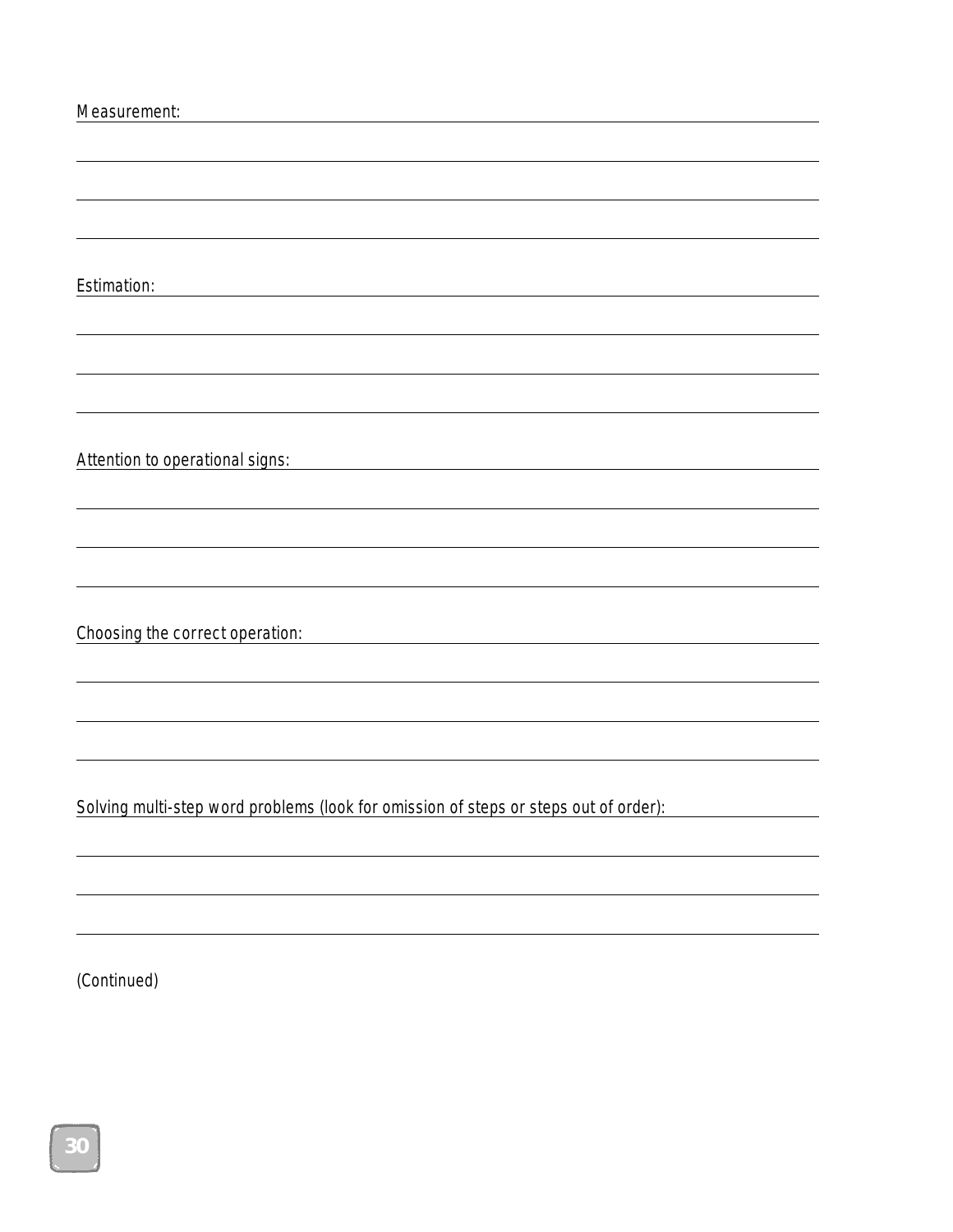| Measurement:                                                                                       |
|----------------------------------------------------------------------------------------------------|
|                                                                                                    |
|                                                                                                    |
|                                                                                                    |
| Estimation:                                                                                        |
|                                                                                                    |
|                                                                                                    |
|                                                                                                    |
| Attention to operational signs:<br>the contract of the contract of the contract of the contract of |
|                                                                                                    |
|                                                                                                    |
|                                                                                                    |
| Choosing the correct operation:<br><u> 1986 - Johann Stein, mars ann an t-</u>                     |
|                                                                                                    |
|                                                                                                    |
|                                                                                                    |
| Solving multi-step word problems (look for omission of steps or steps out of order):               |
|                                                                                                    |
|                                                                                                    |
|                                                                                                    |

(Continued)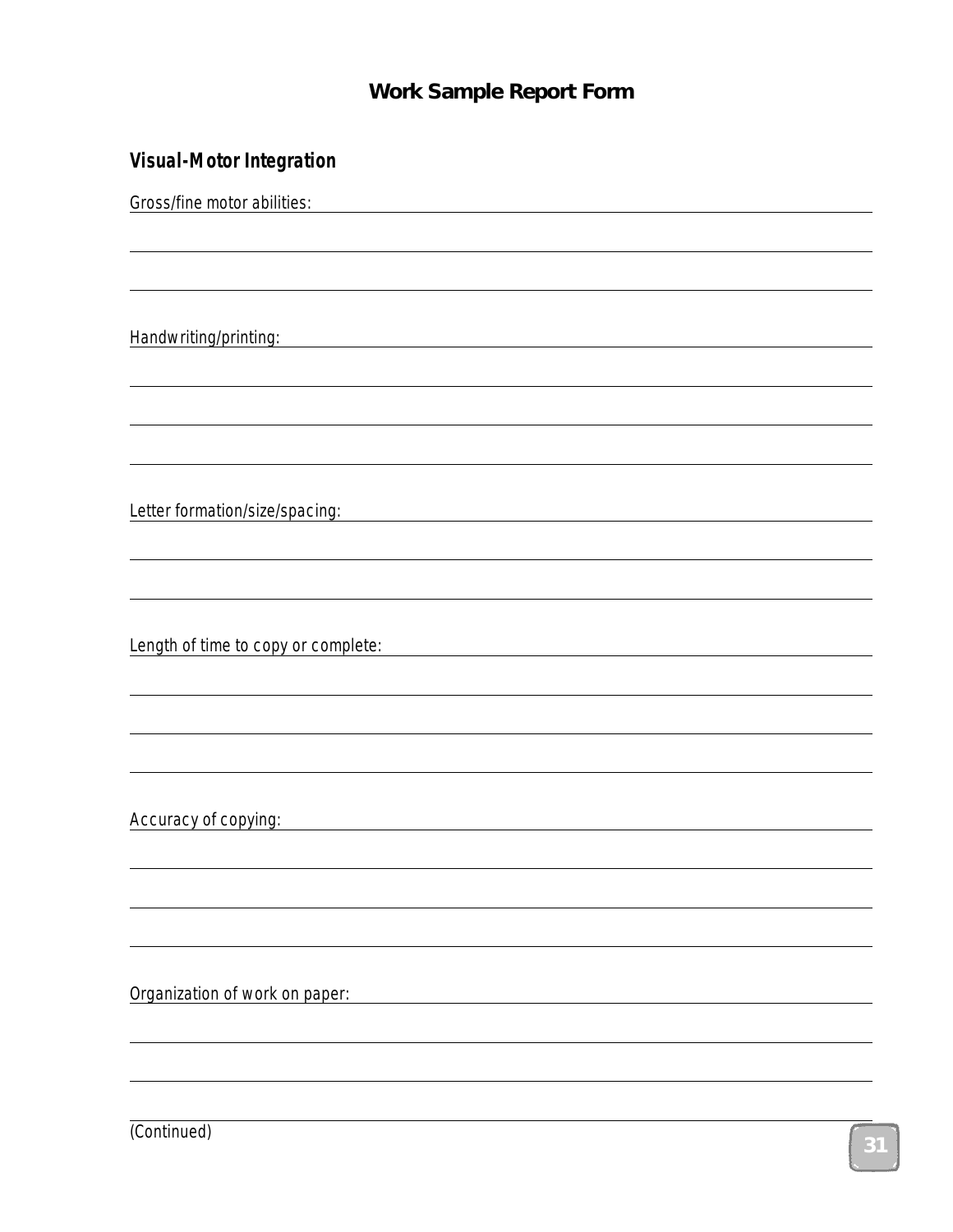# **Work Sample Report Form**

# **Visual-Motor Integration**

Gross/fine motor abilities: Handwriting/printing: <u> 1980 - Johann Barn, fransk politik fotograf (d. 1980)</u> Letter formation/size/spacing: Length of time to copy or complete: Accuracy of copying: **Accuracy of copying:** Organization of work on paper: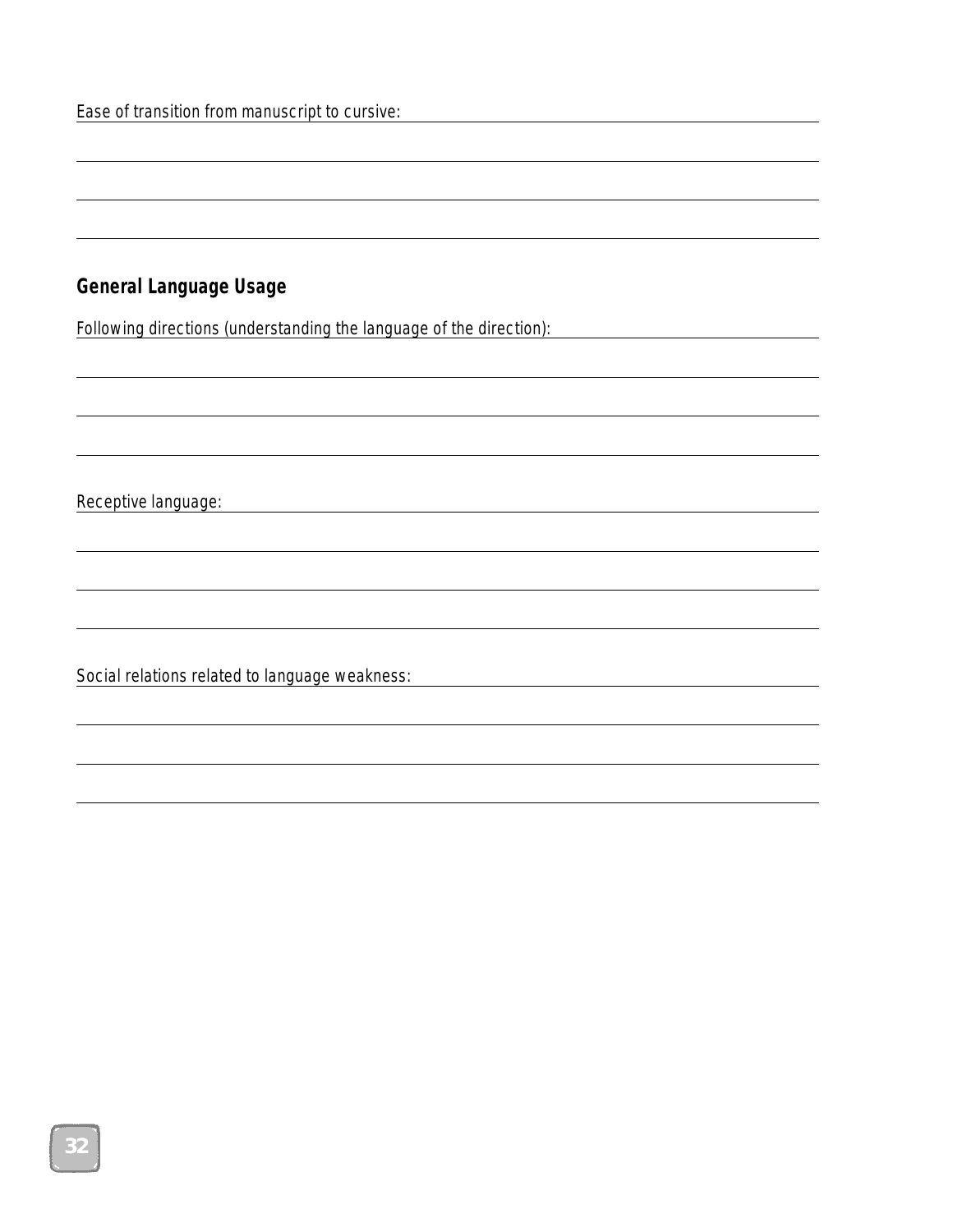# **General Language Usage**

Following directions (understanding the language of the direction):

Receptive language: Note that the set of the set of the set of the set of the set of the set of the set of the set of the set of the set of the set of the set of the set of the set of the set of the set of the set of the s

Social relations related to language weakness: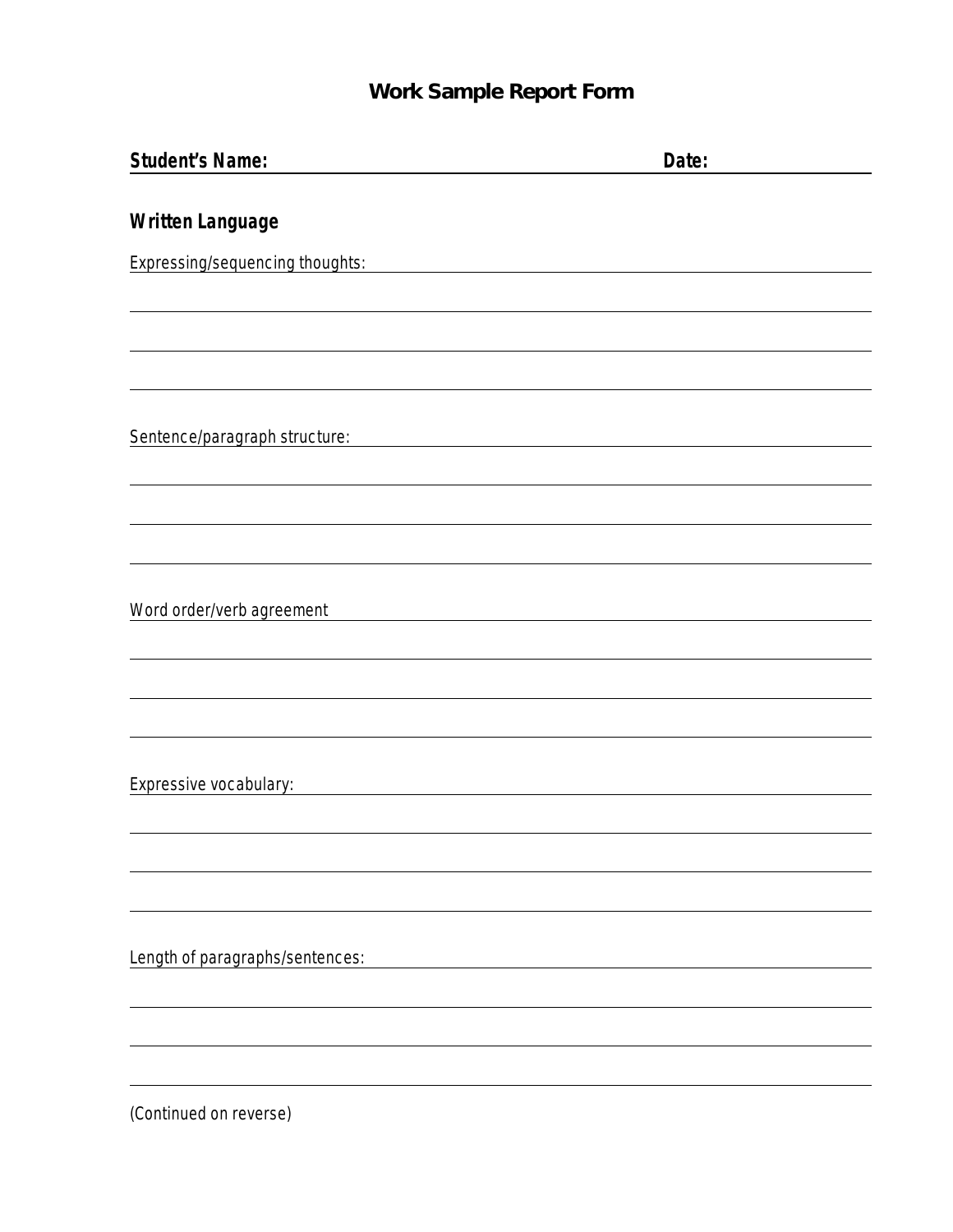# **Work Sample Report Form**

| <b>Student's Name:</b>                 | Date: |
|----------------------------------------|-------|
|                                        |       |
| <b>Written Language</b>                |       |
| <b>Expressing/sequencing thoughts:</b> |       |
|                                        |       |
|                                        |       |
|                                        |       |
|                                        |       |
| Sentence/paragraph structure:          |       |
|                                        |       |
|                                        |       |
|                                        |       |
|                                        |       |
| Word order/verb agreement              |       |
|                                        |       |
|                                        |       |
|                                        |       |
| Expressive vocabulary:                 |       |
|                                        |       |
|                                        |       |
|                                        |       |
|                                        |       |
| Length of paragraphs/sentences:        |       |
|                                        |       |
|                                        |       |
|                                        |       |
|                                        |       |

(Continued on reverse)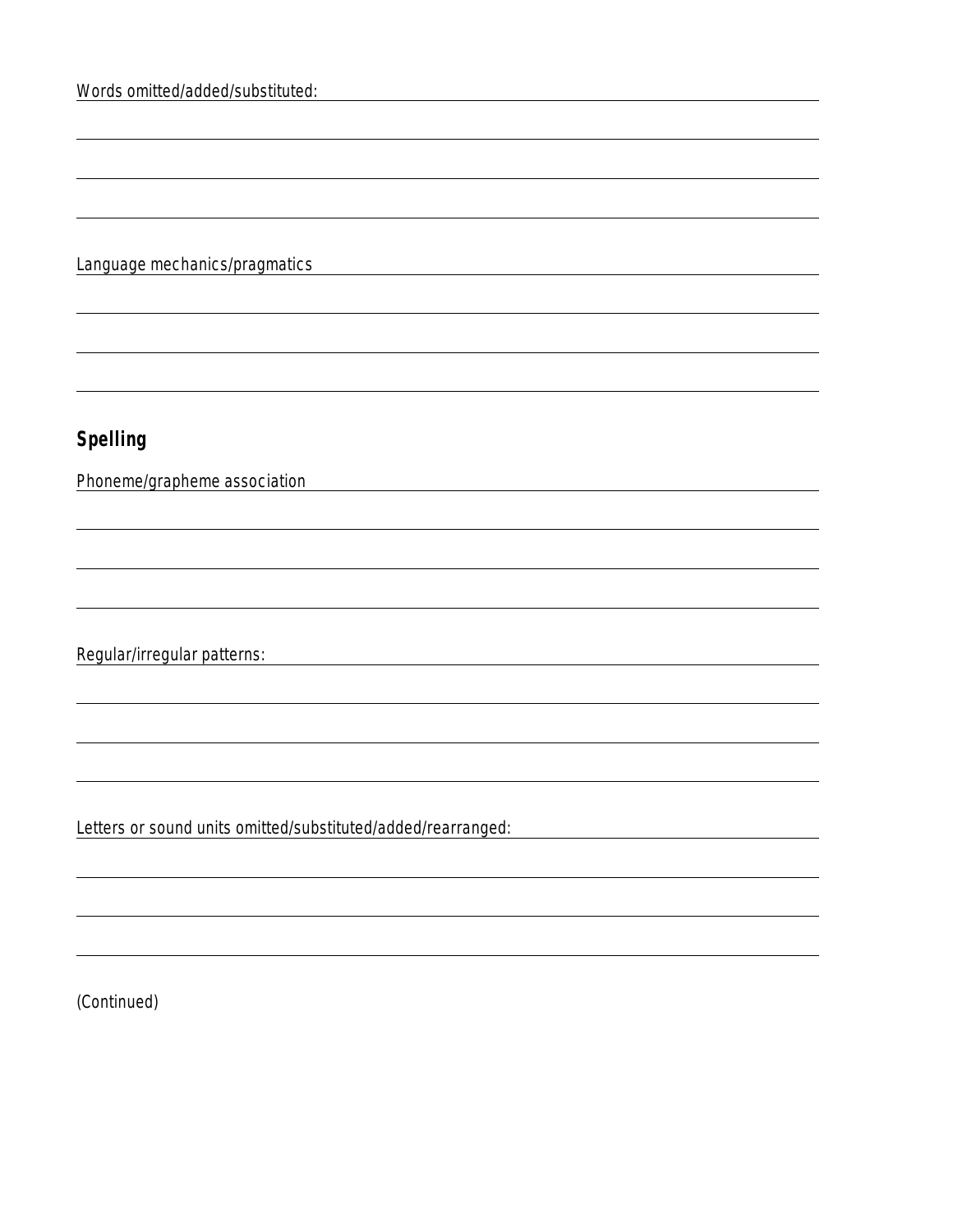Language mechanics/pragmatics

<u> 1989 - Johann Stein, marwolaethau a bhann an t-Amhain ann an t-Amhain an t-Amhain an t-Amhain an t-Amhain an </u>

# **Spelling**

Phoneme/grapheme association

Regular/irregular patterns:

Letters or sound units omitted/substituted/added/rearranged:

(Continued)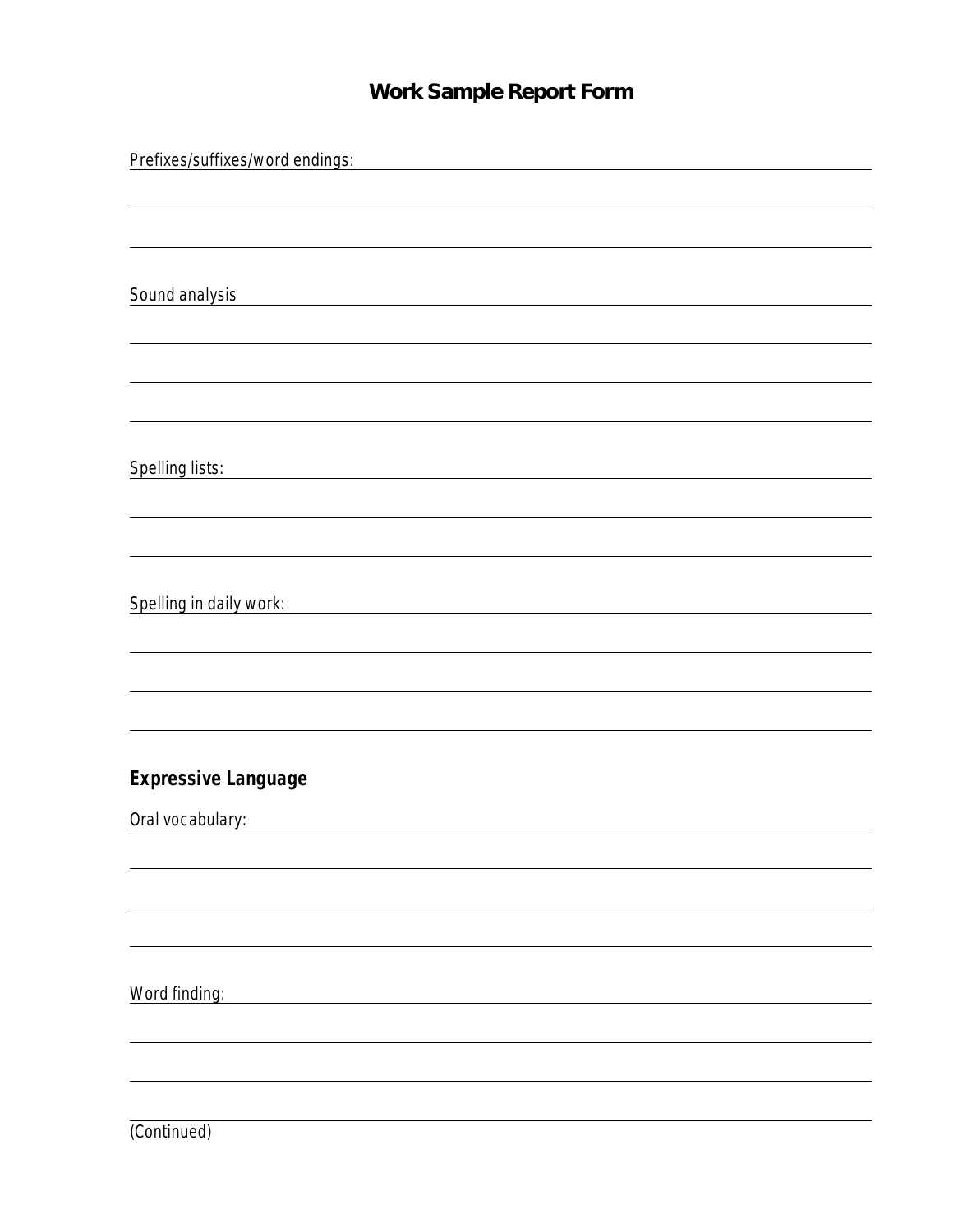# **Work Sample Report Form**

| Prefixes/suffixes/word endings:                                                                                                           |
|-------------------------------------------------------------------------------------------------------------------------------------------|
|                                                                                                                                           |
|                                                                                                                                           |
|                                                                                                                                           |
|                                                                                                                                           |
| Sound analysis                                                                                                                            |
|                                                                                                                                           |
|                                                                                                                                           |
|                                                                                                                                           |
|                                                                                                                                           |
|                                                                                                                                           |
| Spelling lists:<br><u> 1989 - Johann Stoff, deutscher Stoffen und der Stoffen und der Stoffen und der Stoffen und der Stoffen und der</u> |
|                                                                                                                                           |
|                                                                                                                                           |
|                                                                                                                                           |
| Spelling in daily work:                                                                                                                   |
|                                                                                                                                           |
|                                                                                                                                           |
|                                                                                                                                           |
|                                                                                                                                           |
|                                                                                                                                           |
| <b>Expressive Language</b>                                                                                                                |
|                                                                                                                                           |
| Oral vocabulary:                                                                                                                          |
|                                                                                                                                           |
|                                                                                                                                           |
|                                                                                                                                           |
|                                                                                                                                           |
|                                                                                                                                           |
| Word finding:                                                                                                                             |
|                                                                                                                                           |
|                                                                                                                                           |
|                                                                                                                                           |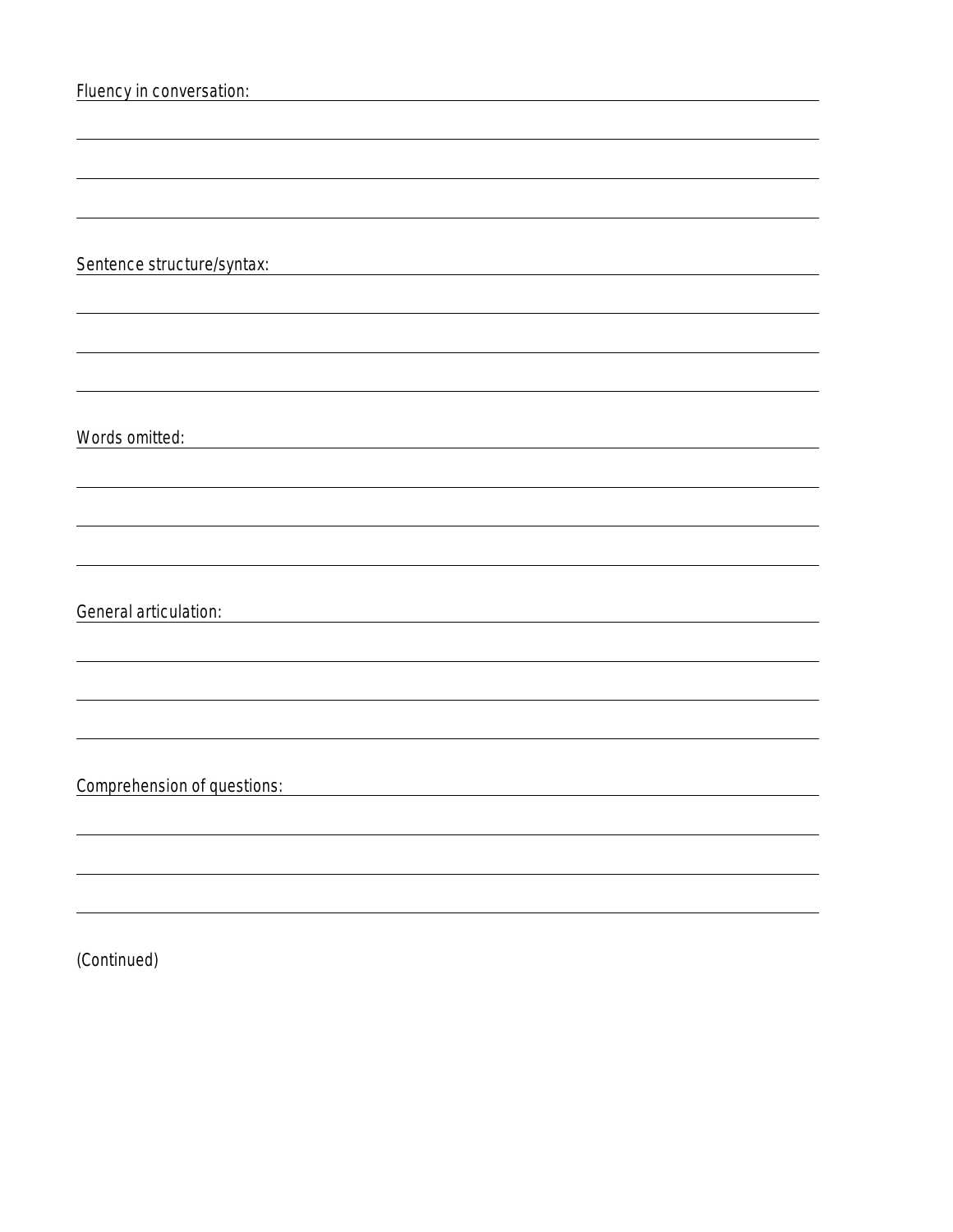| Fluency in conversation:                                                                                 |
|----------------------------------------------------------------------------------------------------------|
|                                                                                                          |
|                                                                                                          |
|                                                                                                          |
|                                                                                                          |
|                                                                                                          |
| Sentence structure/syntax:                                                                               |
|                                                                                                          |
|                                                                                                          |
|                                                                                                          |
|                                                                                                          |
|                                                                                                          |
| Words omitted:                                                                                           |
|                                                                                                          |
|                                                                                                          |
|                                                                                                          |
|                                                                                                          |
|                                                                                                          |
| General articulation:<br>the contract of the contract of the contract of the contract of the contract of |
|                                                                                                          |
|                                                                                                          |
|                                                                                                          |
|                                                                                                          |
|                                                                                                          |
| Comprehension of questions:                                                                              |
|                                                                                                          |
|                                                                                                          |
|                                                                                                          |
|                                                                                                          |

(Continued)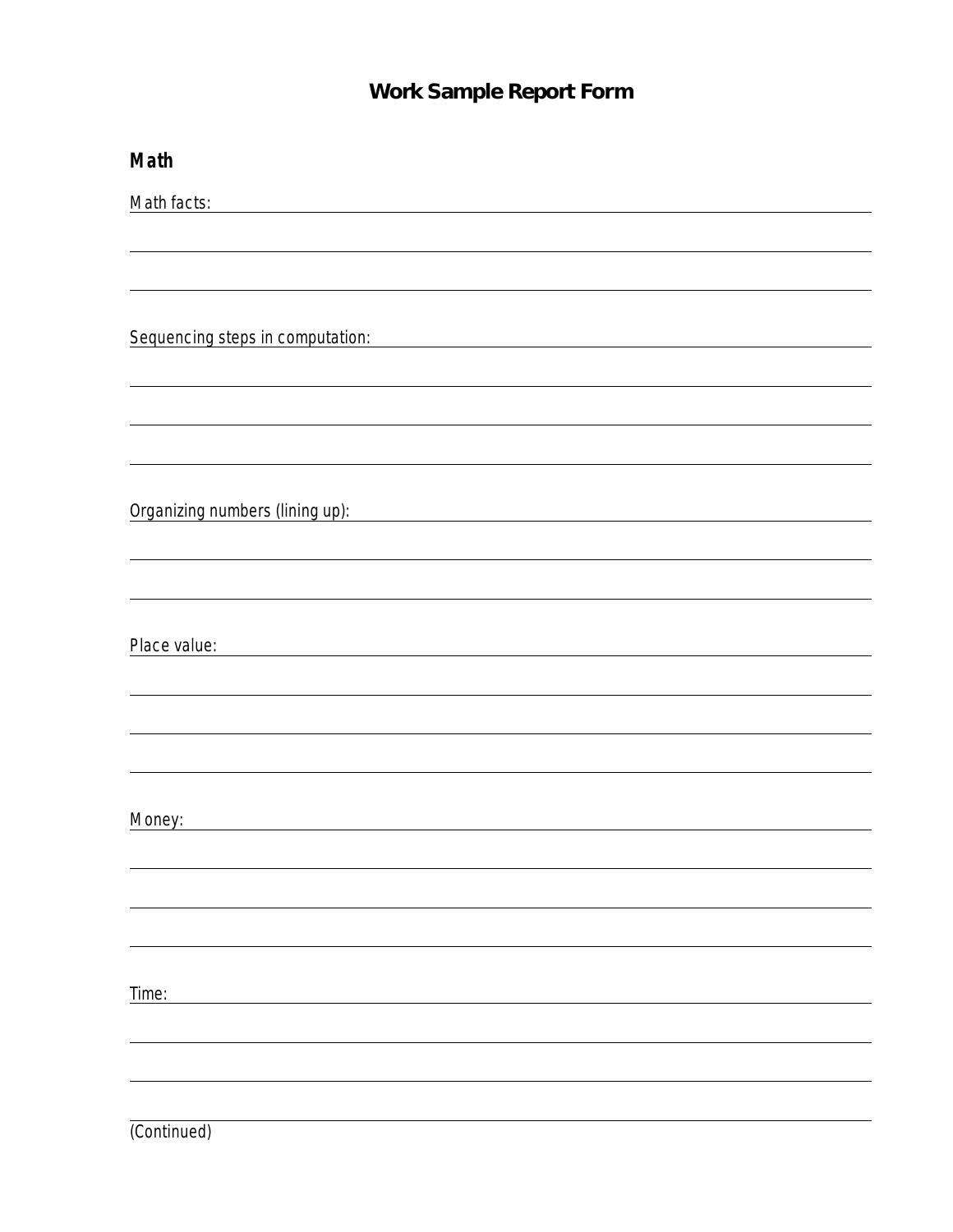# **Work Sample Report Form**

| <b>Math</b>                                                                                                                                                                                                                    |
|--------------------------------------------------------------------------------------------------------------------------------------------------------------------------------------------------------------------------------|
| Math facts:                                                                                                                                                                                                                    |
|                                                                                                                                                                                                                                |
|                                                                                                                                                                                                                                |
|                                                                                                                                                                                                                                |
| Sequencing steps in computation:<br><u> 1980 - Andrea Brand, amerikansk politik (</u>                                                                                                                                          |
|                                                                                                                                                                                                                                |
|                                                                                                                                                                                                                                |
|                                                                                                                                                                                                                                |
|                                                                                                                                                                                                                                |
| Organizing numbers (lining up): example and all of the set of the set of the set of the set of the set of the set of the set of the set of the set of the set of the set of the set of the set of the set of the set of the se |
|                                                                                                                                                                                                                                |
|                                                                                                                                                                                                                                |
| Place value:                                                                                                                                                                                                                   |
|                                                                                                                                                                                                                                |
|                                                                                                                                                                                                                                |
|                                                                                                                                                                                                                                |
|                                                                                                                                                                                                                                |
| Money:                                                                                                                                                                                                                         |
|                                                                                                                                                                                                                                |
|                                                                                                                                                                                                                                |
|                                                                                                                                                                                                                                |
|                                                                                                                                                                                                                                |
| Time:                                                                                                                                                                                                                          |
|                                                                                                                                                                                                                                |
|                                                                                                                                                                                                                                |
|                                                                                                                                                                                                                                |

(Continued)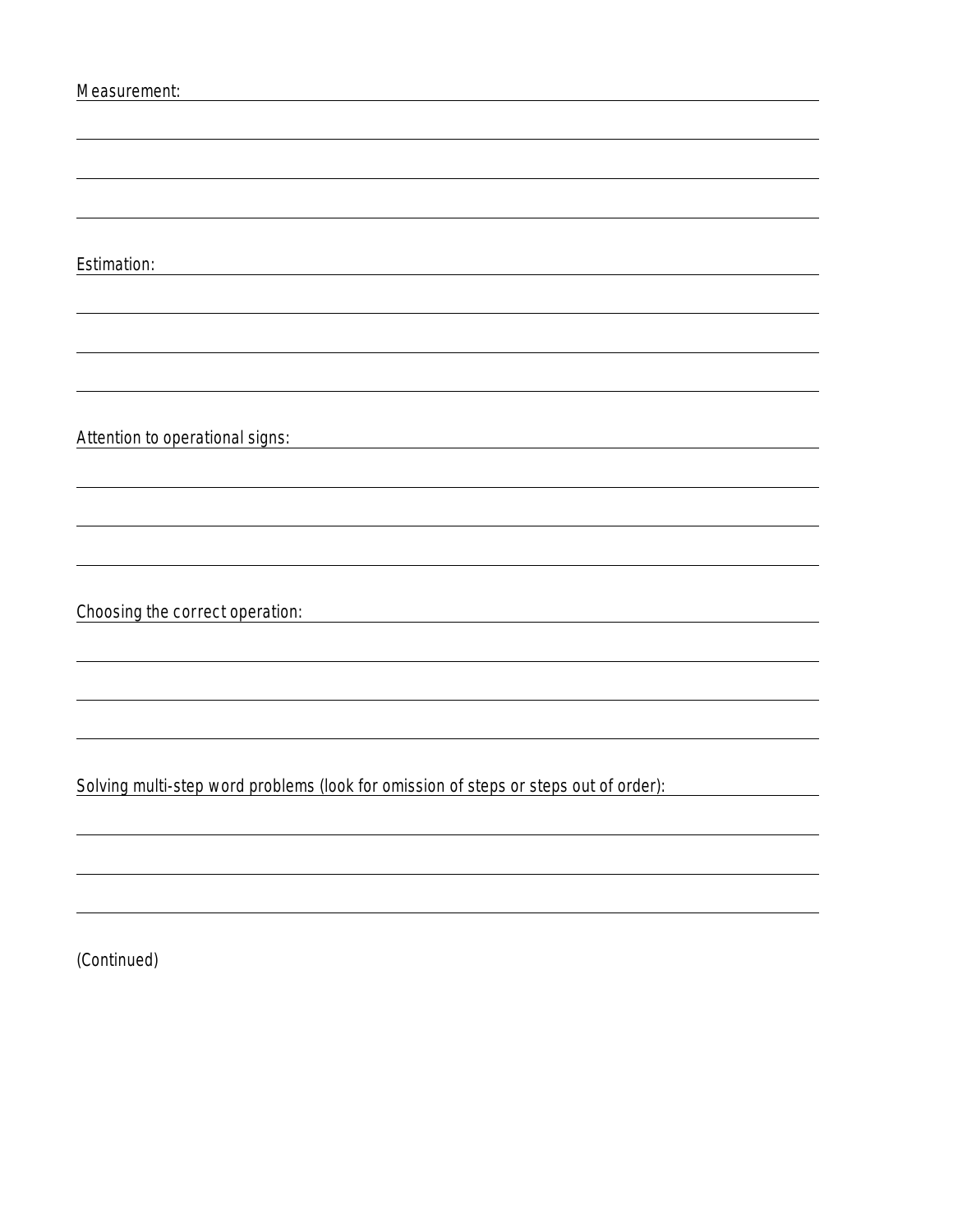| Measurement:                                                                         |
|--------------------------------------------------------------------------------------|
|                                                                                      |
|                                                                                      |
|                                                                                      |
|                                                                                      |
|                                                                                      |
|                                                                                      |
|                                                                                      |
| Estimation:                                                                          |
|                                                                                      |
|                                                                                      |
|                                                                                      |
|                                                                                      |
|                                                                                      |
|                                                                                      |
|                                                                                      |
| Attention to operational signs:                                                      |
|                                                                                      |
|                                                                                      |
|                                                                                      |
|                                                                                      |
|                                                                                      |
|                                                                                      |
|                                                                                      |
| Choosing the correct operation:                                                      |
|                                                                                      |
|                                                                                      |
|                                                                                      |
|                                                                                      |
|                                                                                      |
|                                                                                      |
|                                                                                      |
| Solving multi-step word problems (look for omission of steps or steps out of order): |
|                                                                                      |
|                                                                                      |
|                                                                                      |
|                                                                                      |
|                                                                                      |
|                                                                                      |

(Continued)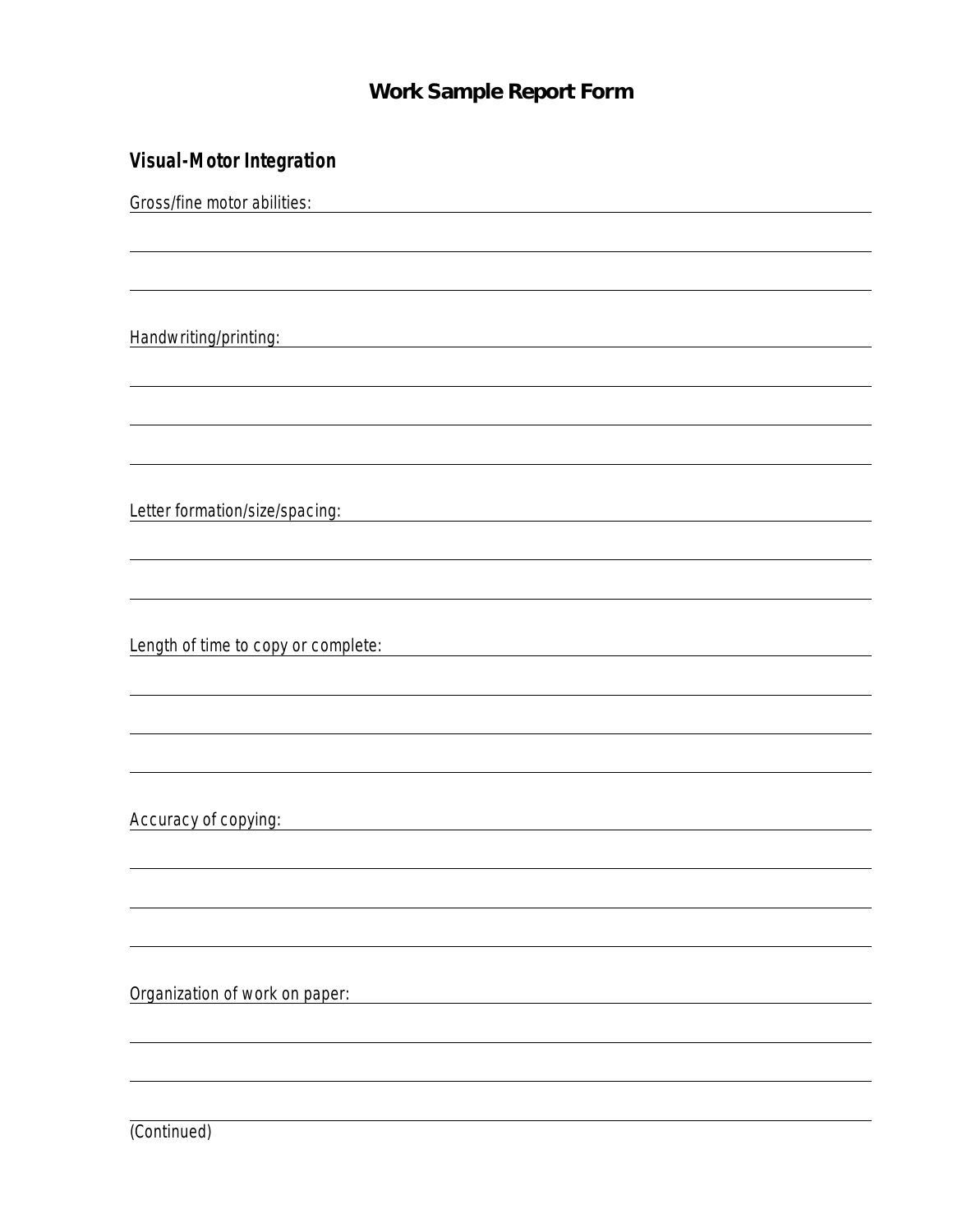#### **Work Sample Report Form**

#### **Visual-Motor Integration**

Gross/fine motor abilities: Handwriting/printing: Letter formation/size/spacing: Length of time to copy or complete: Accuracy of copying: **Accuracy of copying:** Organization of work on paper: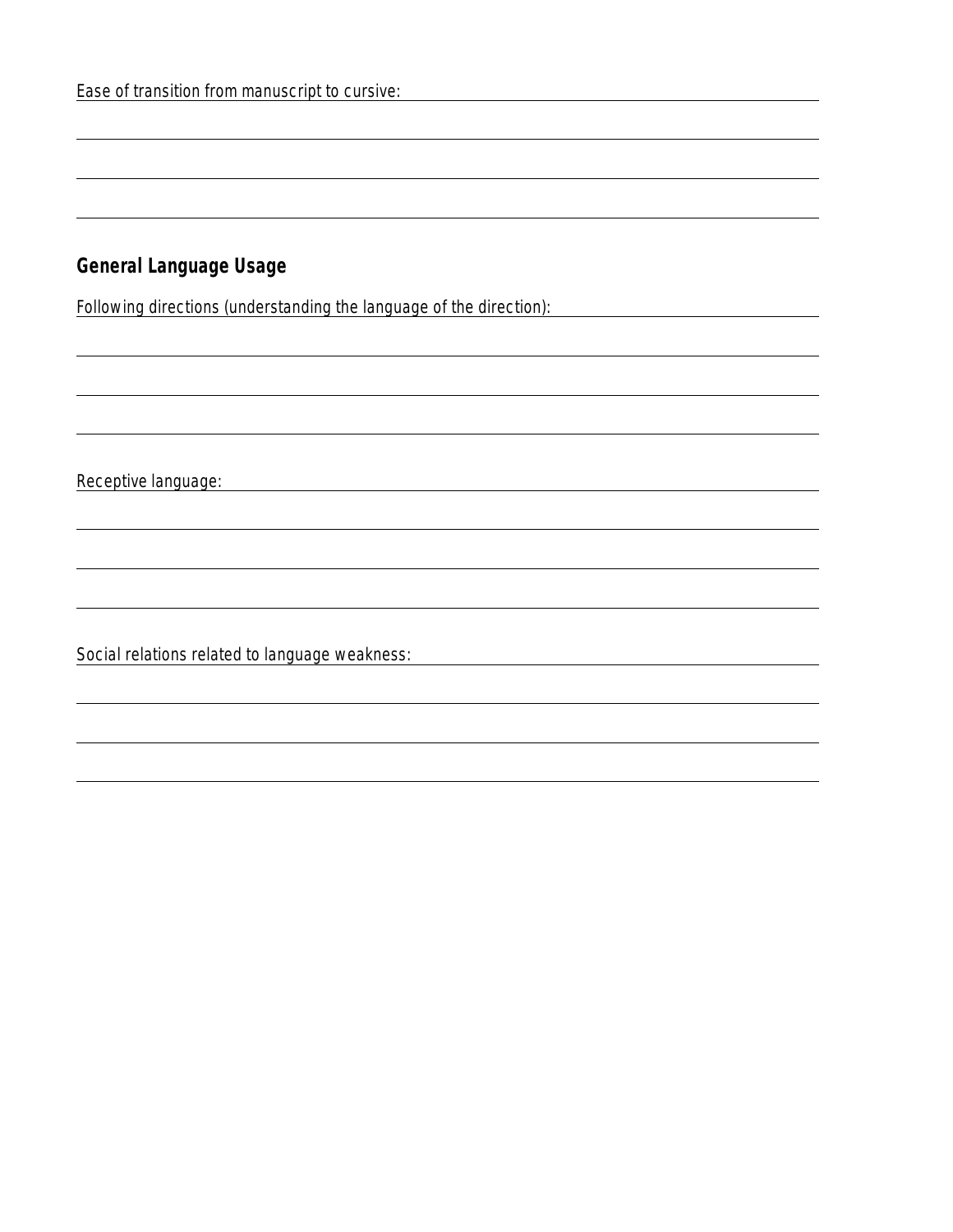#### **General Language Usage**

Following directions (understanding the language of the direction):

<u> 1980 - Johann Barbara, martxa al</u>

Receptive language: and the state of the state of the state of the state of the state of the state of the state of the state of the state of the state of the state of the state of the state of the state of the state of the

Social relations related to language weakness: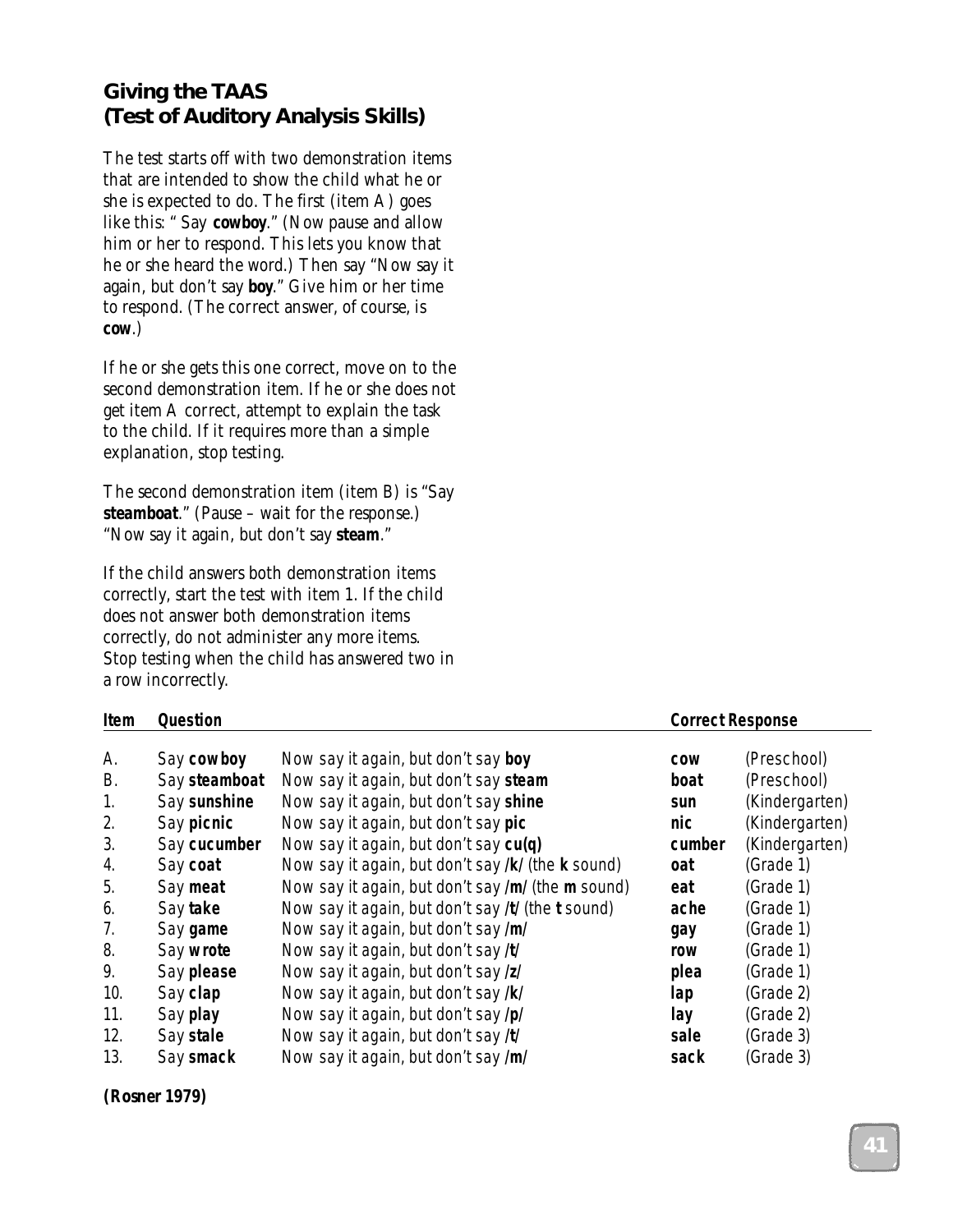#### **Giving the TAAS (Test of Auditory Analysis Skills)**

The test starts off with two demonstration items that are intended to show the child what he or she is expected to do. The first (item A) goes like this: " Say *cowboy*." (Now pause and allow him or her to respond. This lets you know that he or she heard the word.) Then say "Now say it again, but don't say *boy*." Give him or her time to respond. (The correct answer, of course, is *cow*.)

If he or she gets this one correct, move on to the second demonstration item. If he or she does not get item A correct, attempt to explain the task to the child. If it requires more than a simple explanation, stop testing.

The second demonstration item (item B) is "Say *steamboat*." (Pause – wait for the response.) "Now say it again, but don't say *steam*."

If the child answers both demonstration items correctly, start the test with item 1. If the child does not answer both demonstration items correctly, do not administer any more items. Stop testing when the child has answered two in a row incorrectly.

| <b>Item</b> | <b>Question</b> | <b>Correct Response</b>                                         |            |                |
|-------------|-----------------|-----------------------------------------------------------------|------------|----------------|
| А.          | Say cowboy      | Now say it again, but don't say boy                             | <b>COW</b> | (Preschool)    |
|             |                 |                                                                 |            |                |
| В.          | Say steamboat   | Now say it again, but don't say steam                           | boat       | (Preschool)    |
| 1.          | Say sunshine    | Now say it again, but don't say shine                           | sun        | (Kindergarten) |
| 2.          | Say picnic      | Now say it again, but don't say pic                             | nic        | (Kindergarten) |
| 3.          | Say cucumber    | Now say it again, but don't say cu(q)                           | cumber     | (Kindergarten) |
| 4.          | Say coat        | Now say it again, but don't say /k/ (the k sound)               | oat        | (Grade 1)      |
| 5.          | Say meat        | Now say it again, but don't say <b>/m/</b> (the <b>m</b> sound) | eat        | (Grade 1)      |
| 6.          | Say take        | Now say it again, but don't say /t/ (the t sound)               | ache       | (Grade 1)      |
| 7.          | Say game        | Now say it again, but don't say /m/                             | gay        | (Grade 1)      |
| 8.          | Say wrote       | Now say it again, but don't say /t/                             | row        | (Grade 1)      |
| 9.          | Say please      | Now say it again, but don't say /z/                             | plea       | (Grade 1)      |
| 10.         | Say clap        | Now say it again, but don't say /k/                             | lap        | (Grade 2)      |
| 11.         | Say play        | Now say it again, but don't say /p/                             | lay        | (Grade 2)      |
| 12.         | Say stale       | Now say it again, but don't say /t/                             | sale       | (Grade 3)      |
| 13.         | Say smack       | Now say it again, but don't say /m/                             | sack       | (Grade 3)      |

**(Rosner 1979)**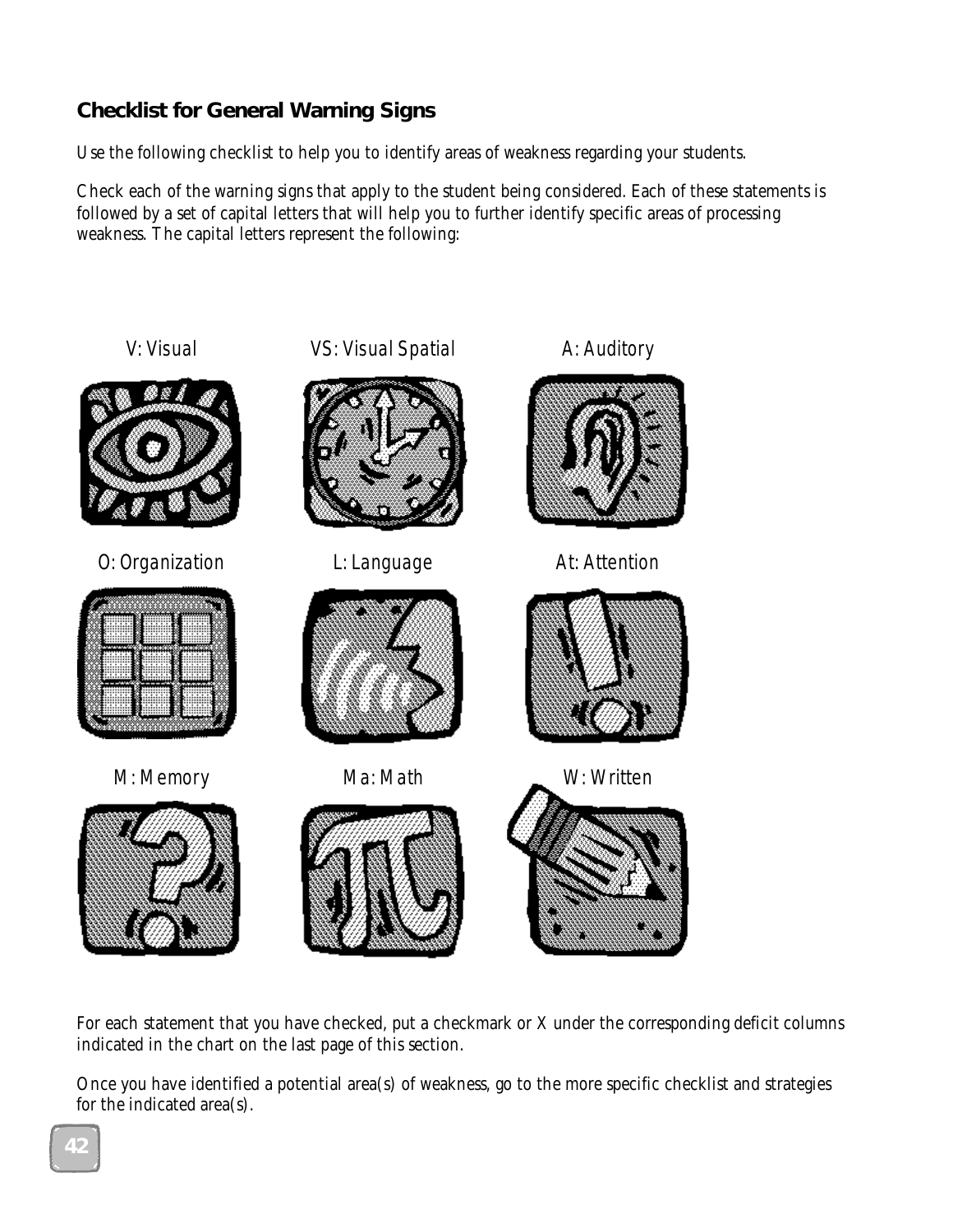## **Checklist for General Warning Signs**

Use the following checklist to help you to identify areas of weakness regarding your students.

Check each of the warning signs that apply to the student being considered. Each of these statements is followed by a set of capital letters that will help you to further identify specific areas of processing weakness. The capital letters represent the following:



For each statement that you have checked, put a checkmark or X under the corresponding deficit columns indicated in the chart on the last page of this section.

Once you have identified a potential area(s) of weakness, go to the more specific checklist and strategies for the indicated area(s).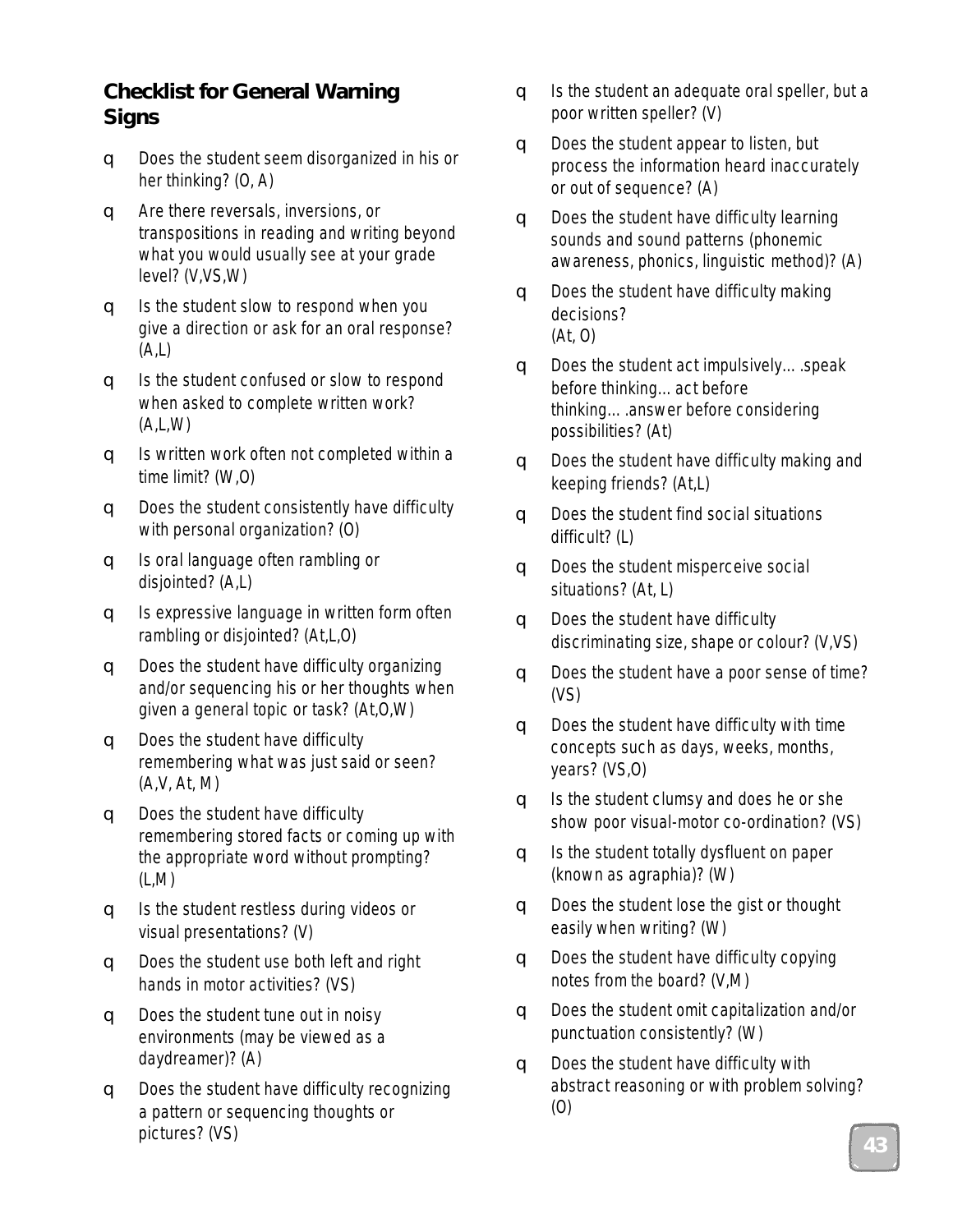### **Checklist for General Warning Signs**

- ❑ Does the student seem disorganized in his or her thinking? (O, A)
- ❑ Are there reversals, inversions, or transpositions in reading and writing beyond what you would usually see at your grade level? (V,VS,W)
- ❑ Is the student slow to respond when you give a direction or ask for an oral response?  $(A,L)$
- ❑ Is the student confused or slow to respond when asked to complete written work? (A,L,W)
- ❑ Is written work often not completed within a time limit? (W,O)
- ❑ Does the student consistently have difficulty with personal organization? (O)
- ❑ Is oral language often rambling or disjointed? (A,L)
- ❑ Is expressive language in written form often rambling or disjointed? (At,L,O)
- ❑ Does the student have difficulty organizing and/or sequencing his or her thoughts when given a general topic or task? (At,O,W)
- ❑ Does the student have difficulty remembering what was just said or seen? (A,V, At, M)
- ❑ Does the student have difficulty remembering stored facts or coming up with the appropriate word without prompting? (L,M)
- ❑ Is the student restless during videos or visual presentations? (V)
- ❑ Does the student use both left and right hands in motor activities? (VS)
- ❑ Does the student tune out in noisy environments (may be viewed as a daydreamer)? (A)
- ❑ Does the student have difficulty recognizing a pattern or sequencing thoughts or pictures? (VS)  $\begin{bmatrix} 43 \end{bmatrix}$
- $\Box$  Is the student an adequate oral speller, but a poor written speller? (V)
- ❑ Does the student appear to listen, but process the information heard inaccurately or out of sequence? (A)
- ❑ Does the student have difficulty learning sounds and sound patterns (phonemic awareness, phonics, linguistic method)? (A)
- ❑ Does the student have difficulty making decisions? (At, O)
- ❑ Does the student act impulsively….speak before thinking…act before thinking….answer before considering possibilities? (At)
- ❑ Does the student have difficulty making and keeping friends? (At,L)
- ❑ Does the student find social situations difficult? (L)
- ❑ Does the student misperceive social situations? (At, L)
- ❑ Does the student have difficulty discriminating size, shape or colour? (V,VS)
- ❑ Does the student have a poor sense of time? (VS)
- ❑ Does the student have difficulty with time concepts such as days, weeks, months, years? (VS,O)
- $\Box$  Is the student clumsy and does he or she show poor visual-motor co-ordination? (VS)
- ❑ Is the student totally dysfluent on paper (known as agraphia)? (W)
- ❑ Does the student lose the gist or thought easily when writing? (W)
- ❑ Does the student have difficulty copying notes from the board? (V,M)
- ❑ Does the student omit capitalization and/or punctuation consistently? (W)
- ❑ Does the student have difficulty with abstract reasoning or with problem solving? (O)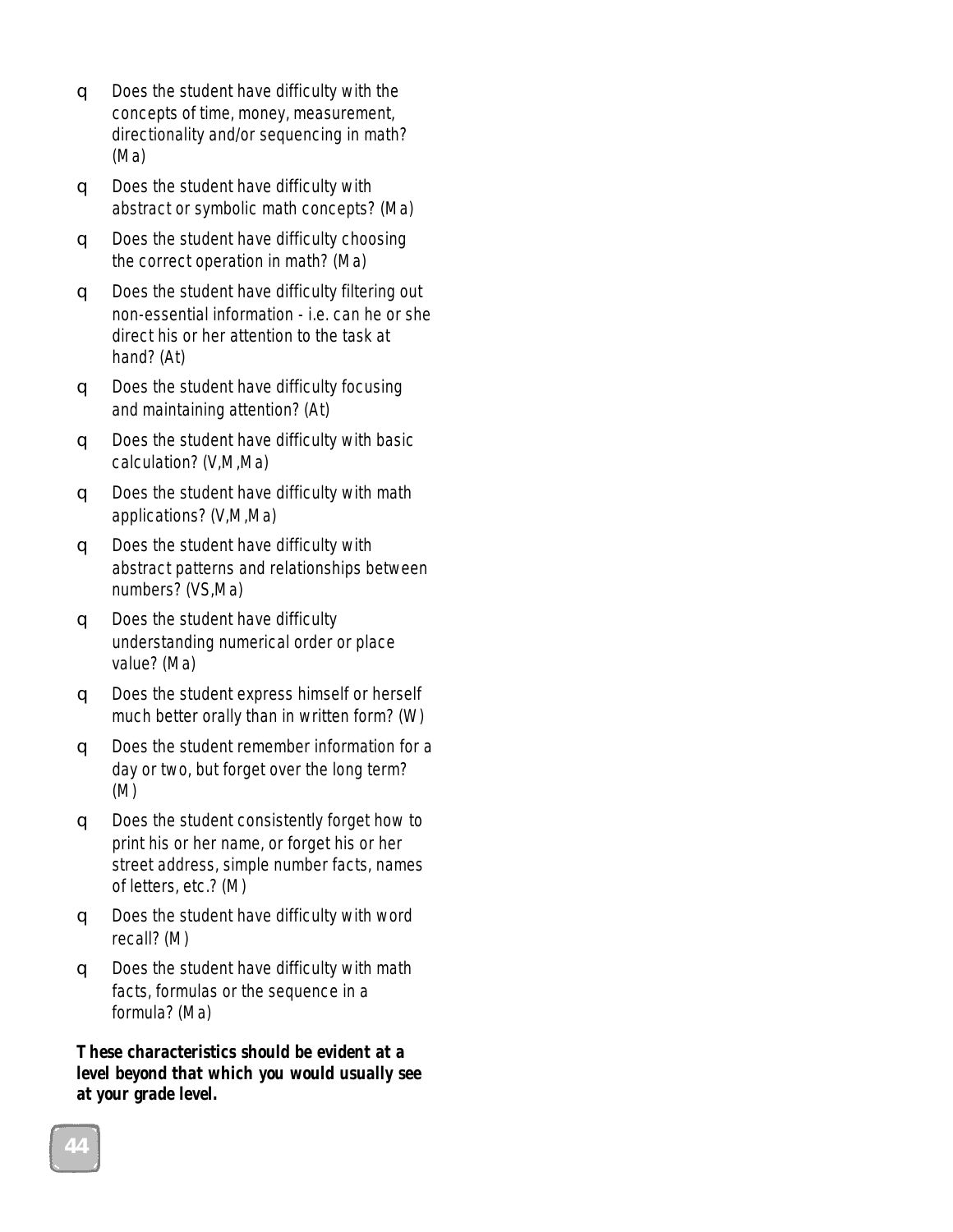- ❑ Does the student have difficulty with the concepts of time, money, measurement, directionality and/or sequencing in math? (Ma)
- ❑ Does the student have difficulty with abstract or symbolic math concepts? (Ma)
- ❑ Does the student have difficulty choosing the correct operation in math? (Ma)
- ❑ Does the student have difficulty filtering out non-essential information - i.e. can he or she direct his or her attention to the task at hand? (At)
- ❑ Does the student have difficulty focusing and maintaining attention? (At)
- ❑ Does the student have difficulty with basic calculation? (V,M,Ma)
- ❑ Does the student have difficulty with math applications? (V,M,Ma)
- ❑ Does the student have difficulty with abstract patterns and relationships between numbers? (VS,Ma)
- ❑ Does the student have difficulty understanding numerical order or place value? (Ma)
- ❑ Does the student express himself or herself much better orally than in written form? (W)
- ❑ Does the student remember information for a day or two, but forget over the long term? (M)
- ❑ Does the student consistently forget how to print his or her name, or forget his or her street address, simple number facts, names of letters, etc.? (M)
- ❑ Does the student have difficulty with word recall? (M)
- ❑ Does the student have difficulty with math facts, formulas or the sequence in a formula? (Ma)

*These characteristics should be evident at a level beyond that which you would usually see at your grade level.*

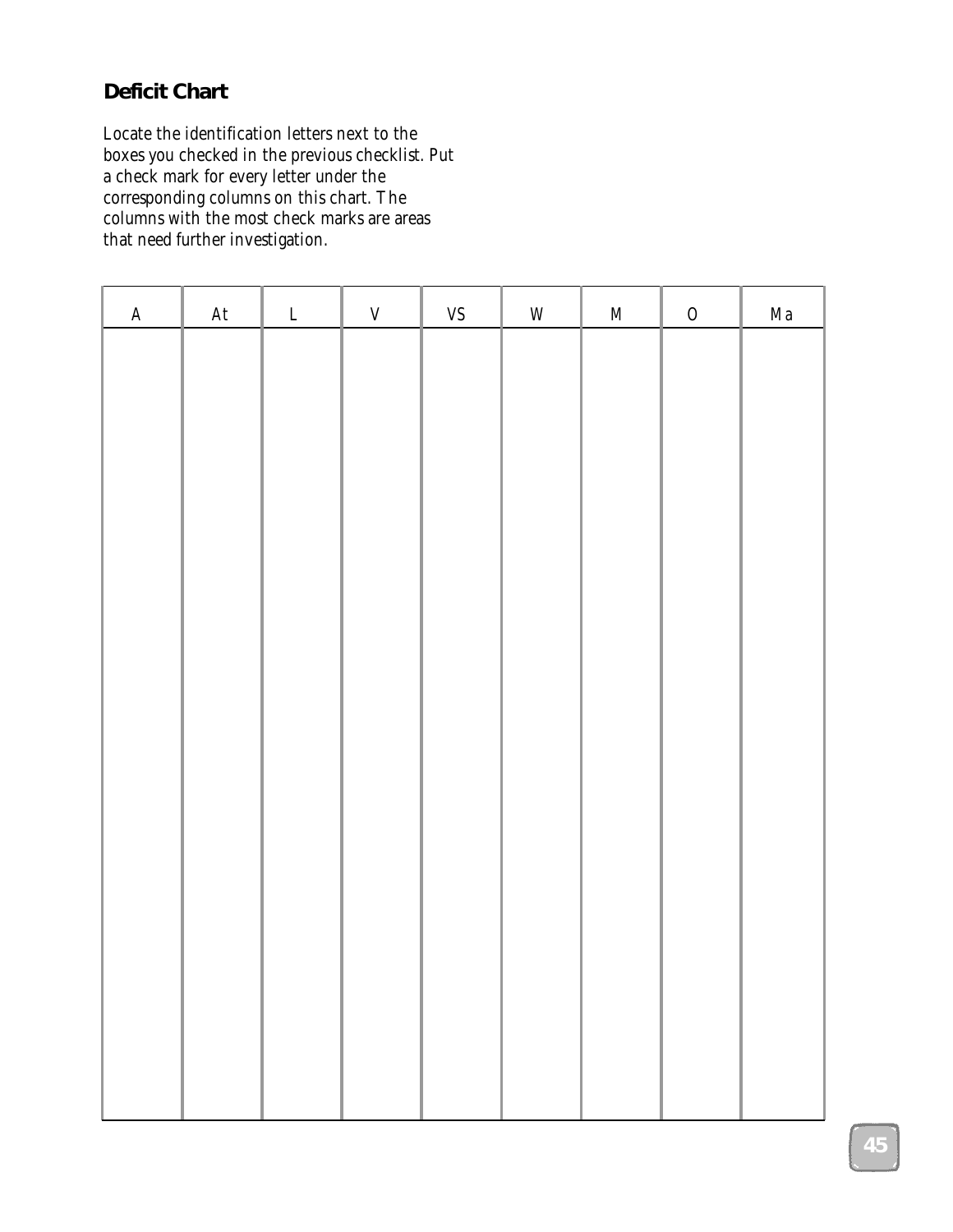## **Deficit Chart**

Locate the identification letters next to the boxes you checked in the previous checklist. Put a check mark for every letter under the corresponding columns on this chart. The columns with the most check marks are areas that need further investigation.

| $\mathsf{A}$ | At | $\mathsf{L}^-$ | $\mathsf{V}^-$ | VS | ${\sf W}$ | ${\sf M}$ | $\mathsf{O}$ | Ma |
|--------------|----|----------------|----------------|----|-----------|-----------|--------------|----|
|              |    |                |                |    |           |           |              |    |
|              |    |                |                |    |           |           |              |    |
|              |    |                |                |    |           |           |              |    |
|              |    |                |                |    |           |           |              |    |
|              |    |                |                |    |           |           |              |    |
|              |    |                |                |    |           |           |              |    |
|              |    |                |                |    |           |           |              |    |
|              |    |                |                |    |           |           |              |    |
|              |    |                |                |    |           |           |              |    |
|              |    |                |                |    |           |           |              |    |
|              |    |                |                |    |           |           |              |    |
|              |    |                |                |    |           |           |              |    |
|              |    |                |                |    |           |           |              |    |
|              |    |                |                |    |           |           |              |    |
|              |    |                |                |    |           |           |              |    |
|              |    |                |                |    |           |           |              |    |
|              |    |                |                |    |           |           |              |    |
|              |    |                |                |    |           |           |              |    |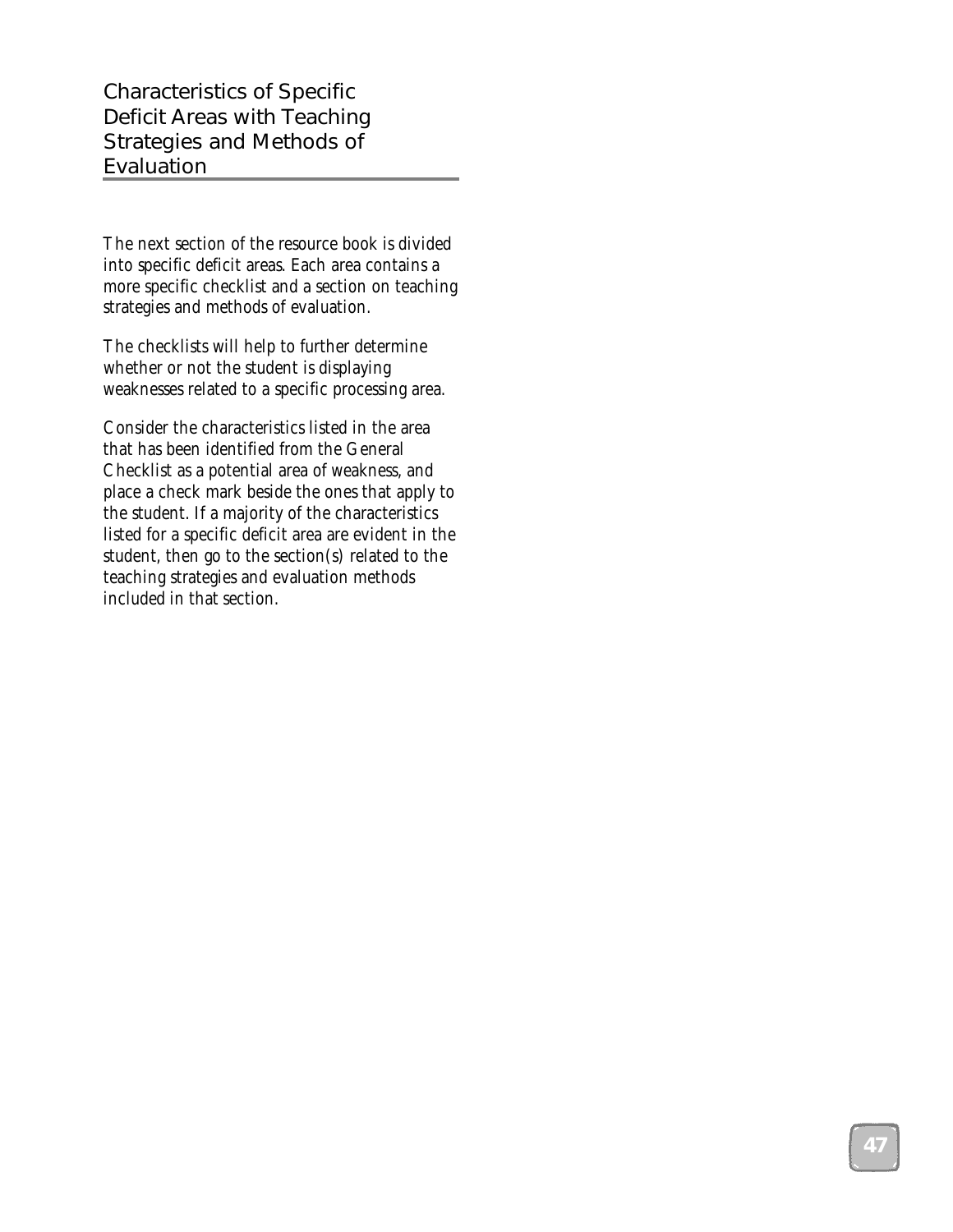The next section of the resource book is divided into specific deficit areas. Each area contains a more specific checklist and a section on teaching strategies and methods of evaluation.

The checklists will help to further determine whether or not the student is displaying weaknesses related to a specific processing area.

Consider the characteristics listed in the area that has been identified from the General Checklist as a potential area of weakness, and place a check mark beside the ones that apply to the student. If a majority of the characteristics listed for a specific deficit area are evident in the student, then go to the section(s) related to the teaching strategies and evaluation methods included in that section.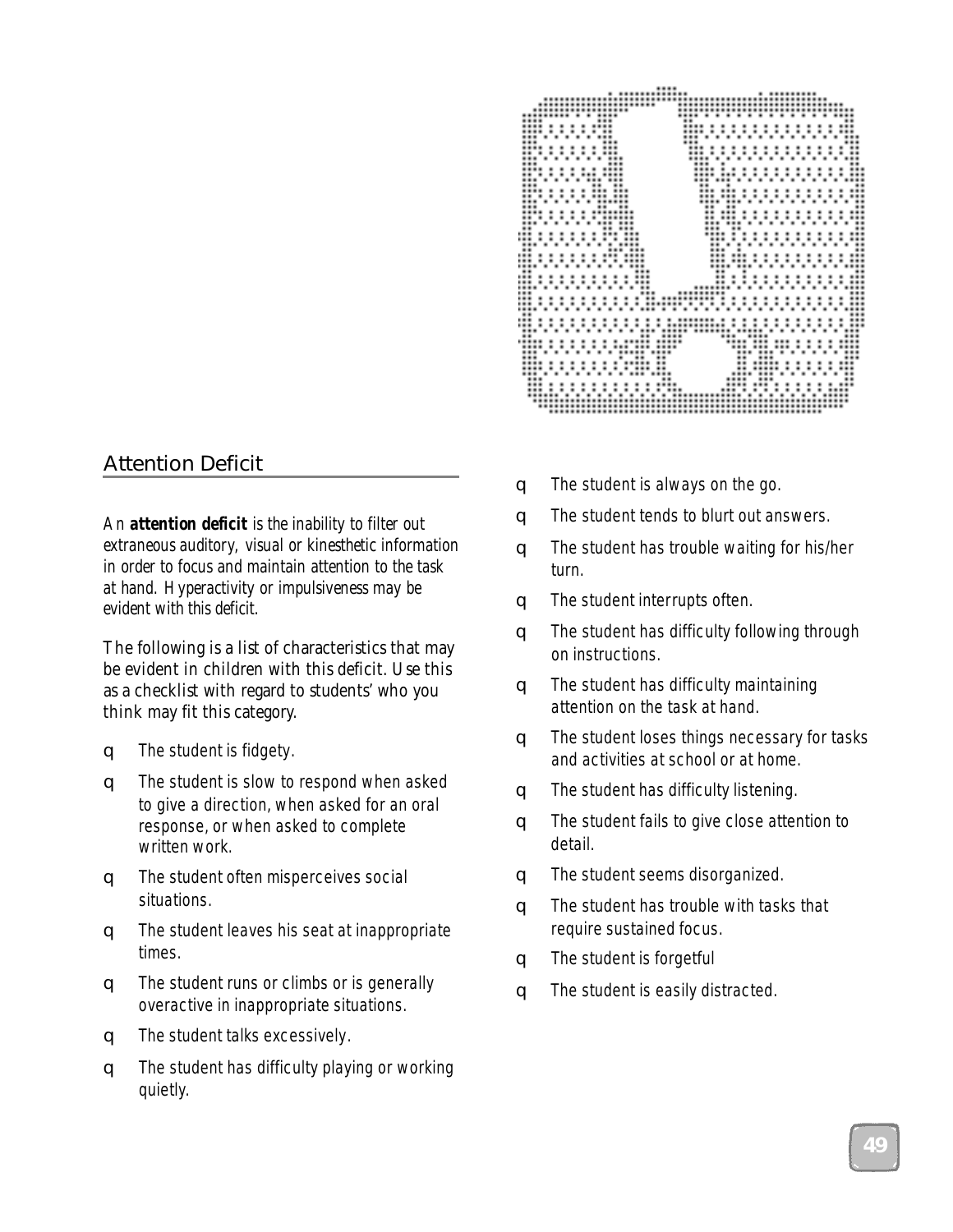

## Attention Deficit

*An attention deficit is the inability to filter out extraneous auditory, visual or kinesthetic information in order to focus and maintain attention to the task at hand. Hyperactivity or impulsiveness may be evident with this deficit.*

The following is a list of characteristics that may be evident in children with this deficit. Use this as a checklist with regard to students' who you think may fit this category.

- ❑ The student is fidgety.
- ❑ The student is slow to respond when asked to give a direction, when asked for an oral response, or when asked to complete written work.
- ❑ The student often misperceives social situations.
- ❑ The student leaves his seat at inappropriate times.
- ❑ The student runs or climbs or is generally overactive in inappropriate situations.
- ❑ The student talks excessively.
- ❑ The student has difficulty playing or working quietly.
- ❑ The student is always on the go.
- ❑ The student tends to blurt out answers.
- ❑ The student has trouble waiting for his/her turn.
- ❑ The student interrupts often.
- ❑ The student has difficulty following through on instructions.
- ❑ The student has difficulty maintaining attention on the task at hand.
- ❑ The student loses things necessary for tasks and activities at school or at home.
- ❑ The student has difficulty listening.
- ❑ The student fails to give close attention to detail.
- ❑ The student seems disorganized.
- ❑ The student has trouble with tasks that require sustained focus.
- ❑ The student is forgetful
- ❑ The student is easily distracted.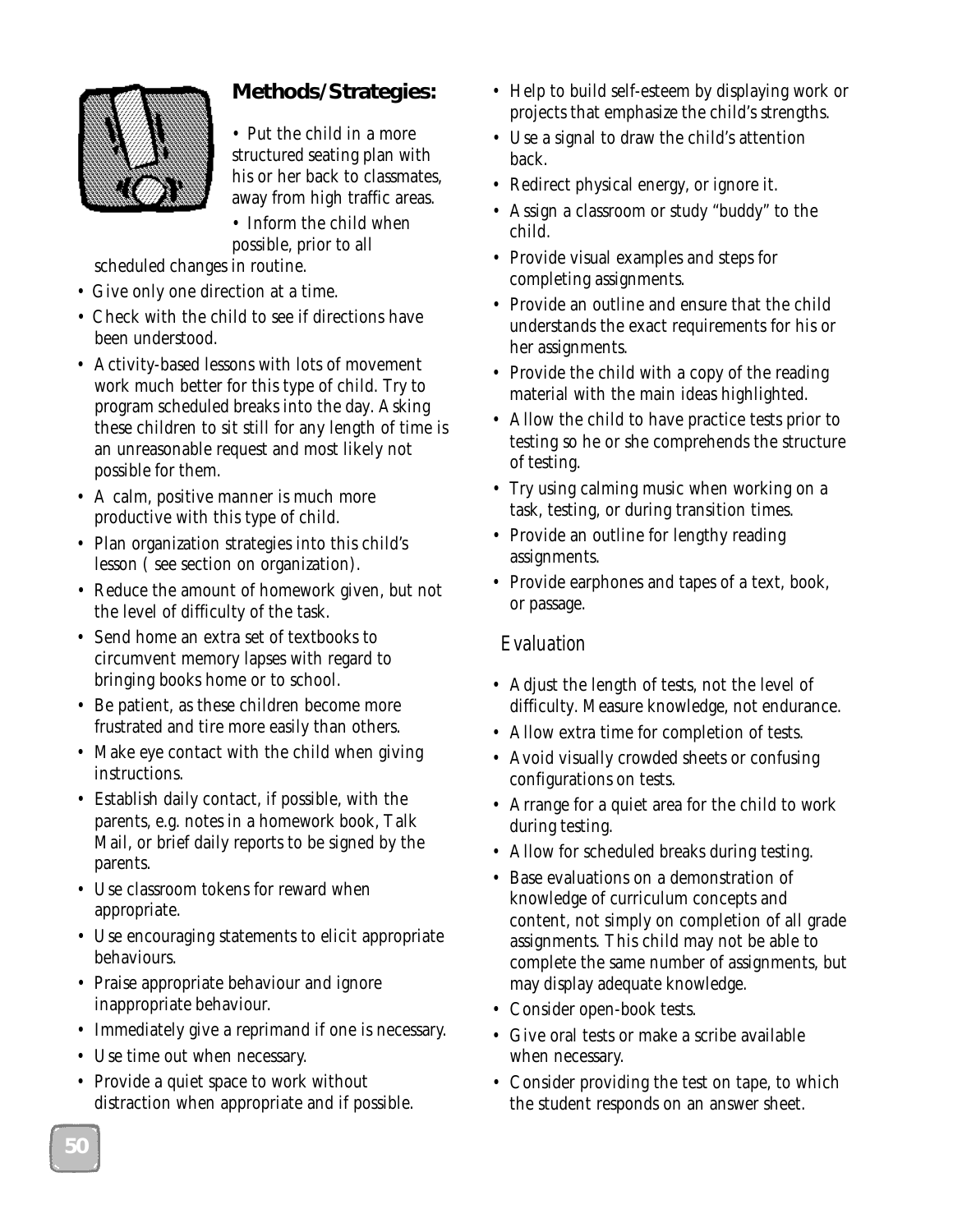

## **Methods/Strategies:**

• Put the child in a more structured seating plan with his or her back to classmates, away from high traffic areas.

• Inform the child when possible, prior to all

scheduled changes in routine.

- Give only one direction at a time.
- Check with the child to see if directions have been understood.
- Activity-based lessons with lots of movement work much better for this type of child. Try to program scheduled breaks into the day. Asking these children to sit still for any length of time is an unreasonable request and most likely not possible for them.
- A calm, positive manner is much more productive with this type of child.
- Plan organization strategies into this child's lesson ( see section on organization).
- Reduce the amount of homework given, but not the level of difficulty of the task.
- Send home an extra set of textbooks to circumvent memory lapses with regard to bringing books home or to school.
- Be patient, as these children become more frustrated and tire more easily than others.
- Make eye contact with the child when giving instructions.
- Establish daily contact, if possible, with the parents, e.g. notes in a homework book, Talk Mail, or brief daily reports to be signed by the parents.
- Use classroom tokens for reward when appropriate.
- Use encouraging statements to elicit appropriate behaviours.
- Praise appropriate behaviour and ignore inappropriate behaviour.
- Immediately give a reprimand if one is necessary.
- Use time out when necessary.
- Provide a quiet space to work without distraction when appropriate and if possible.
- Help to build self-esteem by displaying work or projects that emphasize the child's strengths.
- Use a signal to draw the child's attention back.
- Redirect physical energy, or ignore it.
- Assign a classroom or study "buddy" to the child.
- Provide visual examples and steps for completing assignments.
- Provide an outline and ensure that the child understands the exact requirements for his or her assignments.
- Provide the child with a copy of the reading material with the main ideas highlighted.
- Allow the child to have practice tests prior to testing so he or she comprehends the structure of testing.
- Try using calming music when working on a task, testing, or during transition times.
- Provide an outline for lengthy reading assignments.
- Provide earphones and tapes of a text, book, or passage.

#### *Evaluation*

- Adjust the length of tests, not the level of difficulty. Measure knowledge, not endurance.
- Allow extra time for completion of tests.
- Avoid visually crowded sheets or confusing configurations on tests.
- Arrange for a quiet area for the child to work during testing.
- Allow for scheduled breaks during testing.
- Base evaluations on a demonstration of knowledge of curriculum concepts and content, not simply on completion of all grade assignments. This child may not be able to complete the same number of assignments, but may display adequate knowledge.
- Consider open-book tests.
- Give oral tests or make a scribe available when necessary.
- Consider providing the test on tape, to which the student responds on an answer sheet.

**50**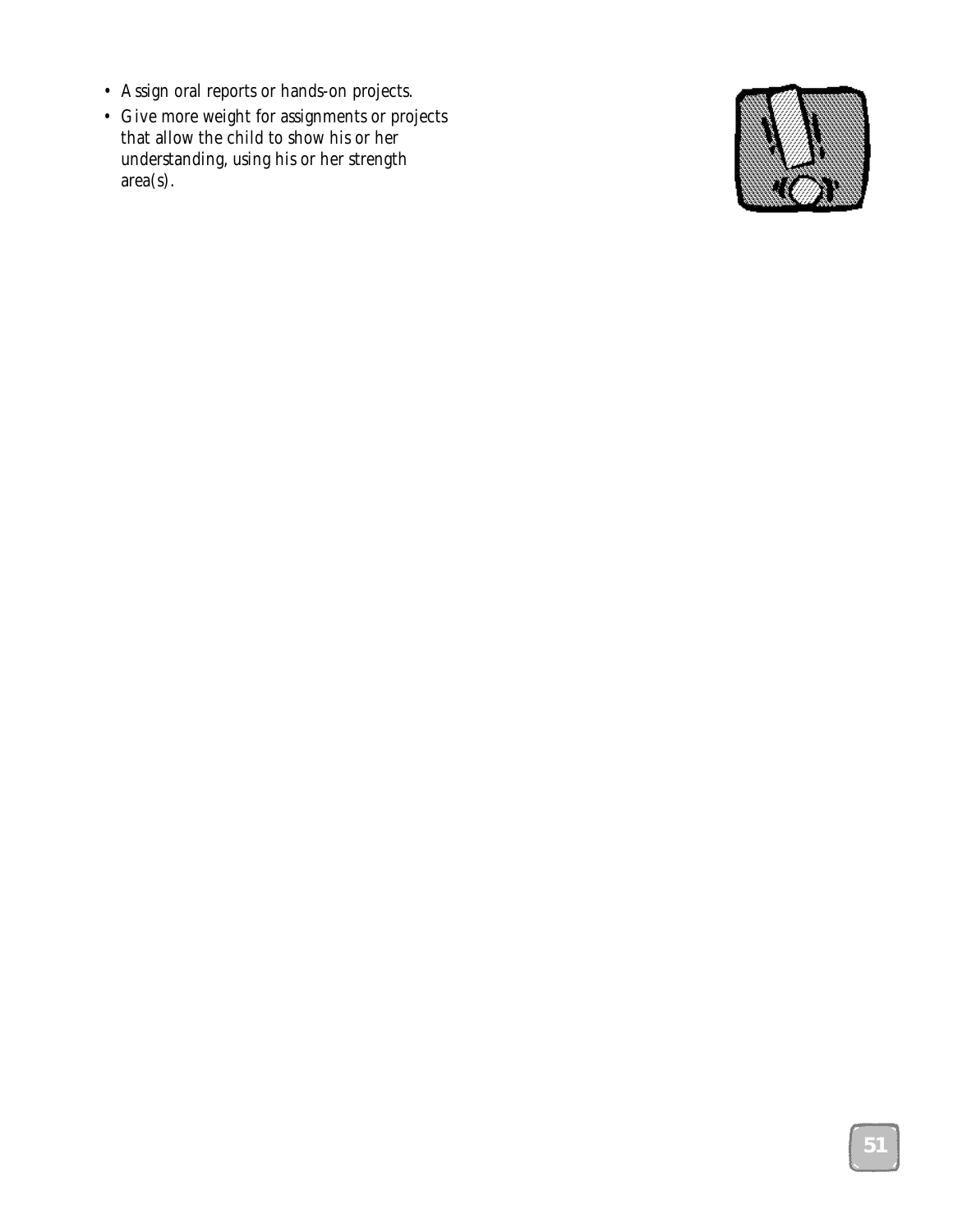- Assign oral reports or hands-on projects.
- Give more weight for assignments or projects that allow the child to show his or her understanding, using his or her strength area(s).

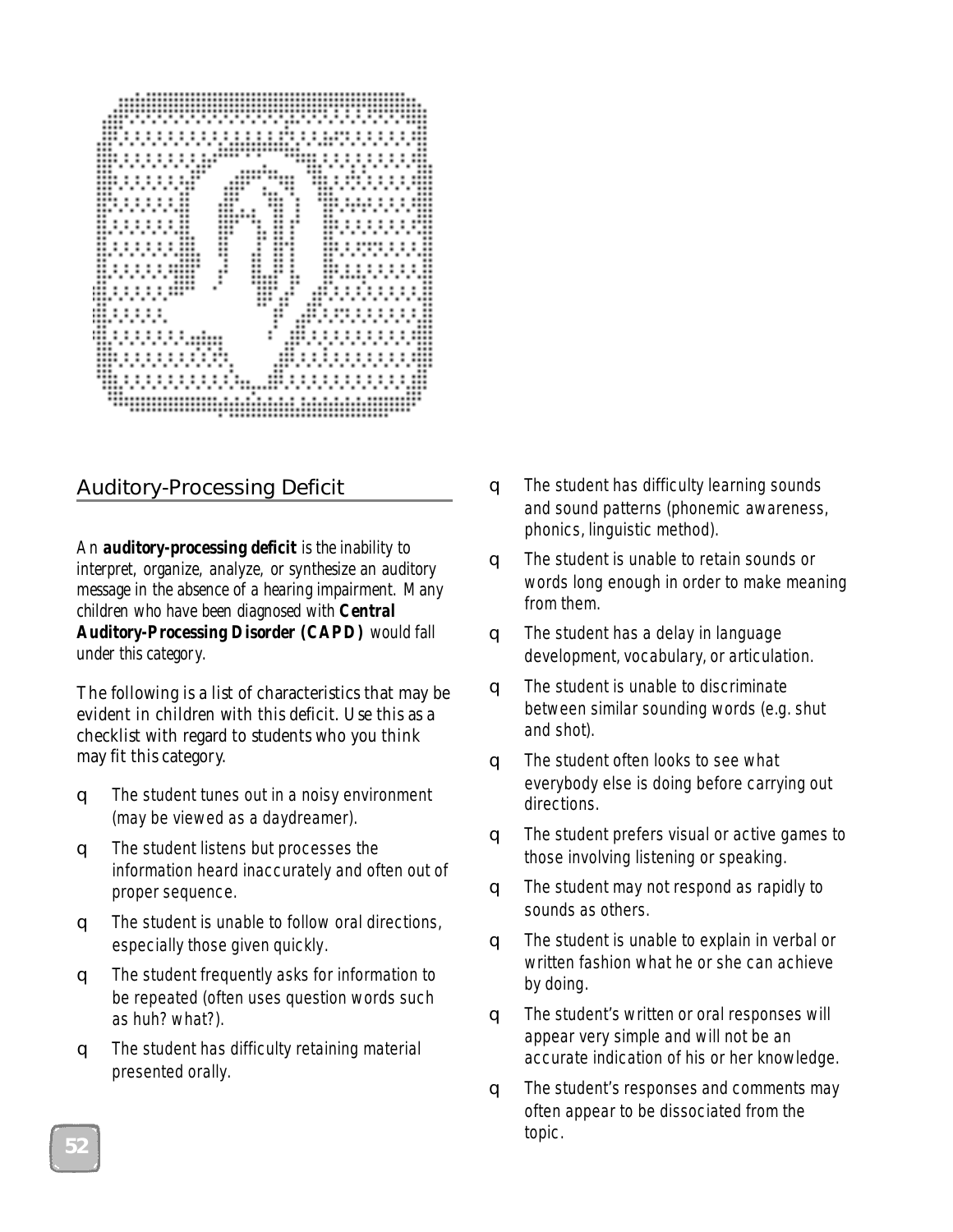

#### Auditory-Processing Deficit

*An auditory-processing deficit is the inability to interpret, organize, analyze, or synthesize an auditory message in the absence of a hearing impairment. Many children who have been diagnosed with Central Auditory-Processing Disorder (CAPD) would fall under this category.*

The following is a list of characteristics that may be evident in children with this deficit. Use this as a checklist with regard to students who you think may fit this category.

- ❑ The student tunes out in a noisy environment (may be viewed as a daydreamer).
- ❑ The student listens but processes the information heard inaccurately and often out of proper sequence.
- $\Box$  The student is unable to follow oral directions, especially those given quickly.
- ❑ The student frequently asks for information to be repeated (often uses question words such as huh? what?).
- ❑ The student has difficulty retaining material presented orally.
- ❑ The student has difficulty learning sounds and sound patterns (phonemic awareness, phonics, linguistic method).
- ❑ The student is unable to retain sounds or words long enough in order to make meaning from them.
- ❑ The student has a delay in language development, vocabulary, or articulation.
- ❑ The student is unable to discriminate between similar sounding words (e.g. shut and shot).
- ❑ The student often looks to see what everybody else is doing before carrying out directions.
- ❑ The student prefers visual or active games to those involving listening or speaking.
- ❑ The student may not respond as rapidly to sounds as others.
- ❑ The student is unable to explain in verbal or written fashion what he or she can achieve by doing.
- ❑ The student's written or oral responses will appear very simple and will not be an accurate indication of his or her knowledge.
- ❑ The student's responses and comments may often appear to be dissociated from the topic.

**52**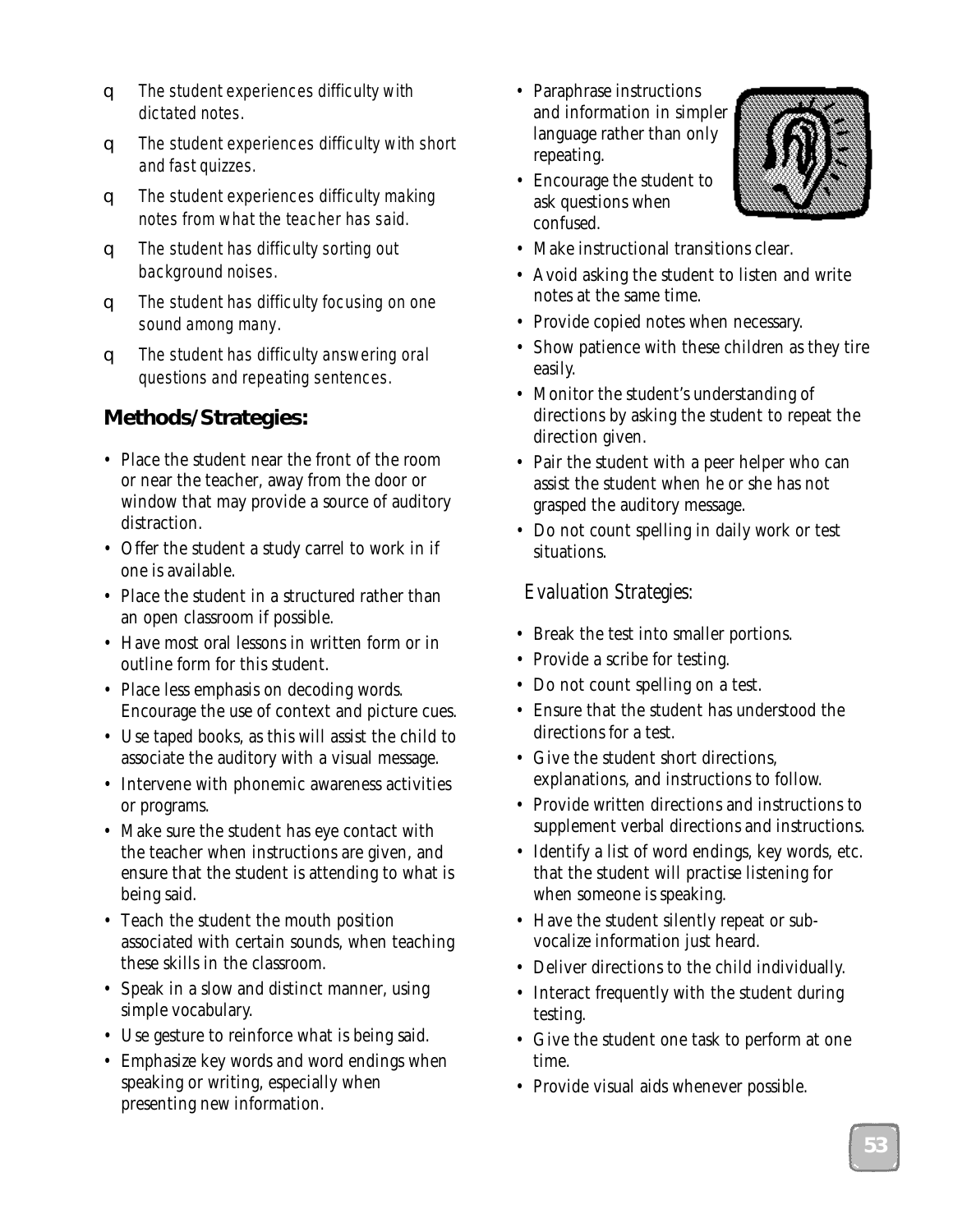- ❑ The student experiences difficulty with dictated notes.
- ❑ The student experiences difficulty with short and fast quizzes.
- ❑ The student experiences difficulty making notes from what the teacher has said.
- ❑ The student has difficulty sorting out background noises.
- ❑ The student has difficulty focusing on one sound among many.
- ❑ The student has difficulty answering oral questions and repeating sentences.

## **Methods/Strategies:**

- Place the student near the front of the room or near the teacher, away from the door or window that may provide a source of auditory distraction.
- Offer the student a study carrel to work in if one is available.
- Place the student in a structured rather than an open classroom if possible.
- Have most oral lessons in written form or in outline form for this student.
- Place less emphasis on decoding words. Encourage the use of context and picture cues.
- Use taped books, as this will assist the child to associate the auditory with a visual message.
- Intervene with phonemic awareness activities or programs.
- Make sure the student has eye contact with the teacher when instructions are given, and ensure that the student is attending to what is being said.
- Teach the student the mouth position associated with certain sounds, when teaching these skills in the classroom.
- Speak in a slow and distinct manner, using simple vocabulary.
- Use gesture to reinforce what is being said.
- Emphasize key words and word endings when speaking or writing, especially when presenting new information.
- Paraphrase instructions and information in simpler language rather than only repeating.
- Encourage the student to ask questions when confused.



- Make instructional transitions clear.
- Avoid asking the student to listen and write notes at the same time.
- Provide copied notes when necessary.
- Show patience with these children as they tire easily.
- Monitor the student's understanding of directions by asking the student to repeat the direction given.
- Pair the student with a peer helper who can assist the student when he or she has not grasped the auditory message.
- Do not count spelling in daily work or test situations.

- Break the test into smaller portions.
- Provide a scribe for testing.
- Do not count spelling on a test.
- Ensure that the student has understood the directions for a test.
- Give the student short directions, explanations, and instructions to follow.
- Provide written directions and instructions to supplement verbal directions and instructions.
- Identify a list of word endings, key words, etc. that the student will practise listening for when someone is speaking.
- Have the student silently repeat or subvocalize information just heard.
- Deliver directions to the child individually.
- Interact frequently with the student during testing.
- Give the student one task to perform at one time.
- Provide visual aids whenever possible.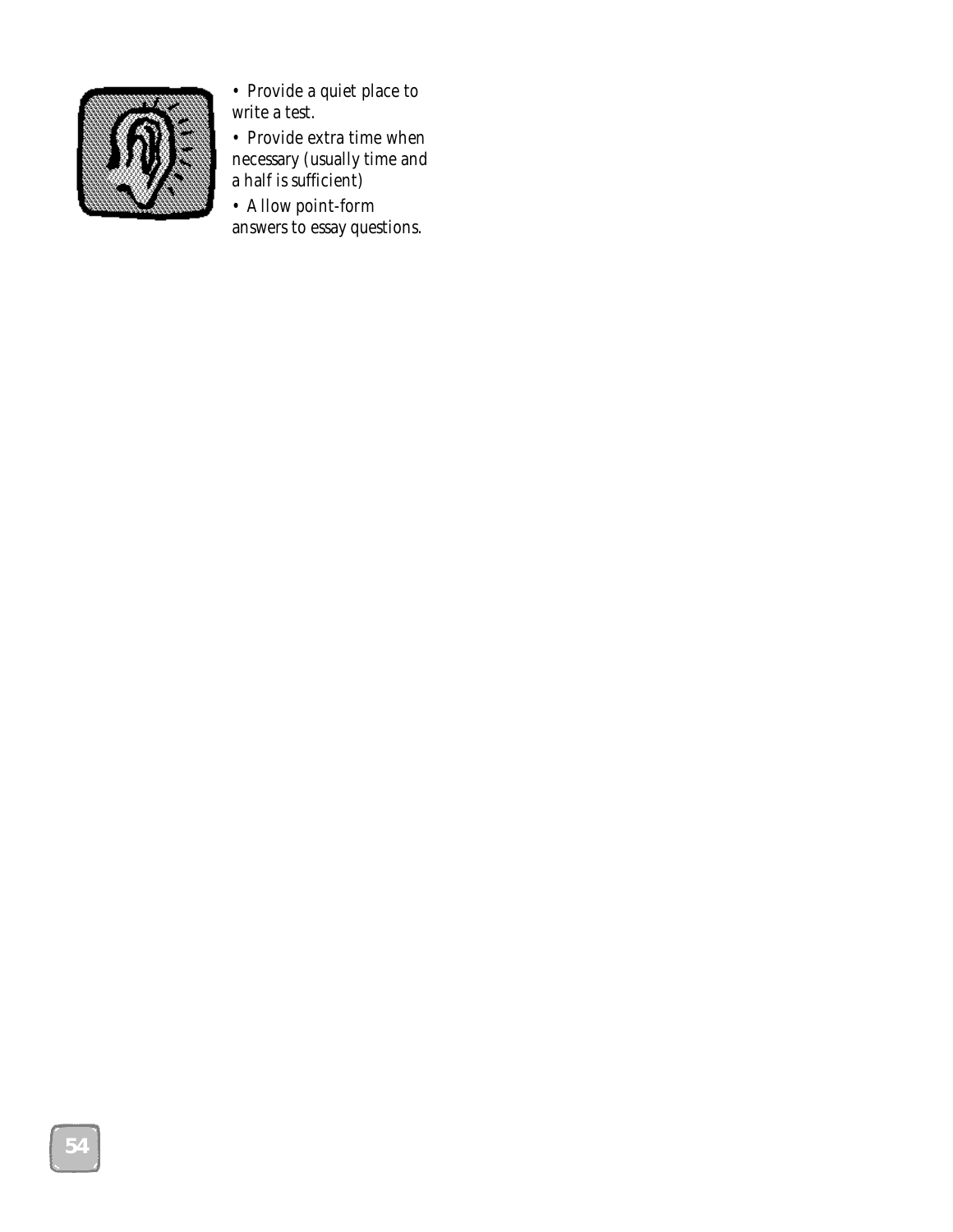

• Provide a quiet place to write a test.

• Provide extra time when necessary (usually time and a half is sufficient)

• Allow point-form answers to essay questions.

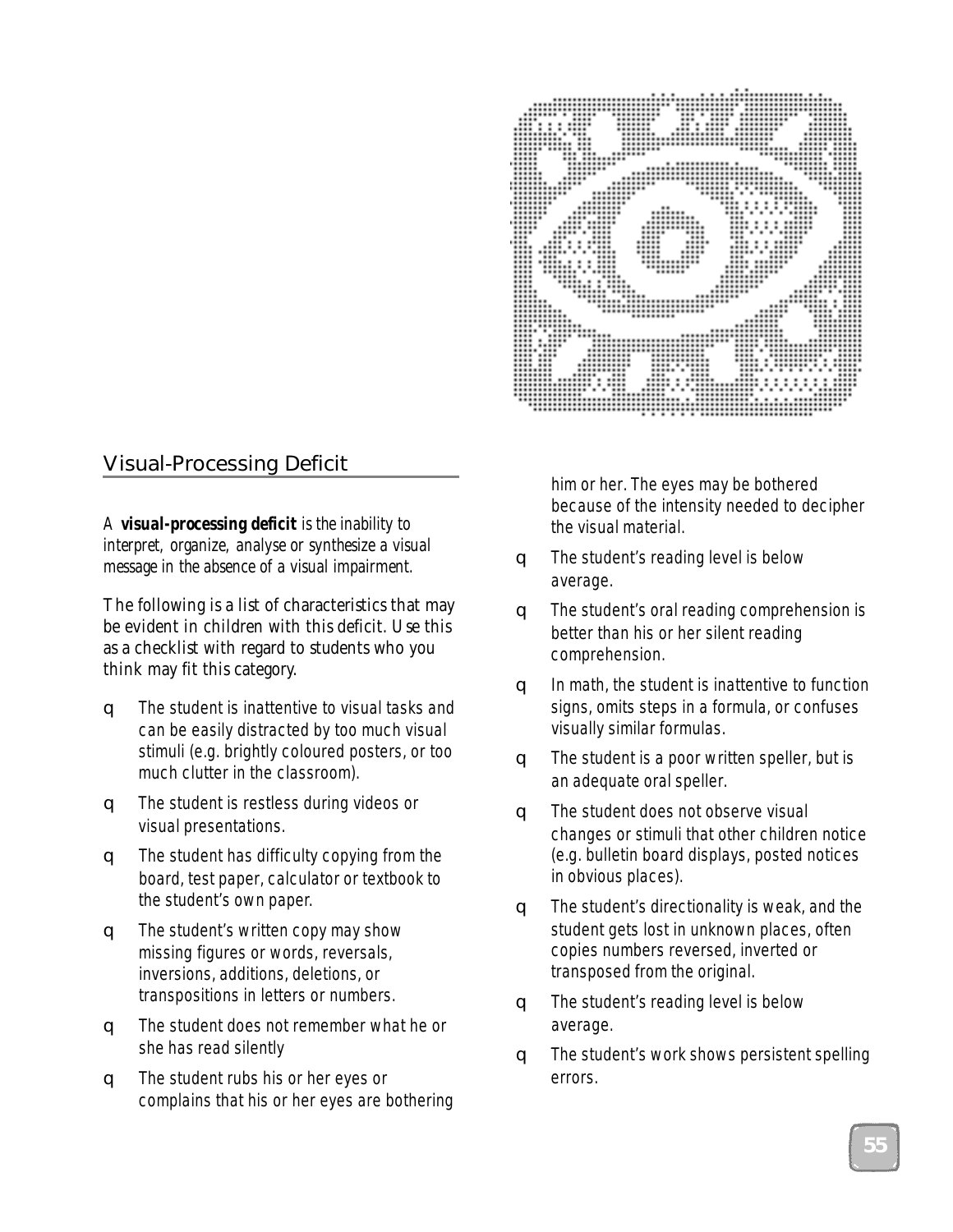## Visual-Processing Deficit

*A visual-processing deficit is the inability to interpret, organize, analyse or synthesize a visual message in the absence of a visual impairment.*

The following is a list of characteristics that may be evident in children with this deficit. Use this as a checklist with regard to students who you think may fit this category.

- ❑ The student is inattentive to visual tasks and can be easily distracted by too much visual stimuli (e.g. brightly coloured posters, or too much clutter in the classroom).
- ❑ The student is restless during videos or visual presentations.
- ❑ The student has difficulty copying from the board, test paper, calculator or textbook to the student's own paper.
- ❑ The student's written copy may show missing figures or words, reversals, inversions, additions, deletions, or transpositions in letters or numbers.
- ❑ The student does not remember what he or she has read silently
- ❑ The student rubs his or her eyes or complains that his or her eyes are bothering



him or her. The eyes may be bothered because of the intensity needed to decipher the visual material.

- ❑ The student's reading level is below average.
- ❑ The student's oral reading comprehension is better than his or her silent reading comprehension.
- ❑ In math, the student is inattentive to function signs, omits steps in a formula, or confuses visually similar formulas.
- ❑ The student is a poor written speller, but is an adequate oral speller.
- ❑ The student does not observe visual changes or stimuli that other children notice (e.g. bulletin board displays, posted notices in obvious places).
- ❑ The student's directionality is weak, and the student gets lost in unknown places, often copies numbers reversed, inverted or transposed from the original.
- ❑ The student's reading level is below average.
- ❑ The student's work shows persistent spelling errors.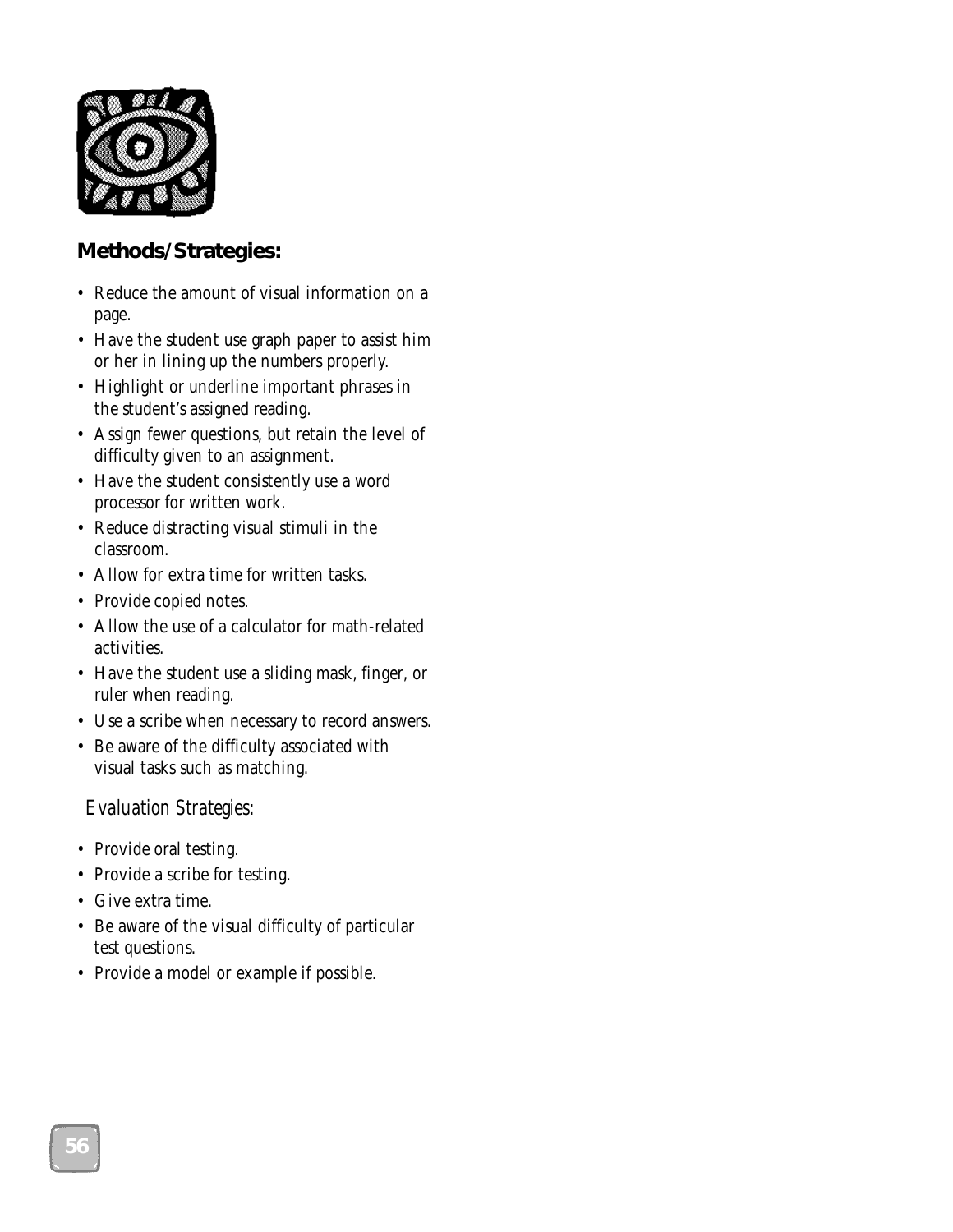

### **Methods/Strategies:**

- Reduce the amount of visual information on a page.
- Have the student use graph paper to assist him or her in lining up the numbers properly.
- Highlight or underline important phrases in the student's assigned reading.
- Assign fewer questions, but retain the level of difficulty given to an assignment.
- Have the student consistently use a word processor for written work.
- Reduce distracting visual stimuli in the classroom.
- Allow for extra time for written tasks.
- Provide copied notes.
- Allow the use of a calculator for math-related activities.
- Have the student use a sliding mask, finger, or ruler when reading.
- Use a scribe when necessary to record answers.
- Be aware of the difficulty associated with visual tasks such as matching.

- Provide oral testing.
- Provide a scribe for testing.
- Give extra time.
- Be aware of the visual difficulty of particular test questions.
- Provide a model or example if possible.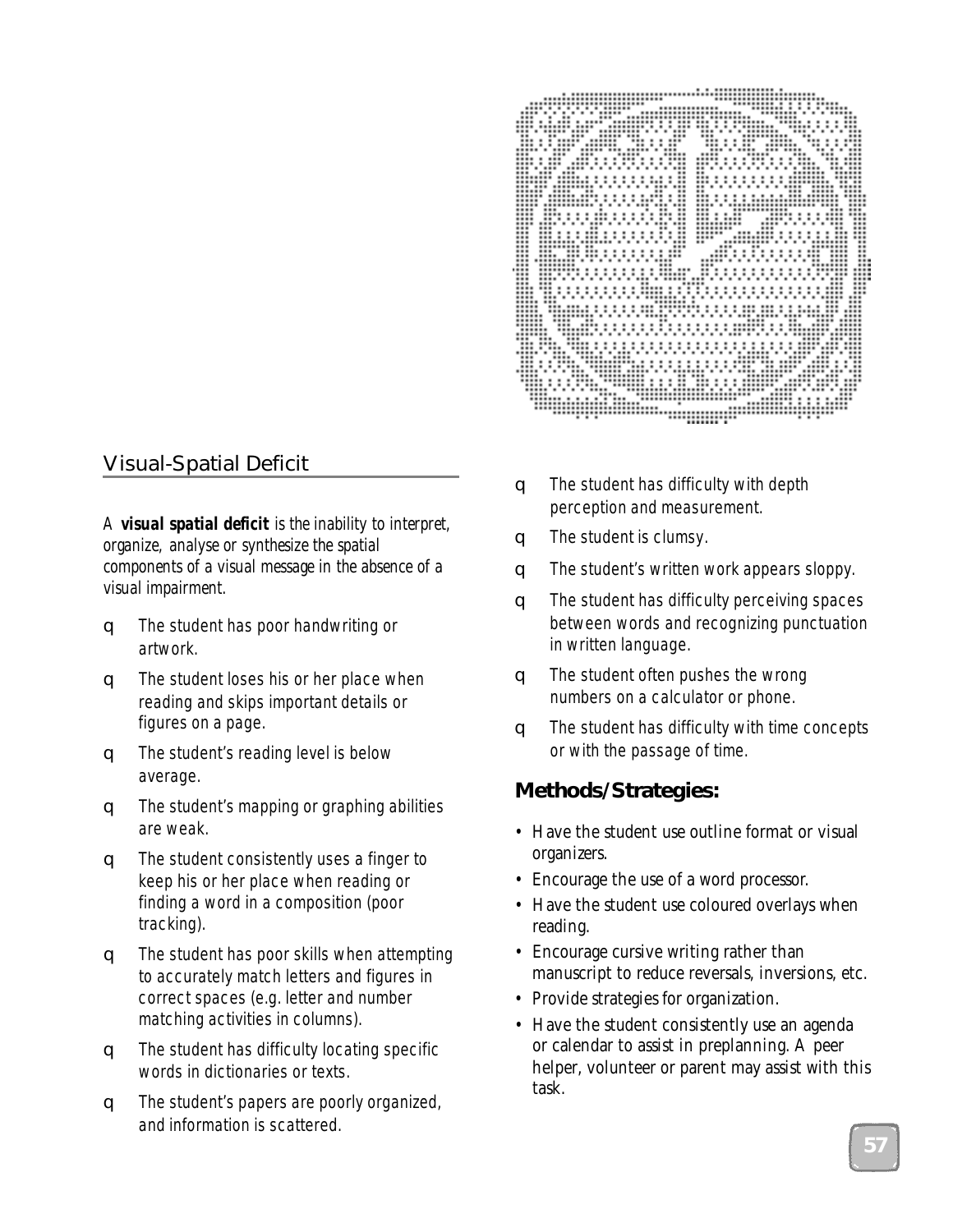## Visual-Spatial Deficit

*A visual spatial deficit is the inability to interpret, organize, analyse or synthesize the spatial components of a visual message in the absence of a visual impairment.*

- ❑ The student has poor handwriting or artwork.
- ❑ The student loses his or her place when reading and skips important details or figures on a page.
- ❑ The student's reading level is below average.
- $\Box$  The student's mapping or graphing abilities are weak.
- ❑ The student consistently uses a finger to keep his or her place when reading or finding a word in a composition (poor tracking).
- ❑ The student has poor skills when attempting to accurately match letters and figures in correct spaces (e.g. letter and number matching activities in columns).
- ❑ The student has difficulty locating specific words in dictionaries or texts.
- ❑ The student's papers are poorly organized, and information is scattered.

❑ The student has difficulty with depth

perception and measurement.

www.

- ❑ The student is clumsy.
- ❑ The student's written work appears sloppy.
- $\Box$  The student has difficulty perceiving spaces between words and recognizing punctuation in written language.
- ❑ The student often pushes the wrong numbers on a calculator or phone.
- ❑ The student has difficulty with time concepts or with the passage of time.

#### **Methods/Strategies:**

- Have the student use outline format or visual organizers.
- Encourage the use of a word processor.
- Have the student use coloured overlays when reading.
- Encourage cursive writing rather than manuscript to reduce reversals, inversions, etc.
- Provide strategies for organization.
- Have the student consistently use an agenda or calendar to assist in preplanning. A peer helper, volunteer or parent may assist with this task.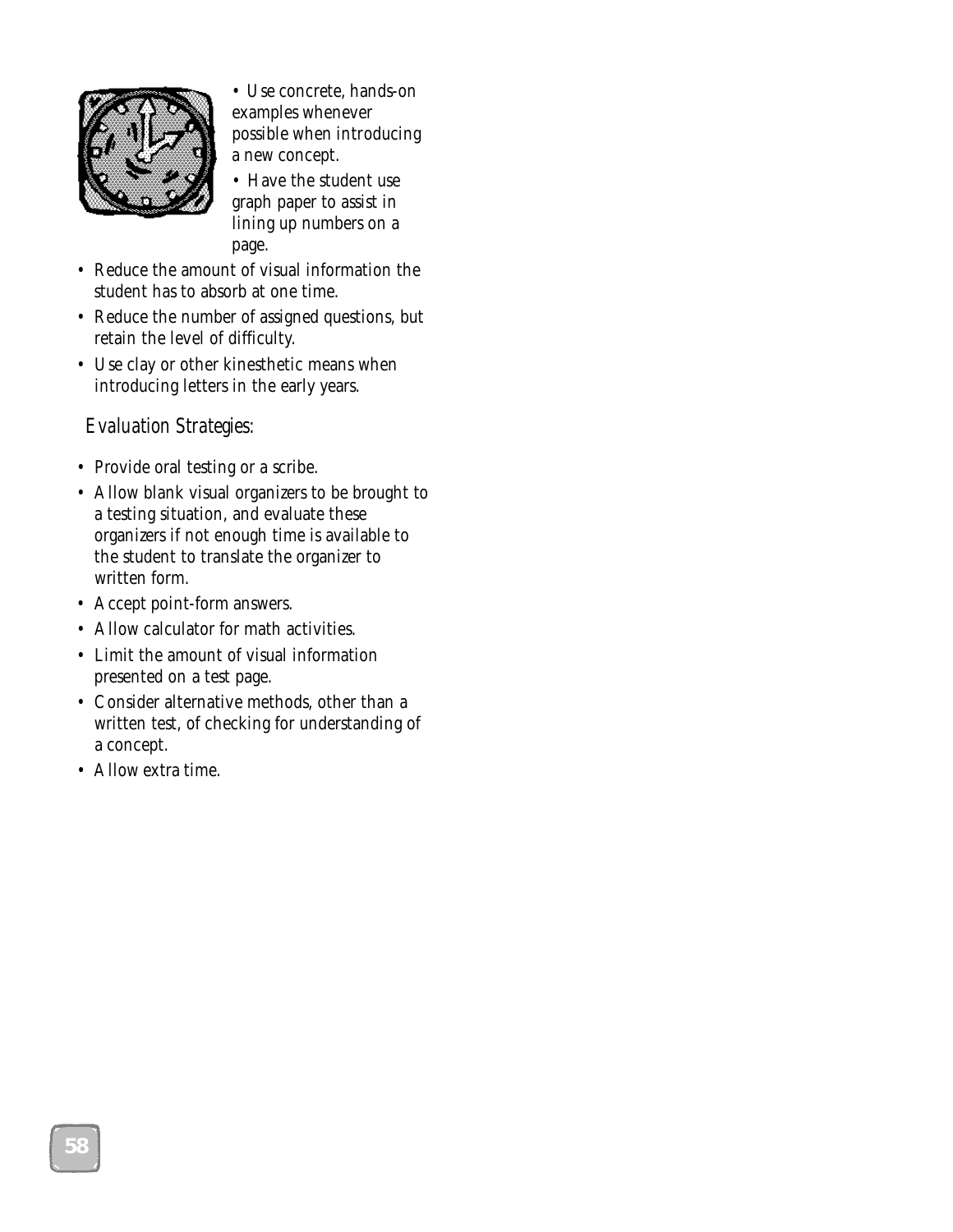

• Use concrete, hands-on examples whenever possible when introducing a new concept.

• Have the student use graph paper to assist in lining up numbers on a page.

- Reduce the amount of visual information the student has to absorb at one time.
- Reduce the number of assigned questions, but retain the level of difficulty.
- Use clay or other kinesthetic means when introducing letters in the early years.

- Provide oral testing or a scribe.
- Allow blank visual organizers to be brought to a testing situation, and evaluate these organizers if not enough time is available to the student to translate the organizer to written form.
- Accept point-form answers.
- Allow calculator for math activities.
- Limit the amount of visual information presented on a test page.
- Consider alternative methods, other than a written test, of checking for understanding of a concept.
- Allow extra time.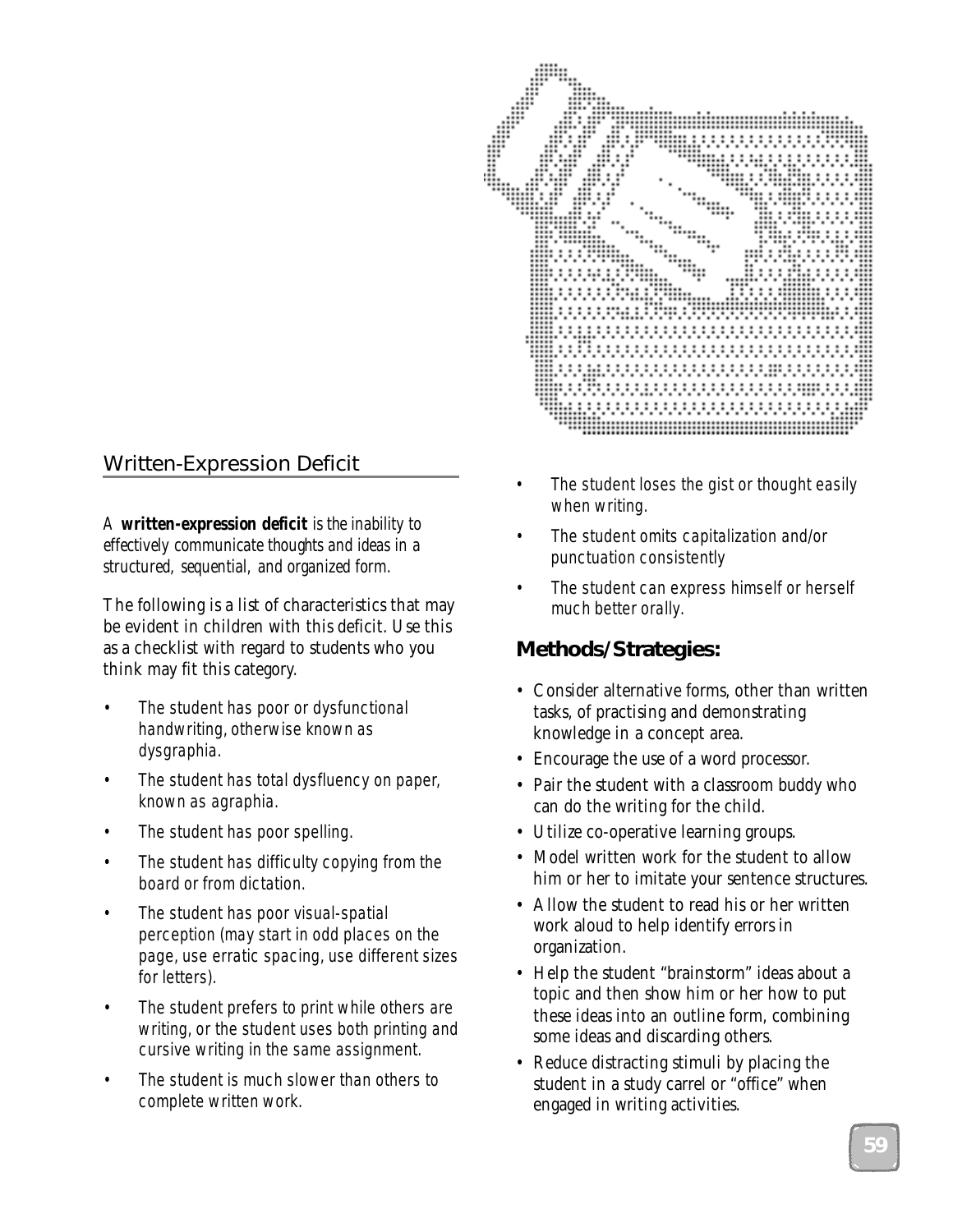# Written-Expression Deficit

*A written-expression deficit is the inability to effectively communicate thoughts and ideas in a structured, sequential, and organized form.*

The following is a list of characteristics that may be evident in children with this deficit. Use this as a checklist with regard to students who you think may fit this category.

- The student has poor or dysfunctional handwriting, otherwise known as dysgraphia.
- The student has total dysfluency on paper, known as agraphia.
- The student has poor spelling.
- The student has difficulty copying from the board or from dictation.
- The student has poor visual-spatial perception (may start in odd places on the page, use erratic spacing, use different sizes for letters).
- The student prefers to print while others are writing, or the student uses both printing and cursive writing in the same assignment.
- The student is much slower than others to complete written work.
- The student loses the gist or thought easily when writing.
- The student omits capitalization and/or punctuation consistently
- The student can express himself or herself much better orally.

# **Methods/Strategies:**

- Consider alternative forms, other than written tasks, of practising and demonstrating knowledge in a concept area.
- Encourage the use of a word processor.
- Pair the student with a classroom buddy who can do the writing for the child.
- Utilize co-operative learning groups.
- Model written work for the student to allow him or her to imitate your sentence structures.
- Allow the student to read his or her written work aloud to help identify errors in organization.
- Help the student "brainstorm" ideas about a topic and then show him or her how to put these ideas into an outline form, combining some ideas and discarding others.
- Reduce distracting stimuli by placing the student in a study carrel or "office" when engaged in writing activities.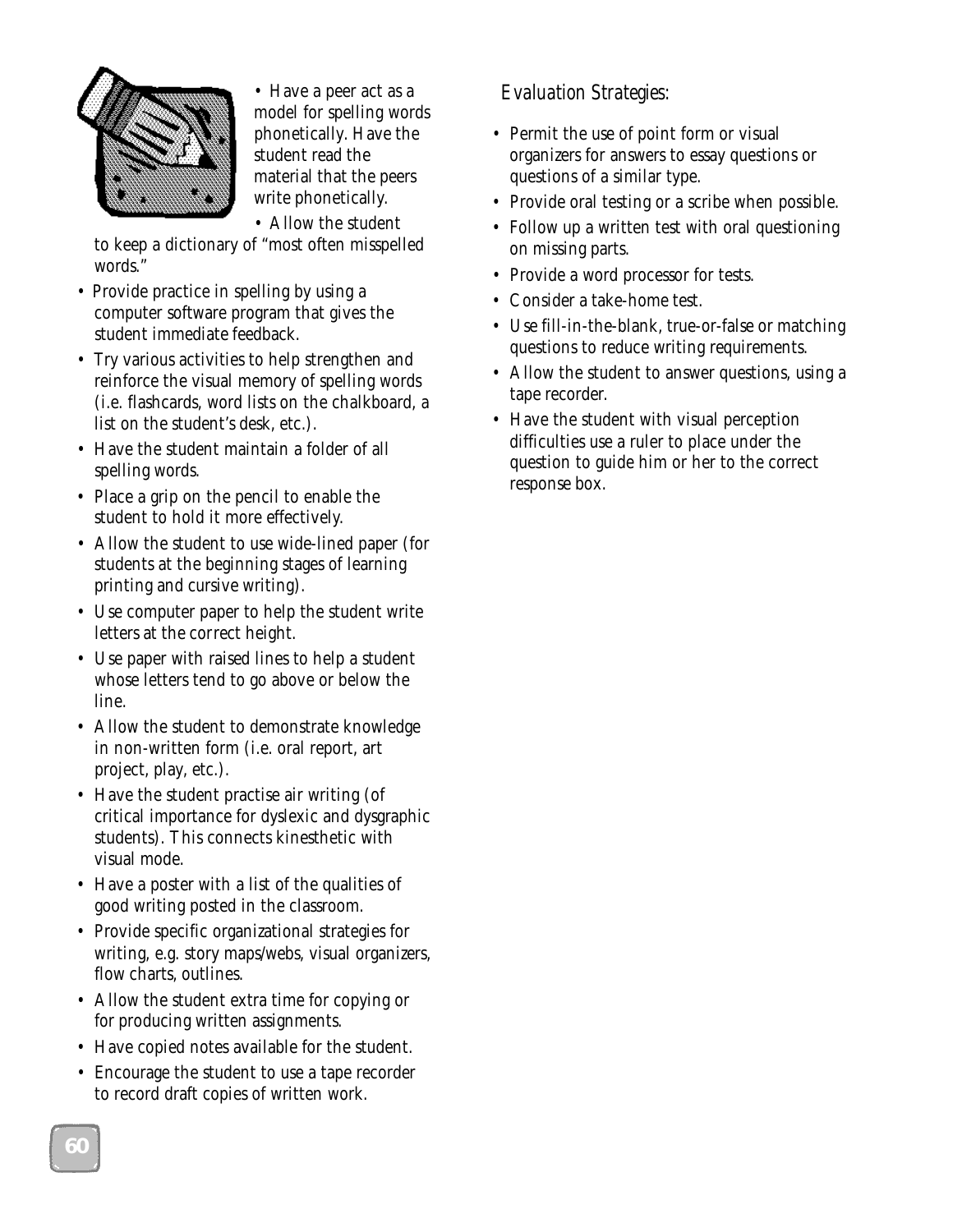

• Have a peer act as a model for spelling words phonetically. Have the student read the material that the peers write phonetically.

• Allow the student

to keep a dictionary of "most often misspelled words."

- Provide practice in spelling by using a computer software program that gives the student immediate feedback.
- Try various activities to help strengthen and reinforce the visual memory of spelling words (i.e. flashcards, word lists on the chalkboard, a list on the student's desk, etc.).
- Have the student maintain a folder of all spelling words.
- Place a grip on the pencil to enable the student to hold it more effectively.
- Allow the student to use wide-lined paper (for students at the beginning stages of learning printing and cursive writing).
- Use computer paper to help the student write letters at the correct height.
- Use paper with raised lines to help a student whose letters tend to go above or below the line.
- Allow the student to demonstrate knowledge in non-written form (i.e. oral report, art project, play, etc.).
- Have the student practise air writing (of critical importance for dyslexic and dysgraphic students). This connects kinesthetic with visual mode.
- Have a poster with a list of the qualities of good writing posted in the classroom.
- Provide specific organizational strategies for writing, e.g. story maps/webs, visual organizers, flow charts, outlines.
- Allow the student extra time for copying or for producing written assignments.
- Have copied notes available for the student.
- Encourage the student to use a tape recorder to record draft copies of written work.

- Permit the use of point form or visual organizers for answers to essay questions or questions of a similar type.
- Provide oral testing or a scribe when possible.
- Follow up a written test with oral questioning on missing parts.
- Provide a word processor for tests.
- Consider a take-home test.
- Use fill-in-the-blank, true-or-false or matching questions to reduce writing requirements.
- Allow the student to answer questions, using a tape recorder.
- Have the student with visual perception difficulties use a ruler to place under the question to guide him or her to the correct response box.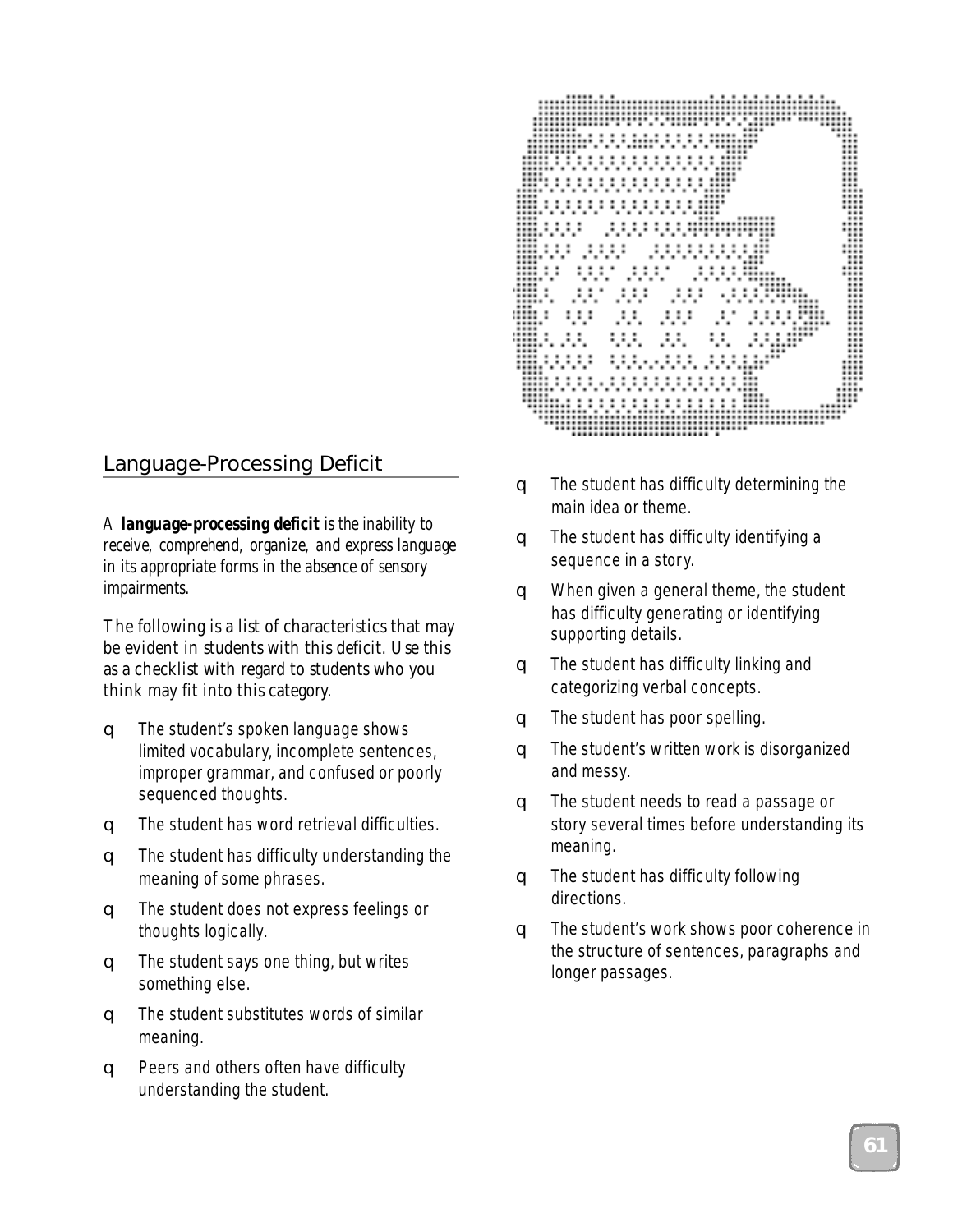### Language-Processing Deficit

*A language-processing deficit is the inability to receive, comprehend, organize, and express language in its appropriate forms in the absence of sensory impairments.*

The following is a list of characteristics that may be evident in students with this deficit. Use this as a checklist with regard to students who you think may fit into this category.

- ❑ The student's spoken language shows limited vocabulary, incomplete sentences, improper grammar, and confused or poorly sequenced thoughts.
- ❑ The student has word retrieval difficulties.
- ❑ The student has difficulty understanding the meaning of some phrases.
- ❑ The student does not express feelings or thoughts logically.
- ❑ The student says one thing, but writes something else.
- ❑ The student substitutes words of similar meaning.
- ❑ Peers and others often have difficulty understanding the student.



- ❑ The student has difficulty determining the main idea or theme.
- ❑ The student has difficulty identifying a sequence in a story.
- ❑ When given a general theme, the student has difficulty generating or identifying supporting details.
- ❑ The student has difficulty linking and categorizing verbal concepts.
- ❑ The student has poor spelling.
- ❑ The student's written work is disorganized and messy.
- ❑ The student needs to read a passage or story several times before understanding its meaning.
- ❑ The student has difficulty following directions.
- ❑ The student's work shows poor coherence in the structure of sentences, paragraphs and longer passages.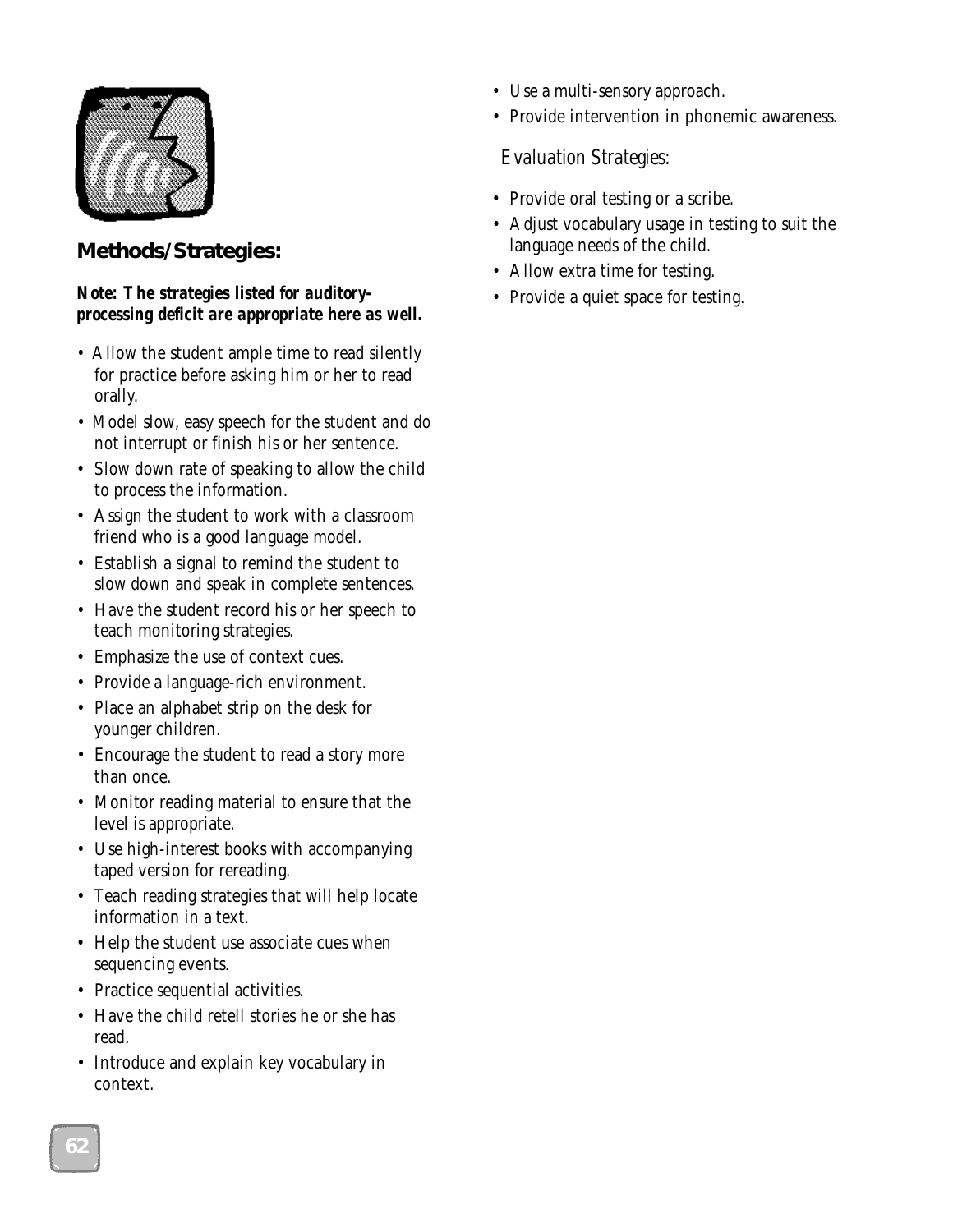

#### **Methods/Strategies:**

#### *Note: The strategies listed for auditoryprocessing deficit are appropriate here as well.*

- Allow the student ample time to read silently for practice before asking him or her to read orally.
- Model slow, easy speech for the student and do not interrupt or finish his or her sentence.
- Slow down rate of speaking to allow the child to process the information.
- Assign the student to work with a classroom friend who is a good language model.
- Establish a signal to remind the student to slow down and speak in complete sentences.
- Have the student record his or her speech to teach monitoring strategies.
- Emphasize the use of context cues.
- Provide a language-rich environment.
- Place an alphabet strip on the desk for younger children.
- Encourage the student to read a story more than once.
- Monitor reading material to ensure that the level is appropriate.
- Use high-interest books with accompanying taped version for rereading.
- Teach reading strategies that will help locate information in a text.
- Help the student use associate cues when sequencing events.
- Practice sequential activities.
- Have the child retell stories he or she has read.
- Introduce and explain key vocabulary in context.
- Use a multi-sensory approach.
- Provide intervention in phonemic awareness.

- Provide oral testing or a scribe.
- Adjust vocabulary usage in testing to suit the language needs of the child.
- Allow extra time for testing.
- Provide a quiet space for testing.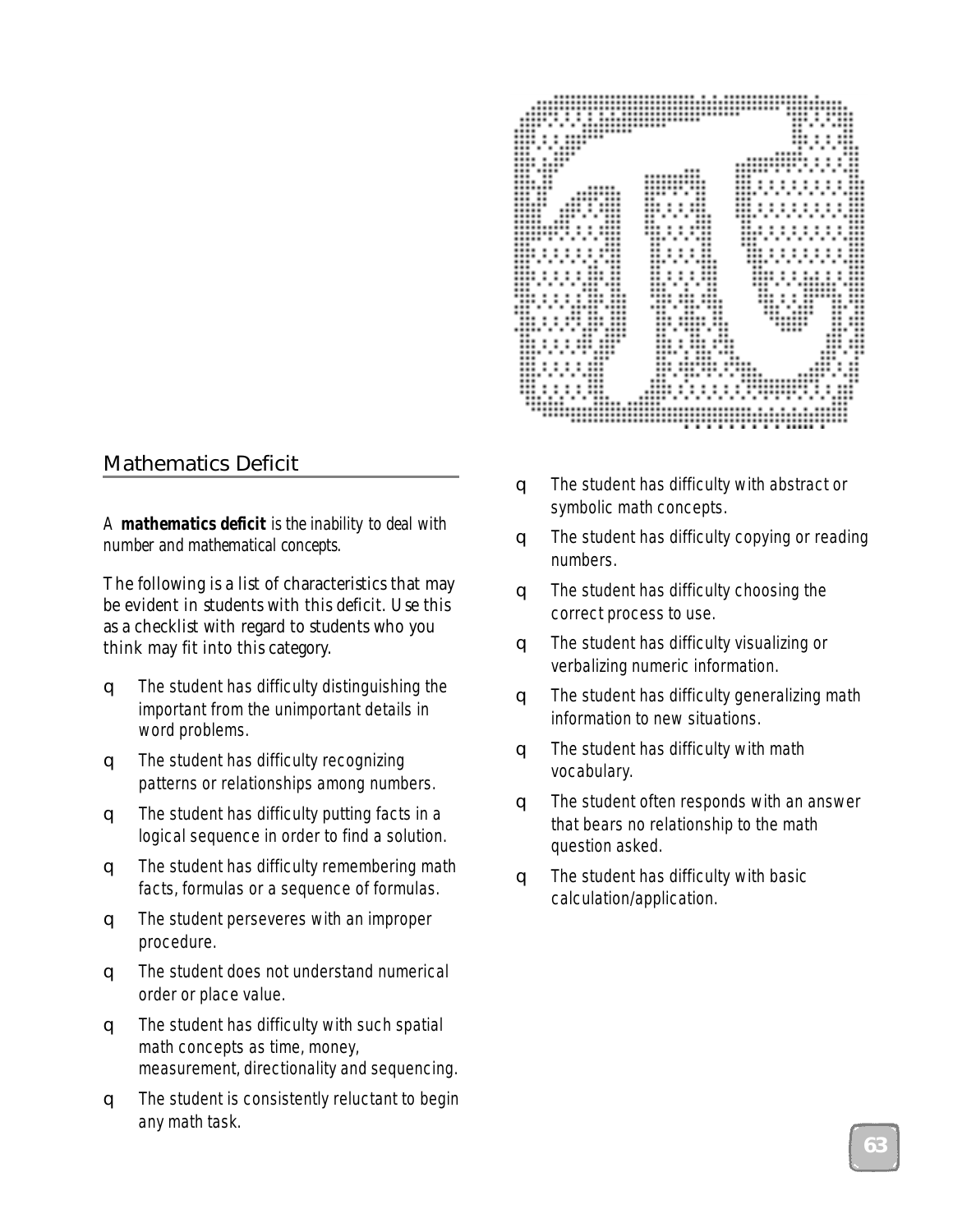

#### Mathematics Deficit

*A mathematics deficit is the inability to deal with number and mathematical concepts.*

The following is a list of characteristics that may be evident in students with this deficit. Use this as a checklist with regard to students who you think may fit into this category.

- $\Box$  The student has difficulty distinguishing the important from the unimportant details in word problems.
- ❑ The student has difficulty recognizing patterns or relationships among numbers.
- ❑ The student has difficulty putting facts in a logical sequence in order to find a solution.
- ❑ The student has difficulty remembering math facts, formulas or a sequence of formulas.
- ❑ The student perseveres with an improper procedure.
- ❑ The student does not understand numerical order or place value.
- ❑ The student has difficulty with such spatial math concepts as time, money, measurement, directionality and sequencing.
- ❑ The student is consistently reluctant to begin any math task.
- ❑ The student has difficulty with abstract or symbolic math concepts.
- ❑ The student has difficulty copying or reading numbers.
- ❑ The student has difficulty choosing the correct process to use.
- ❑ The student has difficulty visualizing or verbalizing numeric information.
- ❑ The student has difficulty generalizing math information to new situations.
- ❑ The student has difficulty with math vocabulary.
- ❑ The student often responds with an answer that bears no relationship to the math question asked.
- ❑ The student has difficulty with basic calculation/application.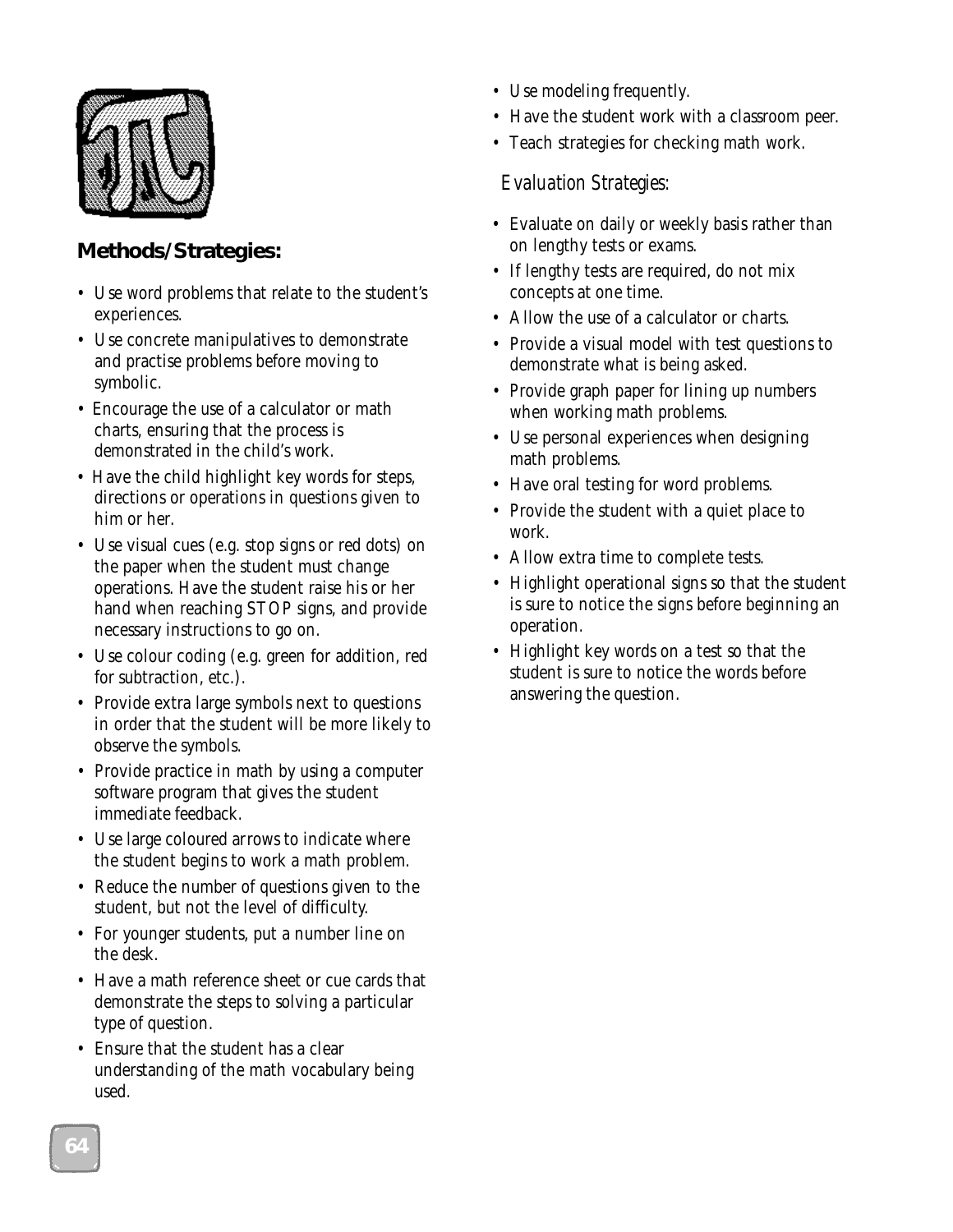

#### **Methods/Strategies:**

- Use word problems that relate to the student's experiences.
- Use concrete manipulatives to demonstrate and practise problems before moving to symbolic.
- Encourage the use of a calculator or math charts, ensuring that the process is demonstrated in the child's work.
- Have the child highlight key words for steps, directions or operations in questions given to him or her.
- Use visual cues (e.g. stop signs or red dots) on the paper when the student must change operations. Have the student raise his or her hand when reaching STOP signs, and provide necessary instructions to go on.
- Use colour coding (e.g. green for addition, red for subtraction, etc.).
- Provide extra large symbols next to questions in order that the student will be more likely to observe the symbols.
- Provide practice in math by using a computer software program that gives the student immediate feedback.
- Use large coloured arrows to indicate where the student begins to work a math problem.
- Reduce the number of questions given to the student, but not the level of difficulty.
- For younger students, put a number line on the desk.
- Have a math reference sheet or cue cards that demonstrate the steps to solving a particular type of question.
- Ensure that the student has a clear understanding of the math vocabulary being used.
- Use modeling frequently.
- Have the student work with a classroom peer.
- Teach strategies for checking math work.

- Evaluate on daily or weekly basis rather than on lengthy tests or exams.
- If lengthy tests are required, do not mix concepts at one time.
- Allow the use of a calculator or charts.
- Provide a visual model with test questions to demonstrate what is being asked.
- Provide graph paper for lining up numbers when working math problems.
- Use personal experiences when designing math problems.
- Have oral testing for word problems.
- Provide the student with a quiet place to work.
- Allow extra time to complete tests.
- Highlight operational signs so that the student is sure to notice the signs before beginning an operation.
- Highlight key words on a test so that the student is sure to notice the words before answering the question.

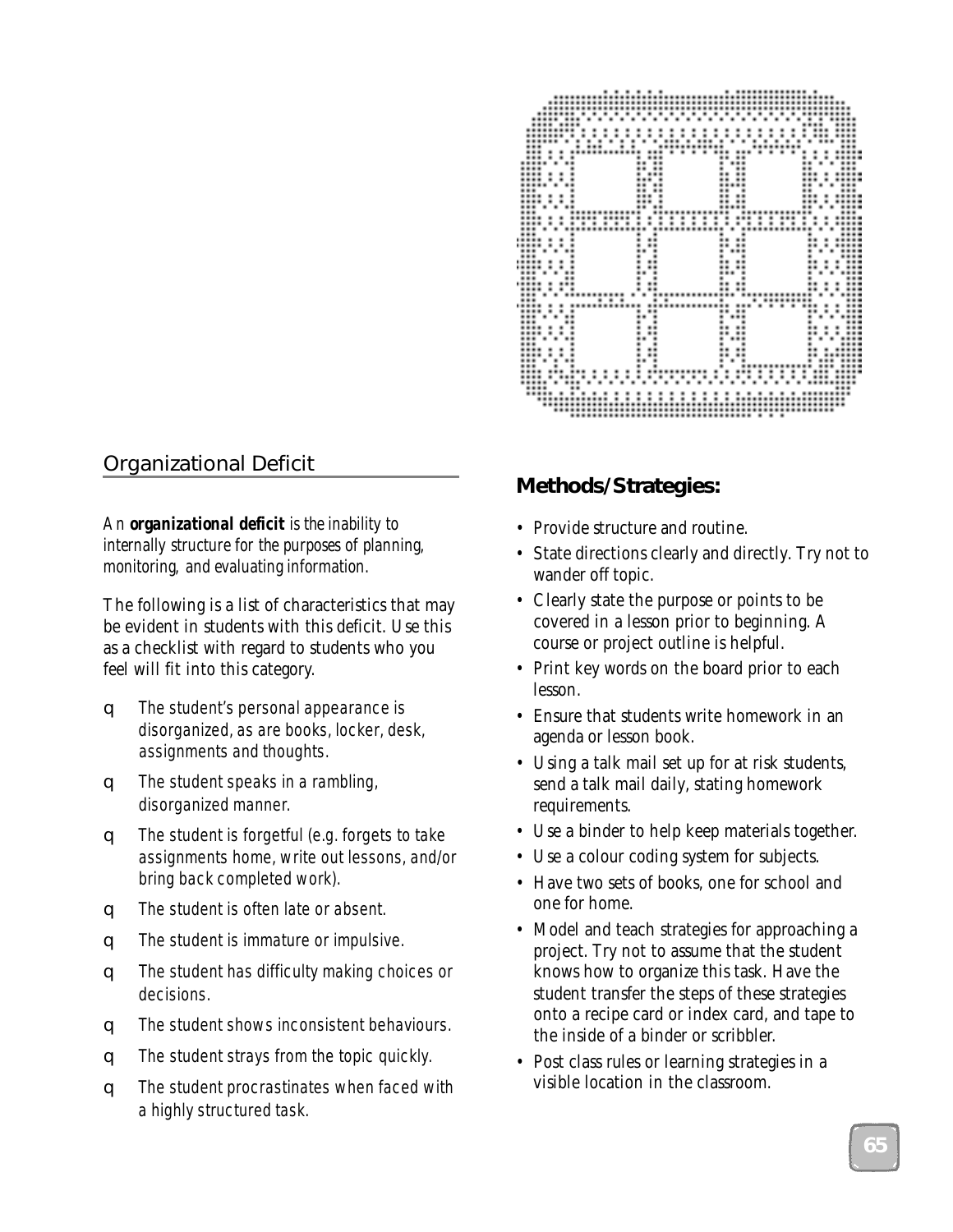

## Organizational Deficit

*An organizational deficit is the inability to internally structure for the purposes of planning, monitoring, and evaluating information.*

The following is a list of characteristics that may be evident in students with this deficit. Use this as a checklist with regard to students who you feel will fit into this category.

- ❑ The student's personal appearance is disorganized, as are books, locker, desk, assignments and thoughts.
- $\Box$  The student speaks in a rambling, disorganized manner.
- ❑ The student is forgetful (e.g. forgets to take assignments home, write out lessons, and/or bring back completed work).
- ❑ The student is often late or absent.
- ❑ The student is immature or impulsive.
- ❑ The student has difficulty making choices or decisions.
- ❑ The student shows inconsistent behaviours.
- ❑ The student strays from the topic quickly.
- ❑ The student procrastinates when faced with a highly structured task.

### **Methods/Strategies:**

- Provide structure and routine.
- State directions clearly and directly. Try not to wander off topic.
- Clearly state the purpose or points to be covered in a lesson prior to beginning. A course or project outline is helpful.
- Print key words on the board prior to each lesson.
- Ensure that students write homework in an agenda or lesson book.
- Using a talk mail set up for at risk students, send a talk mail daily, stating homework requirements.
- Use a binder to help keep materials together.
- Use a colour coding system for subjects.
- Have two sets of books, one for school and one for home.
- Model and teach strategies for approaching a project. Try not to assume that the student knows how to organize this task. Have the student transfer the steps of these strategies onto a recipe card or index card, and tape to the inside of a binder or scribbler.
- Post class rules or learning strategies in a visible location in the classroom.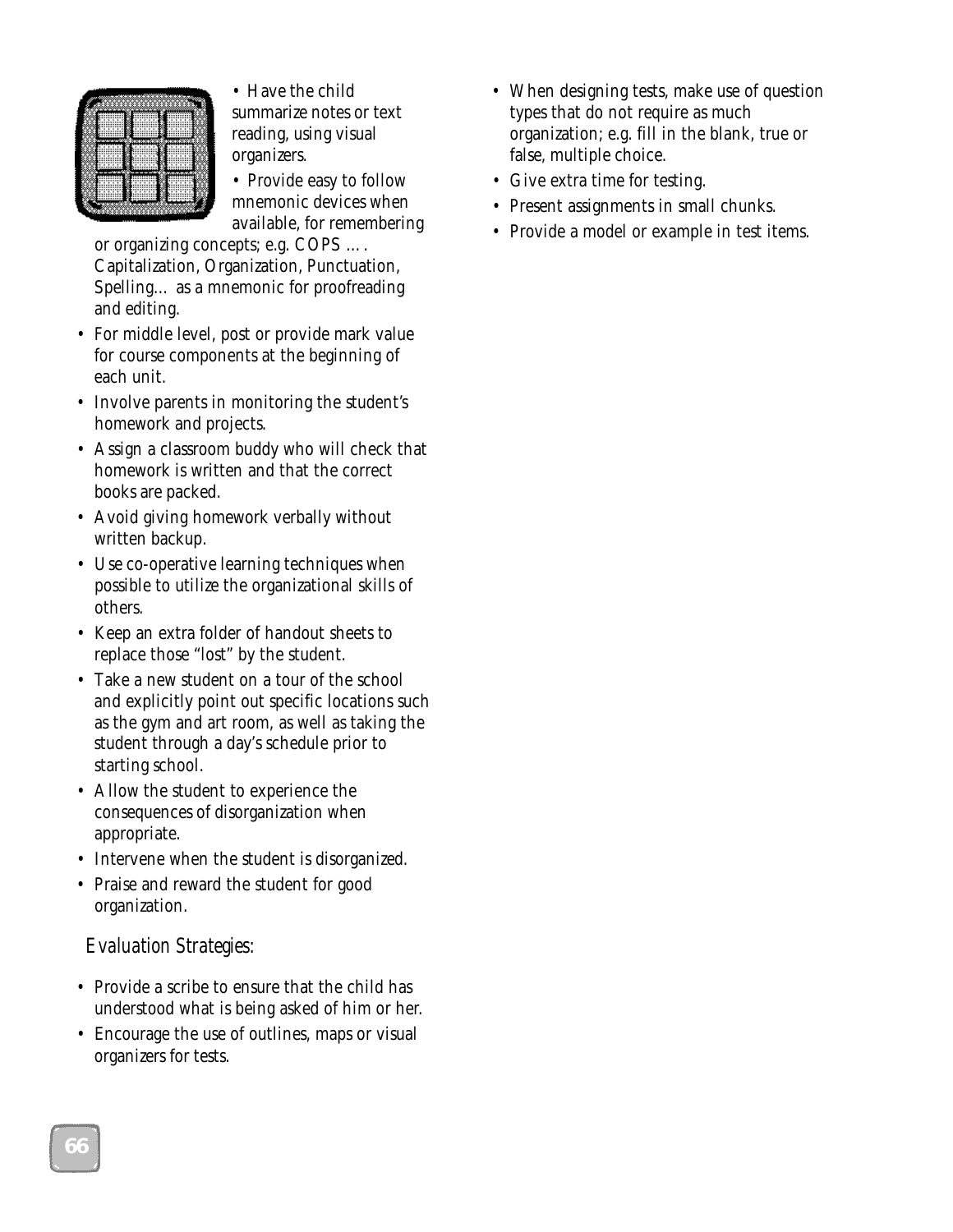

• Have the child summarize notes or text reading, using visual organizers.

• Provide easy to follow mnemonic devices when available, for remembering

or organizing concepts; e.g. COPS …. Capitalization, Organization, Punctuation, Spelling… as a mnemonic for proofreading and editing.

- For middle level, post or provide mark value for course components at the beginning of each unit.
- Involve parents in monitoring the student's homework and projects.
- Assign a classroom buddy who will check that homework is written and that the correct books are packed.
- Avoid giving homework verbally without written backup.
- Use co-operative learning techniques when possible to utilize the organizational skills of others.
- Keep an extra folder of handout sheets to replace those "lost" by the student.
- Take a new student on a tour of the school and explicitly point out specific locations such as the gym and art room, as well as taking the student through a day's schedule prior to starting school.
- Allow the student to experience the consequences of disorganization when appropriate.
- Intervene when the student is disorganized.
- Praise and reward the student for good organization.

- Provide a scribe to ensure that the child has understood what is being asked of him or her.
- Encourage the use of outlines, maps or visual organizers for tests.
- When designing tests, make use of question types that do not require as much organization; e.g. fill in the blank, true or false, multiple choice.
- Give extra time for testing.
- Present assignments in small chunks.
- Provide a model or example in test items.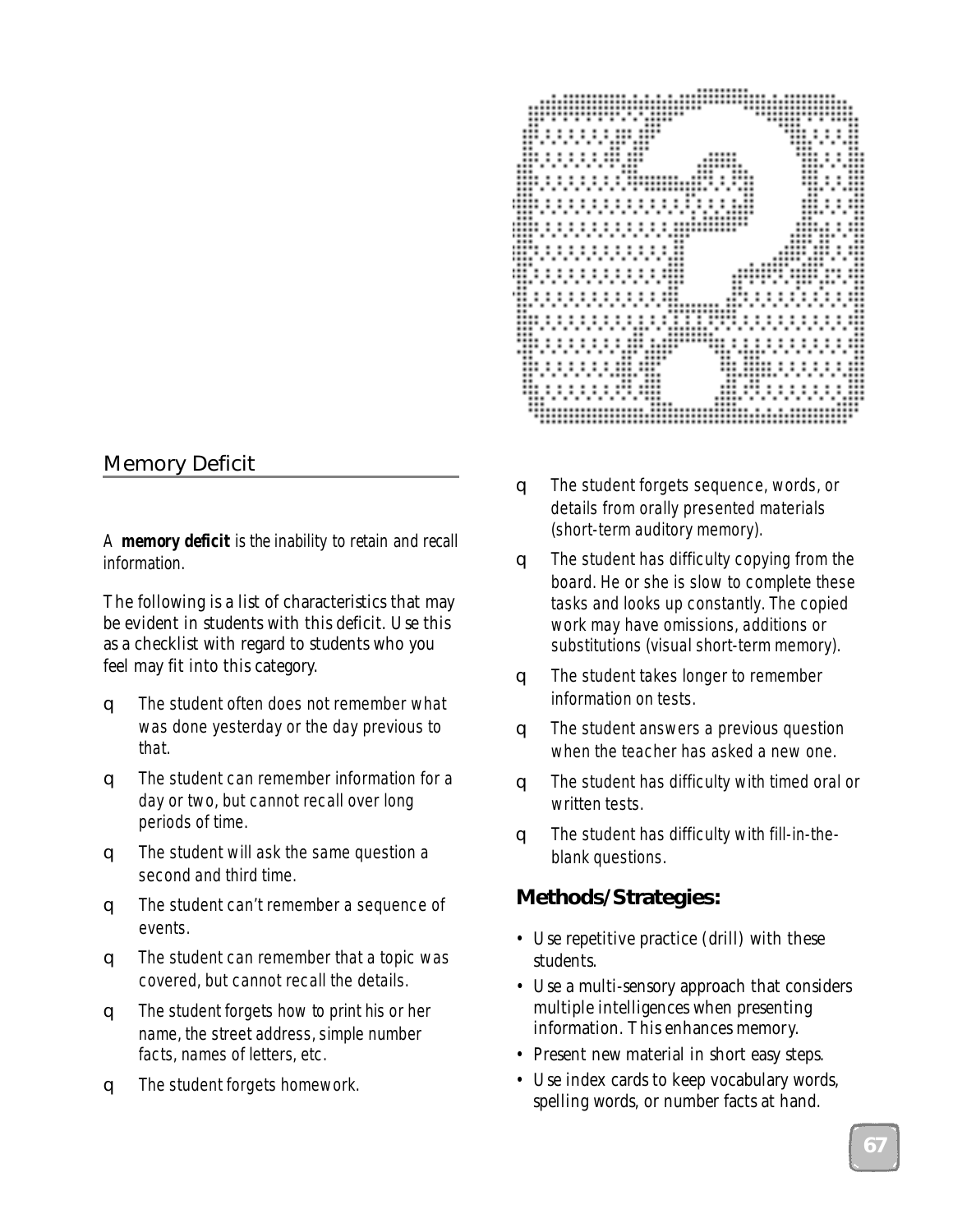### Memory Deficit

*A memory deficit is the inability to retain and recall information.*

The following is a list of characteristics that may be evident in students with this deficit. Use this as a checklist with regard to students who you feel may fit into this category.

- ❑ The student often does not remember what was done yesterday or the day previous to that.
- ❑ The student can remember information for a day or two, but cannot recall over long periods of time.
- ❑ The student will ask the same question a second and third time.
- ❑ The student can't remember a sequence of events.
- ❑ The student can remember that a topic was covered, but cannot recall the details.
- ❑ The student forgets how to print his or her name, the street address, simple number facts, names of letters, etc.
- ❑ The student forgets homework.
- 
- ❑ The student forgets sequence, words, or details from orally presented materials (short-term auditory memory).
- ❑ The student has difficulty copying from the board. He or she is slow to complete these tasks and looks up constantly. The copied work may have omissions, additions or substitutions (visual short-term memory).
- ❑ The student takes longer to remember information on tests.
- ❑ The student answers a previous question when the teacher has asked a new one.
- ❑ The student has difficulty with timed oral or written tests.
- ❑ The student has difficulty with fill-in-theblank questions.

#### **Methods/Strategies:**

- Use repetitive practice (drill) with these students.
- Use a multi-sensory approach that considers multiple intelligences when presenting information. This enhances memory.
- Present new material in short easy steps.
- Use index cards to keep vocabulary words, spelling words, or number facts at hand.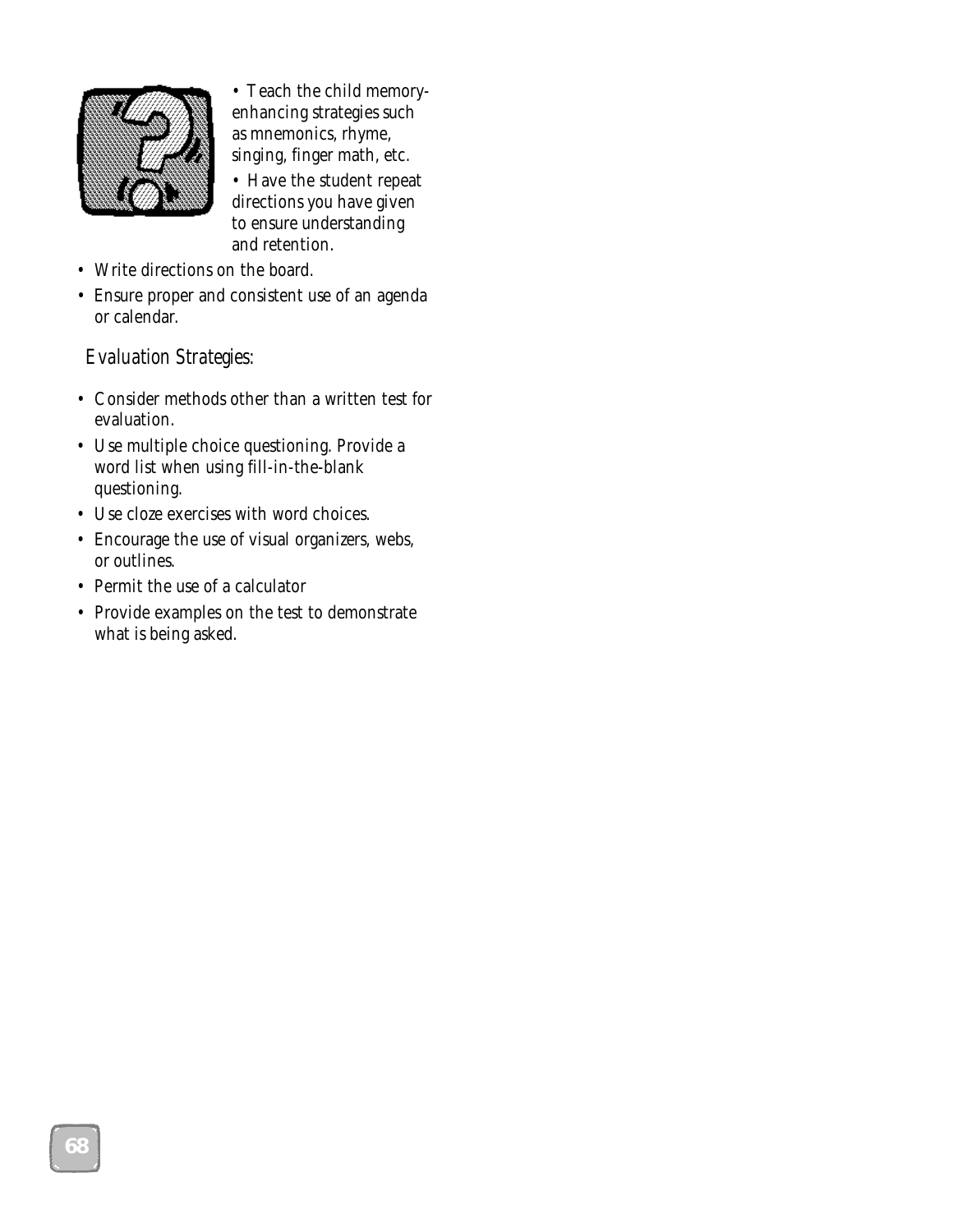

• Teach the child memoryenhancing strategies such as mnemonics, rhyme, singing, finger math, etc.

• Have the student repeat directions you have given to ensure understanding and retention.

- Write directions on the board.
- Ensure proper and consistent use of an agenda or calendar.

- Consider methods other than a written test for evaluation.
- Use multiple choice questioning. Provide a word list when using fill-in-the-blank questioning.
- Use cloze exercises with word choices.
- Encourage the use of visual organizers, webs, or outlines.
- Permit the use of a calculator
- Provide examples on the test to demonstrate what is being asked.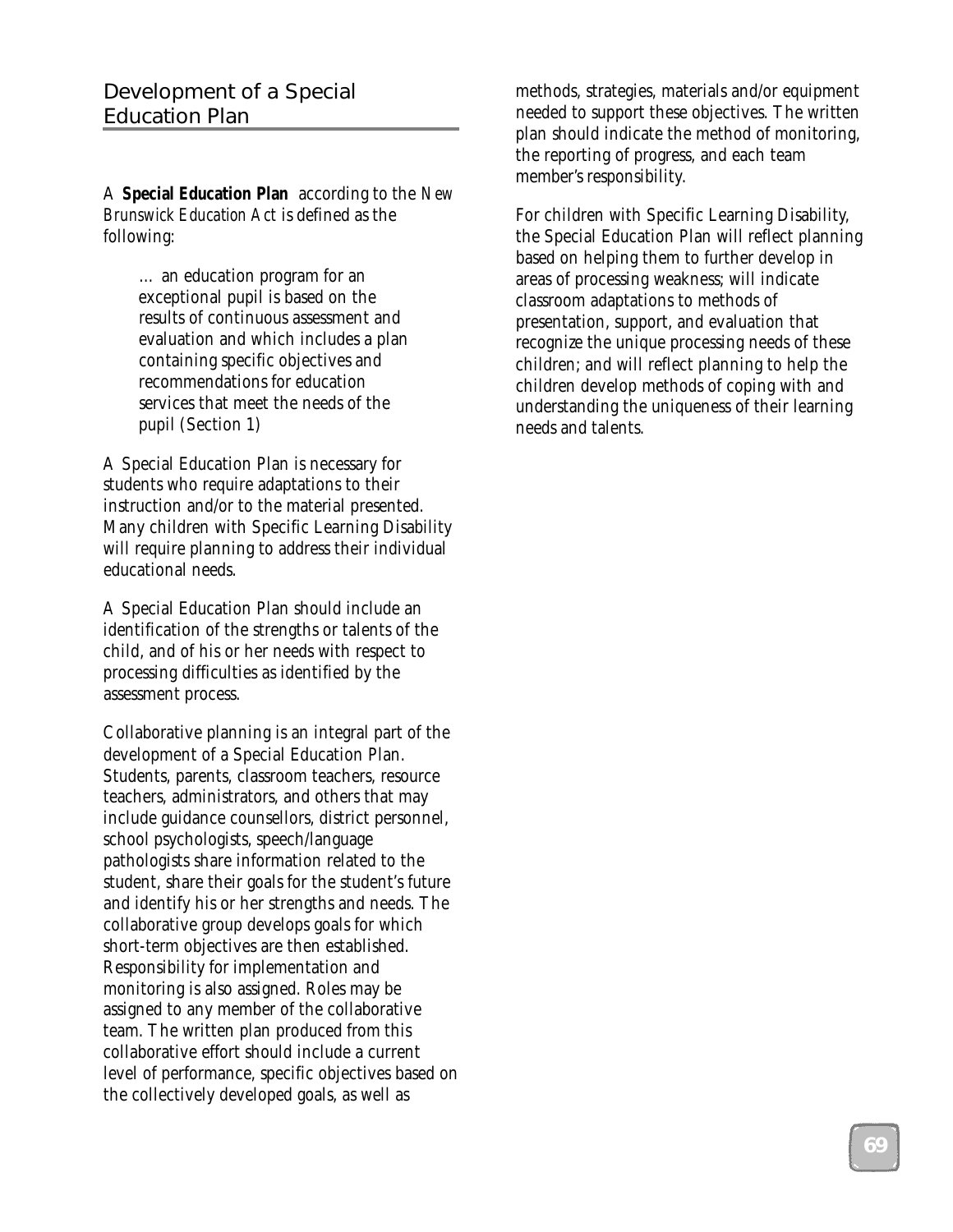A **Special Education Plan** according to the *New Brunswick Education Act* is defined as the following:

… an education program for an exceptional pupil is based on the results of continuous assessment and evaluation and which includes a plan containing specific objectives and recommendations for education services that meet the needs of the pupil (Section 1)

A Special Education Plan is necessary for students who require adaptations to their instruction and/or to the material presented. Many children with Specific Learning Disability will require planning to address their individual educational needs.

A Special Education Plan should include an identification of the strengths or talents of the child, and of his or her needs with respect to processing difficulties as identified by the assessment process.

Collaborative planning is an integral part of the development of a Special Education Plan. Students, parents, classroom teachers, resource teachers, administrators, and others that may include guidance counsellors, district personnel, school psychologists, speech/language pathologists share information related to the student, share their goals for the student's future and identify his or her strengths and needs. The collaborative group develops goals for which short-term objectives are then established. Responsibility for implementation and monitoring is also assigned. Roles may be assigned to any member of the collaborative team. The written plan produced from this collaborative effort should include a current level of performance, specific objectives based on the collectively developed goals, as well as

methods, strategies, materials and/or equipment needed to support these objectives. The written plan should indicate the method of monitoring, the reporting of progress, and each team member's responsibility.

For children with Specific Learning Disability, the Special Education Plan will reflect planning based on helping them to further develop in areas of processing weakness; will indicate classroom adaptations to methods of presentation, support, and evaluation that recognize the unique processing needs of these children; and will reflect planning to help the children develop methods of coping with and understanding the uniqueness of their learning needs and talents.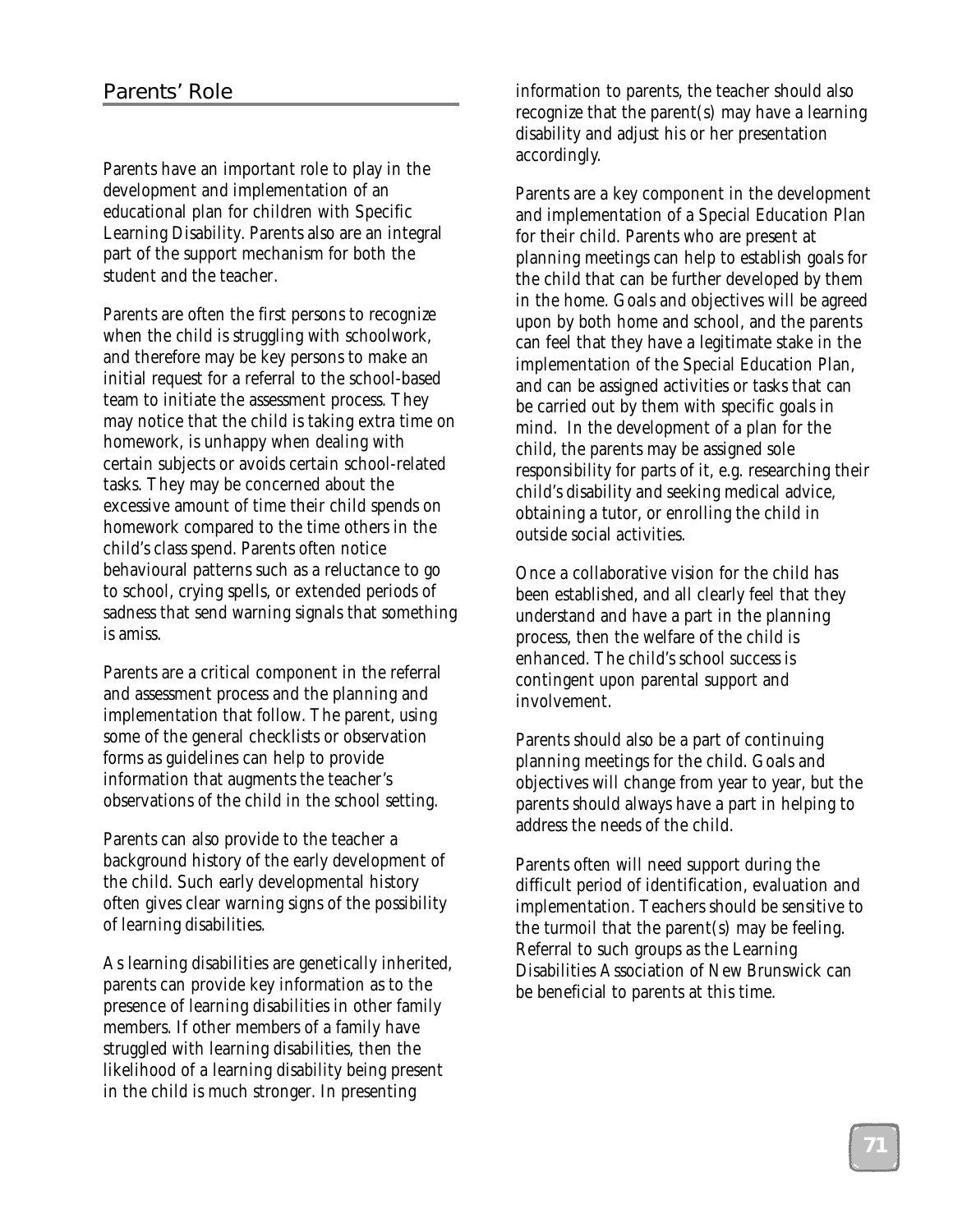Parents have an important role to play in the development and implementation of an educational plan for children with Specific Learning Disability. Parents also are an integral part of the support mechanism for both the student and the teacher.

Parents are often the first persons to recognize when the child is struggling with schoolwork, and therefore may be key persons to make an initial request for a referral to the school-based team to initiate the assessment process. They may notice that the child is taking extra time on homework, is unhappy when dealing with certain subjects or avoids certain school-related tasks. They may be concerned about the excessive amount of time their child spends on homework compared to the time others in the child's class spend. Parents often notice behavioural patterns such as a reluctance to go to school, crying spells, or extended periods of sadness that send warning signals that something is amiss.

Parents are a critical component in the referral and assessment process and the planning and implementation that follow. The parent, using some of the general checklists or observation forms as guidelines can help to provide information that augments the teacher's observations of the child in the school setting.

Parents can also provide to the teacher a background history of the early development of the child. Such early developmental history often gives clear warning signs of the possibility of learning disabilities.

As learning disabilities are genetically inherited, parents can provide key information as to the presence of learning disabilities in other family members. If other members of a family have struggled with learning disabilities, then the likelihood of a learning disability being present in the child is much stronger. In presenting

information to parents, the teacher should also recognize that the parent(s) may have a learning disability and adjust his or her presentation accordingly.

Parents are a key component in the development and implementation of a Special Education Plan for their child. Parents who are present at planning meetings can help to establish goals for the child that can be further developed by them in the home. Goals and objectives will be agreed upon by both home and school, and the parents can feel that they have a legitimate stake in the implementation of the Special Education Plan, and can be assigned activities or tasks that can be carried out by them with specific goals in mind. In the development of a plan for the child, the parents may be assigned sole responsibility for parts of it, e.g. researching their child's disability and seeking medical advice, obtaining a tutor, or enrolling the child in outside social activities.

Once a collaborative vision for the child has been established, and all clearly feel that they understand and have a part in the planning process, then the welfare of the child is enhanced. The child's school success is contingent upon parental support and involvement.

Parents should also be a part of continuing planning meetings for the child. Goals and objectives will change from year to year, but the parents should always have a part in helping to address the needs of the child.

Parents often will need support during the difficult period of identification, evaluation and implementation. Teachers should be sensitive to the turmoil that the parent(s) may be feeling. Referral to such groups as the Learning Disabilities Association of New Brunswick can be beneficial to parents at this time.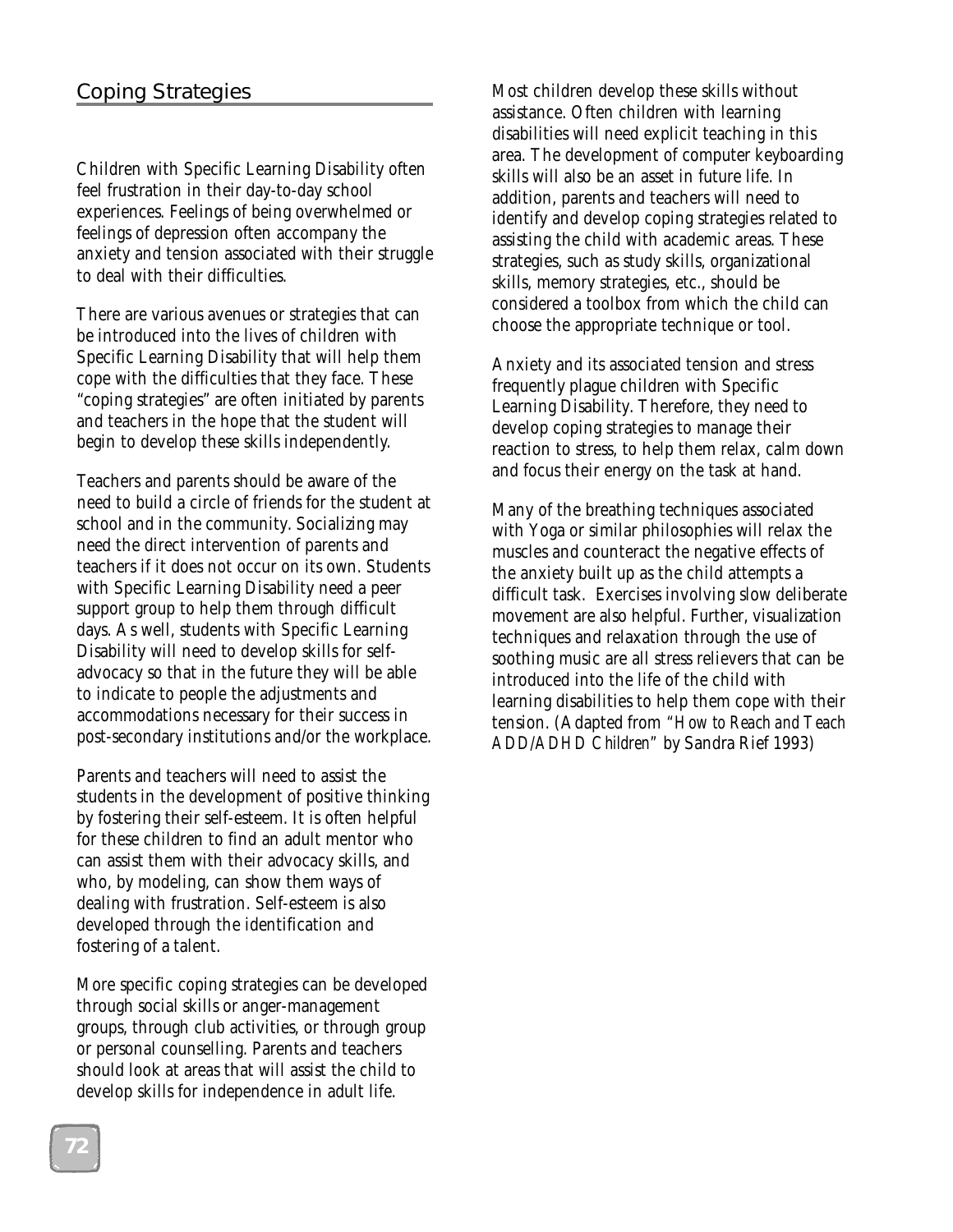Children with Specific Learning Disability often feel frustration in their day-to-day school experiences. Feelings of being overwhelmed or feelings of depression often accompany the anxiety and tension associated with their struggle to deal with their difficulties.

There are various avenues or strategies that can be introduced into the lives of children with Specific Learning Disability that will help them cope with the difficulties that they face. These "coping strategies" are often initiated by parents and teachers in the hope that the student will begin to develop these skills independently.

Teachers and parents should be aware of the need to build a circle of friends for the student at school and in the community. Socializing may need the direct intervention of parents and teachers if it does not occur on its own. Students with Specific Learning Disability need a peer support group to help them through difficult days. As well, students with Specific Learning Disability will need to develop skills for selfadvocacy so that in the future they will be able to indicate to people the adjustments and accommodations necessary for their success in post-secondary institutions and/or the workplace.

Parents and teachers will need to assist the students in the development of positive thinking by fostering their self-esteem. It is often helpful for these children to find an adult mentor who can assist them with their advocacy skills, and who, by modeling, can show them ways of dealing with frustration. Self-esteem is also developed through the identification and fostering of a talent.

More specific coping strategies can be developed through social skills or anger-management groups, through club activities, or through group or personal counselling. Parents and teachers should look at areas that will assist the child to develop skills for independence in adult life.

Most children develop these skills without assistance. Often children with learning disabilities will need explicit teaching in this area. The development of computer keyboarding skills will also be an asset in future life. In addition, parents and teachers will need to identify and develop coping strategies related to assisting the child with academic areas. These strategies, such as study skills, organizational skills, memory strategies, etc., should be considered a toolbox from which the child can choose the appropriate technique or tool.

Anxiety and its associated tension and stress frequently plague children with Specific Learning Disability. Therefore, they need to develop coping strategies to manage their reaction to stress, to help them relax, calm down and focus their energy on the task at hand.

Many of the breathing techniques associated with Yoga or similar philosophies will relax the muscles and counteract the negative effects of the anxiety built up as the child attempts a difficult task. Exercises involving slow deliberate movement are also helpful. Further, visualization techniques and relaxation through the use of soothing music are all stress relievers that can be introduced into the life of the child with learning disabilities to help them cope with their tension. (Adapted from *"How to Reach and Teach ADD/ADHD Children"* by Sandra Rief 1993)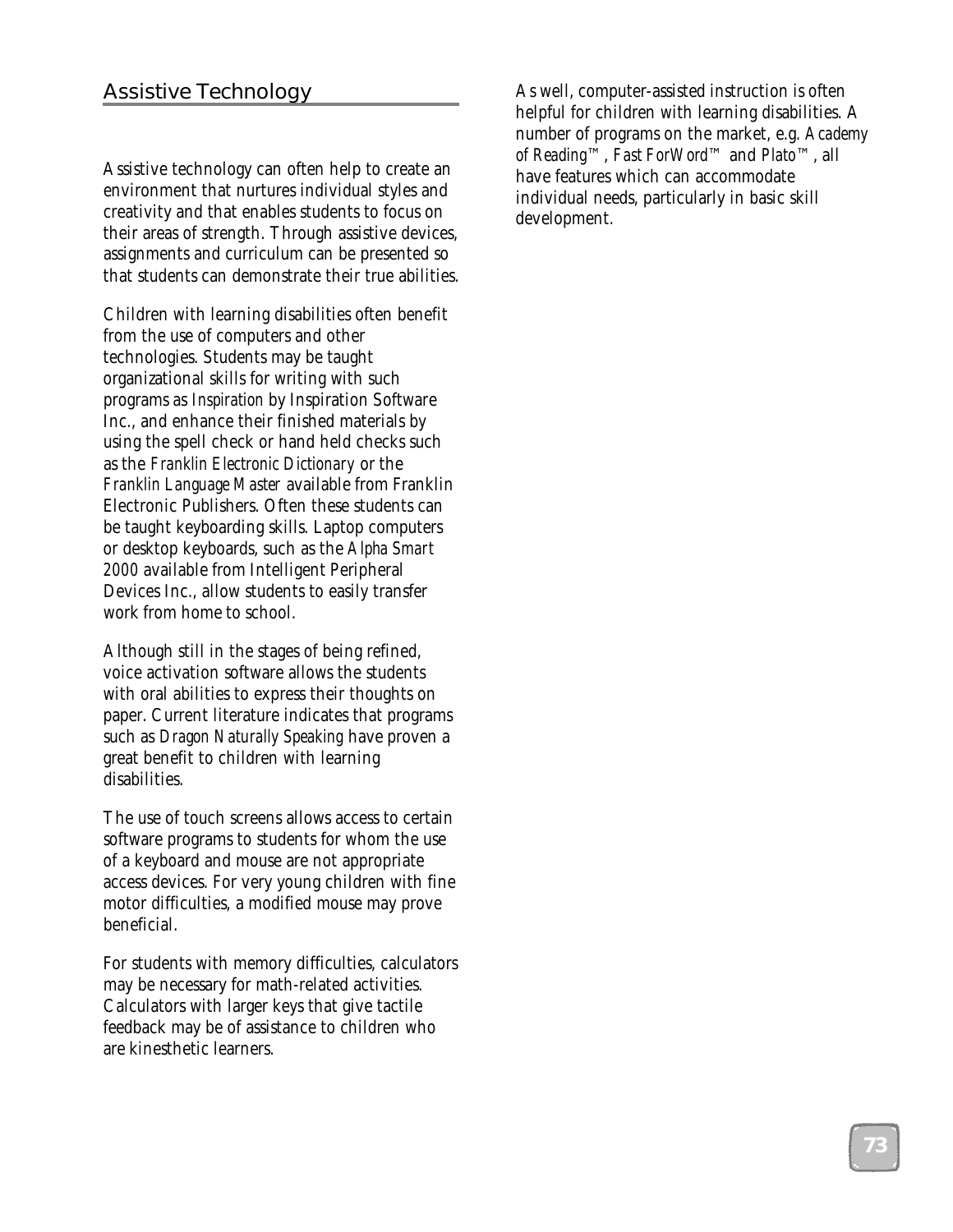Assistive technology can often help to create an environment that nurtures individual styles and creativity and that enables students to focus on their areas of strength. Through assistive devices, assignments and curriculum can be presented so that students can demonstrate their true abilities.

Children with learning disabilities often benefit from the use of computers and other technologies. Students may be taught organizational skills for writing with such programs as *Inspiration* by Inspiration Software Inc., and enhance their finished materials by using the spell check or hand held checks such as the *Franklin Electronic Dictionary* or the *Franklin Language Master* available from Franklin Electronic Publishers. Often these students can be taught keyboarding skills. Laptop computers or desktop keyboards, such as the *Alpha Smart 2000* available from Intelligent Peripheral Devices Inc., allow students to easily transfer work from home to school.

Although still in the stages of being refined, voice activation software allows the students with oral abilities to express their thoughts on paper. Current literature indicates that programs such as *Dragon Naturally Speaking* have proven a great benefit to children with learning disabilities.

The use of touch screens allows access to certain software programs to students for whom the use of a keyboard and mouse are not appropriate access devices. For very young children with fine motor difficulties, a modified mouse may prove beneficial.

For students with memory difficulties, calculators may be necessary for math-related activities. Calculators with larger keys that give tactile feedback may be of assistance to children who are kinesthetic learners.

As well, computer-assisted instruction is often helpful for children with learning disabilities. A number of programs on the market, e.g. *Academy of Reading*™, *Fast ForWord*™ and *Plato*™, all have features which can accommodate individual needs, particularly in basic skill development.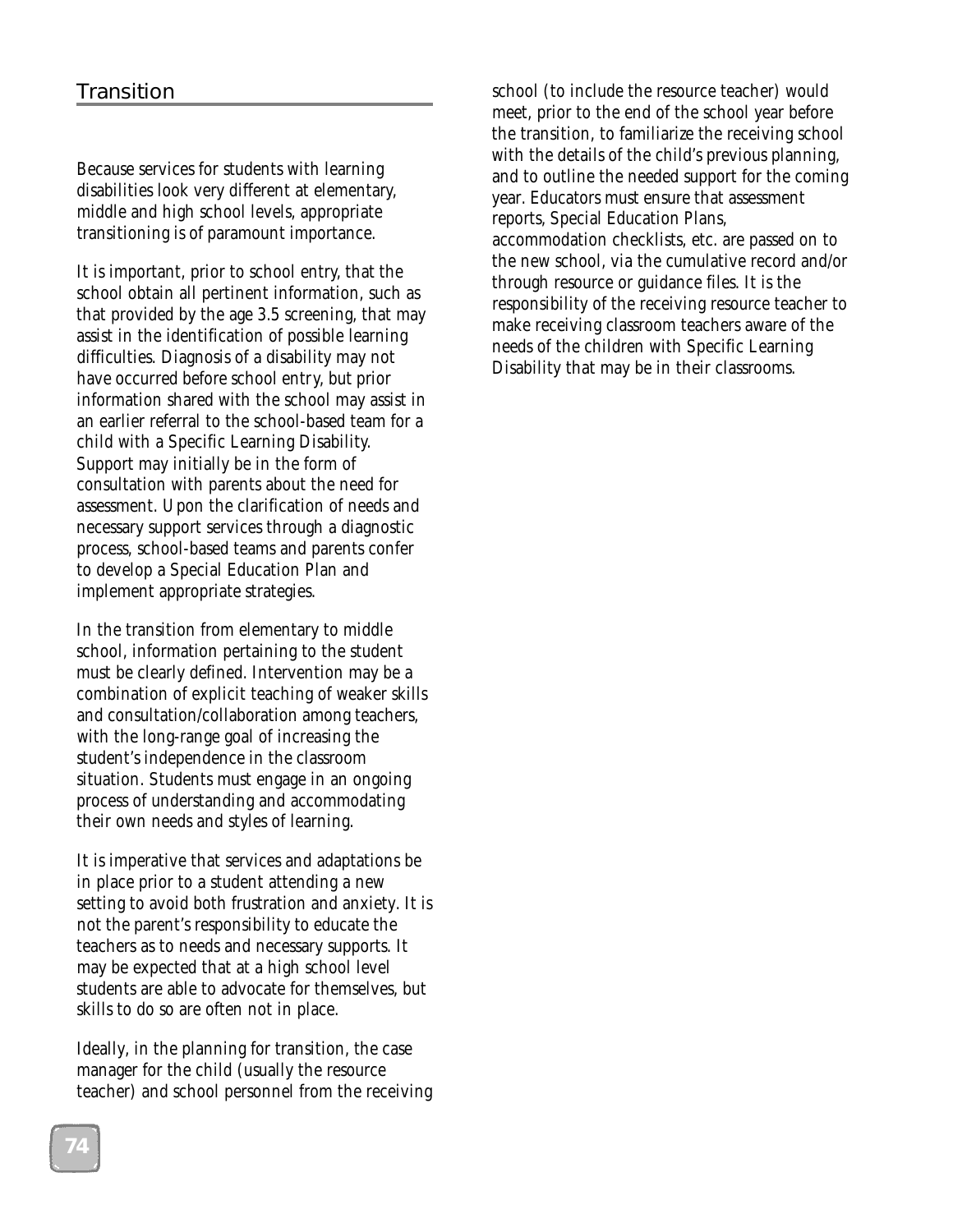Because services for students with learning disabilities look very different at elementary, middle and high school levels, appropriate transitioning is of paramount importance.

It is important, prior to school entry, that the school obtain all pertinent information, such as that provided by the age 3.5 screening, that may assist in the identification of possible learning difficulties. Diagnosis of a disability may not have occurred before school entry, but prior information shared with the school may assist in an earlier referral to the school-based team for a child with a Specific Learning Disability. Support may initially be in the form of consultation with parents about the need for assessment. Upon the clarification of needs and necessary support services through a diagnostic process, school-based teams and parents confer to develop a Special Education Plan and implement appropriate strategies.

In the transition from elementary to middle school, information pertaining to the student must be clearly defined. Intervention may be a combination of explicit teaching of weaker skills and consultation/collaboration among teachers, with the long-range goal of increasing the student's independence in the classroom situation. Students must engage in an ongoing process of understanding and accommodating their own needs and styles of learning.

It is imperative that services and adaptations be in place prior to a student attending a new setting to avoid both frustration and anxiety. It is not the parent's responsibility to educate the teachers as to needs and necessary supports. It may be expected that at a high school level students are able to advocate for themselves, but skills to do so are often not in place.

Ideally, in the planning for transition, the case manager for the child (usually the resource teacher) and school personnel from the receiving school (to include the resource teacher) would meet, prior to the end of the school year before the transition, to familiarize the receiving school with the details of the child's previous planning, and to outline the needed support for the coming year. Educators must ensure that assessment reports, Special Education Plans, accommodation checklists, etc. are passed on to the new school, via the cumulative record and/or through resource or guidance files. It is the responsibility of the receiving resource teacher to make receiving classroom teachers aware of the needs of the children with Specific Learning Disability that may be in their classrooms.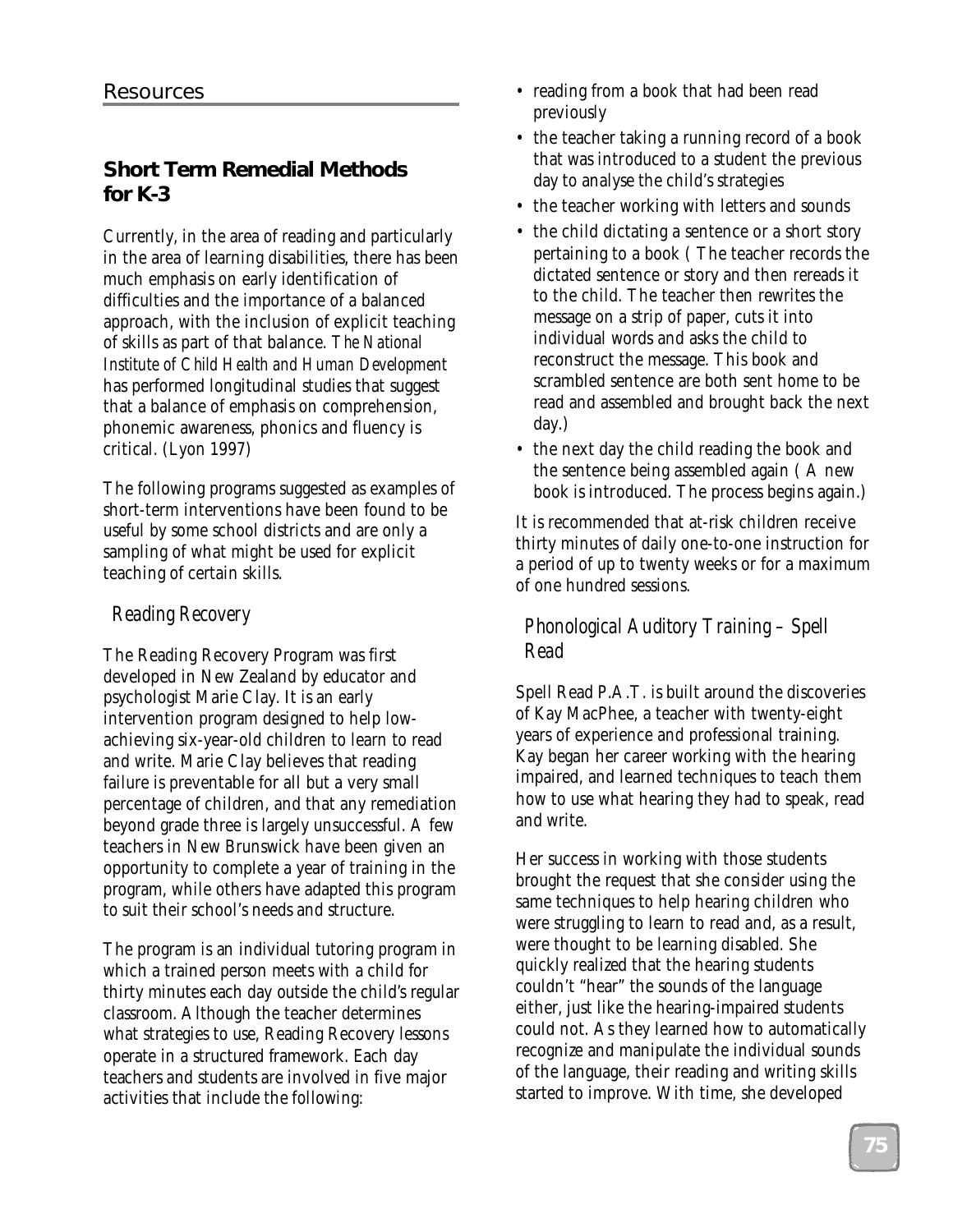## **Short Term Remedial Methods for K-3**

Currently, in the area of reading and particularly in the area of learning disabilities, there has been much emphasis on early identification of difficulties and the importance of a balanced approach, with the inclusion of explicit teaching of skills as part of that balance. *The National Institute of Child Health and Human Development* has performed longitudinal studies that suggest that a balance of emphasis on comprehension, phonemic awareness, phonics and fluency is critical. (Lyon 1997)

The following programs suggested as examples of short-term interventions have been found to be useful by some school districts and are only a sampling of what might be used for explicit teaching of certain skills.

### *Reading Recovery*

The Reading Recovery Program was first developed in New Zealand by educator and psychologist Marie Clay. It is an early intervention program designed to help lowachieving six-year-old children to learn to read and write. Marie Clay believes that reading failure is preventable for all but a very small percentage of children, and that any remediation beyond grade three is largely unsuccessful. A few teachers in New Brunswick have been given an opportunity to complete a year of training in the program, while others have adapted this program to suit their school's needs and structure.

The program is an individual tutoring program in which a trained person meets with a child for thirty minutes each day outside the child's regular classroom. Although the teacher determines what strategies to use, Reading Recovery lessons operate in a structured framework. Each day teachers and students are involved in five major activities that include the following:

- reading from a book that had been read previously
- the teacher taking a running record of a book that was introduced to a student the previous day to analyse the child's strategies
- the teacher working with letters and sounds
- the child dictating a sentence or a short story pertaining to a book ( The teacher records the dictated sentence or story and then rereads it to the child. The teacher then rewrites the message on a strip of paper, cuts it into individual words and asks the child to reconstruct the message. This book and scrambled sentence are both sent home to be read and assembled and brought back the next day.)
- the next day the child reading the book and the sentence being assembled again ( A new book is introduced. The process begins again.)

It is recommended that at-risk children receive thirty minutes of daily one-to-one instruction for a period of up to twenty weeks or for a maximum of one hundred sessions.

## *Phonological Auditory Training – Spell Read*

Spell Read P.A.T. is built around the discoveries of Kay MacPhee, a teacher with twenty-eight years of experience and professional training. Kay began her career working with the hearing impaired, and learned techniques to teach them how to use what hearing they had to speak, read and write.

Her success in working with those students brought the request that she consider using the same techniques to help hearing children who were struggling to learn to read and, as a result, were thought to be learning disabled. She quickly realized that the hearing students couldn't "hear" the sounds of the language either, just like the hearing-impaired students could not. As they learned how to automatically recognize and manipulate the individual sounds of the language, their reading and writing skills started to improve. With time, she developed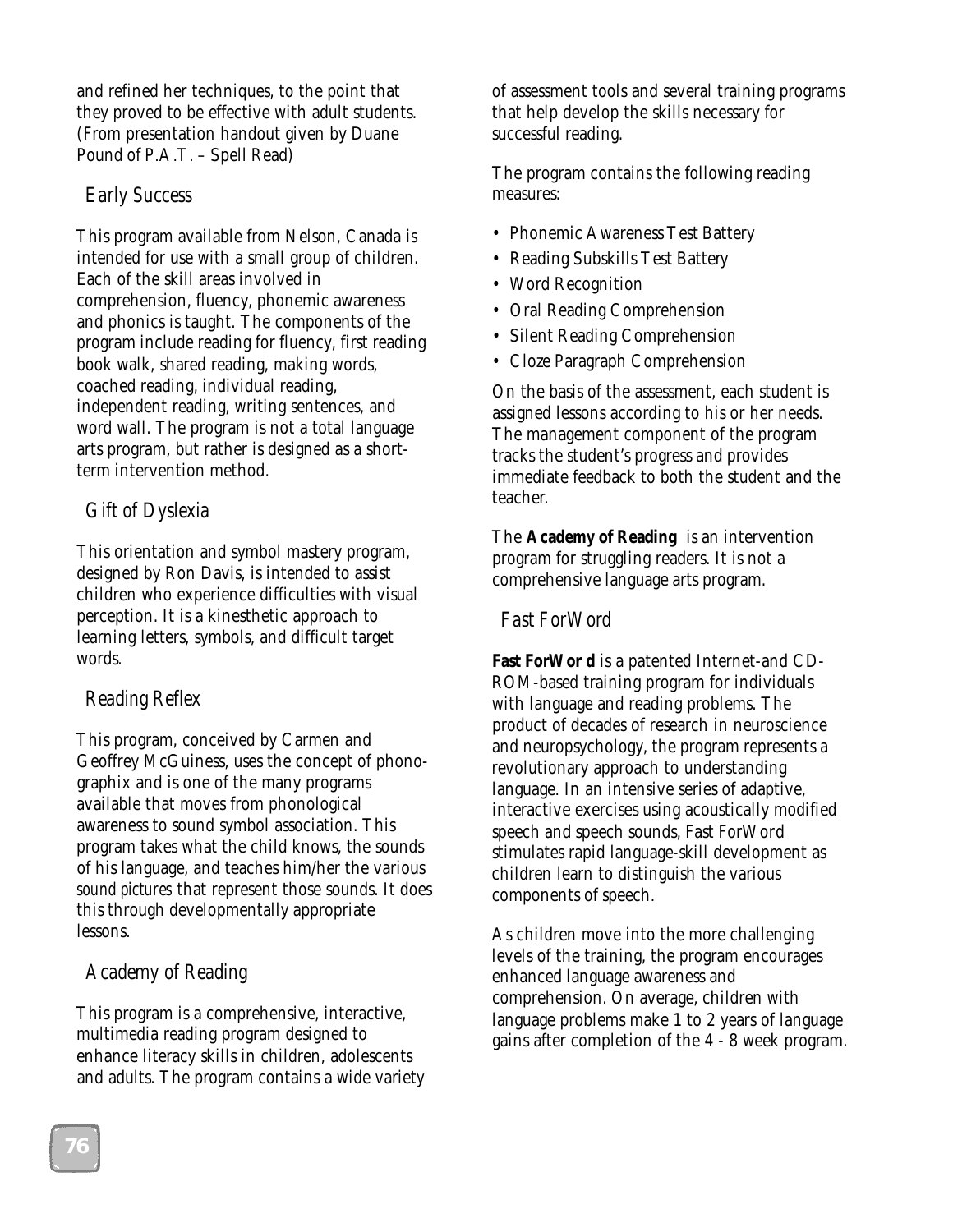and refined her techniques, to the point that they proved to be effective with adult students. (From presentation handout given by Duane Pound of P.A.T. – Spell Read)

### *Early Success*

This program available from Nelson, Canada is intended for use with a small group of children. Each of the skill areas involved in comprehension, fluency, phonemic awareness and phonics is taught. The components of the program include reading for fluency, first reading book walk, shared reading, making words, coached reading, individual reading, independent reading, writing sentences, and word wall. The program is not a total language arts program, but rather is designed as a shortterm intervention method.

## *Gift of Dyslexia*

This orientation and symbol mastery program, designed by Ron Davis, is intended to assist children who experience difficulties with visual perception. It is a kinesthetic approach to learning letters, symbols, and difficult target words.

# *Reading Reflex*

This program, conceived by Carmen and Geoffrey McGuiness, uses the concept of phonographix and is one of the many programs available that moves from phonological awareness to sound symbol association. This program takes what the child knows, the sounds of his language, and teaches him/her the various *sound pictures* that represent those sounds. It does this through developmentally appropriate lessons.

## *Academy of Reading*

This program is a comprehensive, interactive, multimedia reading program designed to enhance literacy skills in children, adolescents and adults. The program contains a wide variety of assessment tools and several training programs that help develop the skills necessary for successful reading.

The program contains the following reading measures:

- Phonemic Awareness Test Battery
- Reading Subskills Test Battery
- Word Recognition
- Oral Reading Comprehension
- Silent Reading Comprehension
- Cloze Paragraph Comprehension

On the basis of the assessment, each student is assigned lessons according to his or her needs. The management component of the program tracks the student's progress and provides immediate feedback to both the student and the teacher.

The **Academy of Reading** is an intervention program for struggling readers. It is not a comprehensive language arts program.

### *Fast ForWord*

**Fast ForWor d** is a patented Internet-and CD-ROM-based training program for individuals with language and reading problems. The product of decades of research in neuroscience and neuropsychology, the program represents a revolutionary approach to understanding language. In an intensive series of adaptive, interactive exercises using acoustically modified speech and speech sounds, Fast ForWord stimulates rapid language-skill development as children learn to distinguish the various components of speech.

As children move into the more challenging levels of the training, the program encourages enhanced language awareness and comprehension. On average, children with language problems make 1 to 2 years of language gains after completion of the 4 - 8 week program.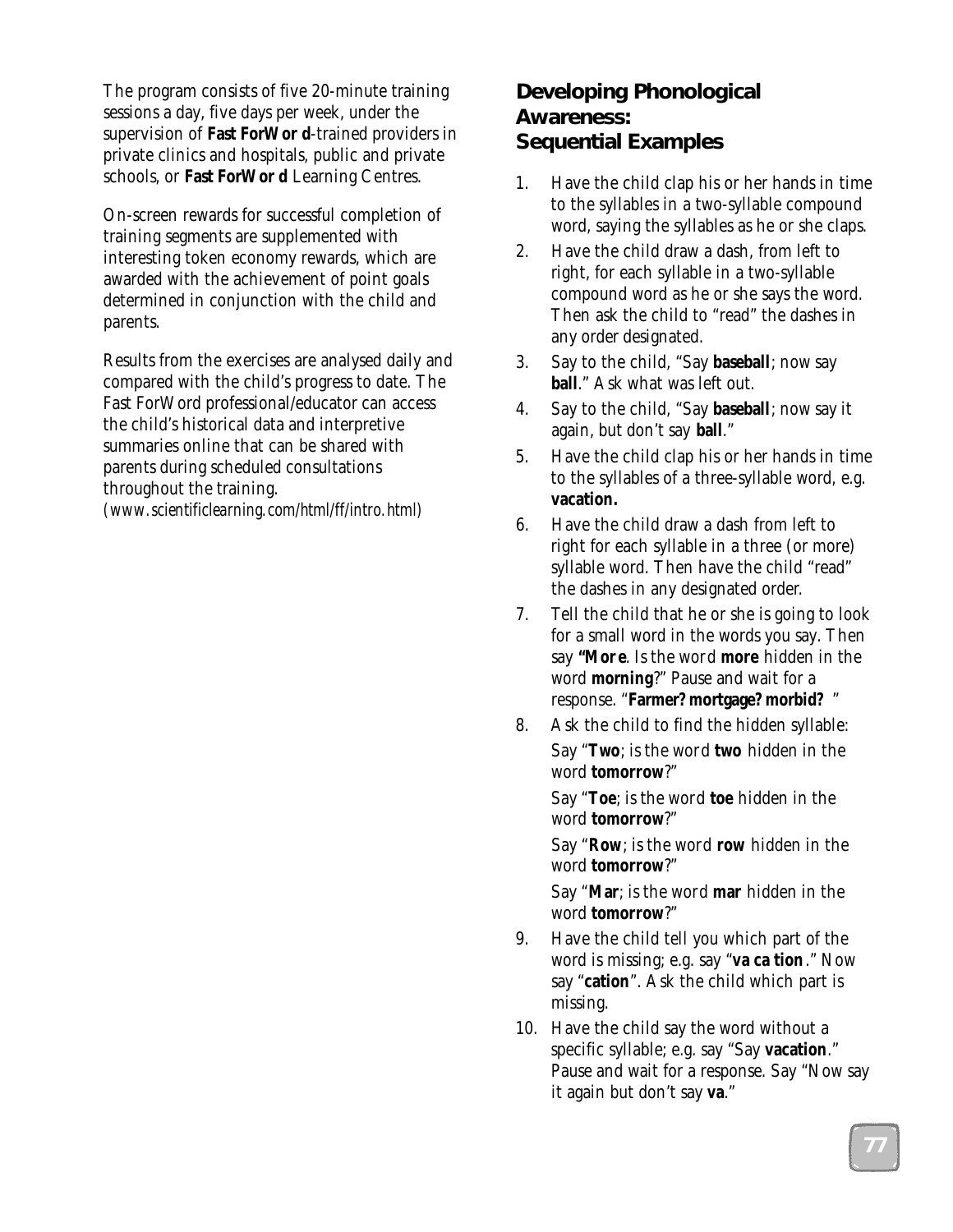The program consists of five 20-minute training sessions a day, five days per week, under the supervision of **Fast ForWor d**-trained providers in private clinics and hospitals, public and private schools, or **Fast ForWor d** Learning Centres.

On-screen rewards for successful completion of training segments are supplemented with interesting token economy rewards, which are awarded with the achievement of point goals determined in conjunction with the child and parents.

Results from the exercises are analysed daily and compared with the child's progress to date. The Fast ForWord professional/educator can access the child's historical data and interpretive summaries online that can be shared with parents during scheduled consultations throughout the training. *(www.scientificlearning.com/html/ff/intro.html)*

## **Developing Phonological Awareness: Sequential Examples**

- 1. Have the child clap his or her hands in time to the syllables in a two-syllable compound word, saying the syllables as he or she claps.
- 2. Have the child draw a dash, from left to right, for each syllable in a two-syllable compound word as he or she says the word. Then ask the child to "read" the dashes in any order designated.
- 3. Say to the child, "Say **baseball**; now say **ball**." Ask what was left out.
- 4. Say to the child, "Say **baseball**; now say it again, but don't say **ball**."
- 5. Have the child clap his or her hands in time to the syllables of a three-syllable word, e.g. **vacation.**
- 6. Have the child draw a dash from left to right for each syllable in a three (or more) syllable word. Then have the child "read" the dashes in any designated order.
- 7. Tell the child that he or she is going to look for a small word in the words you say. Then say **"Mor e**. Is the word **more** hidden in the word **morning**?" Pause and wait for a response. "**Farmer? mortgage? morbid?** "
- 8. Ask the child to find the hidden syllable: Say "**Two**; is the word **two** hidden in the word **tomorrow**?"

Say "**Toe**; is the word **toe** hidden in the word **tomorrow**?"

Say "**Row**; is the word **row** hidden in the word **tomorrow**?"

Say "**Mar**; is the word **mar** hidden in the word **tomorrow**?"

- 9. Have the child tell you which part of the word is missing; e.g. say "**va ca tion**." Now say "**cation**". Ask the child which part is missing.
- 10. Have the child say the word without a specific syllable; e.g. say "Say **vacation**." Pause and wait for a response. Say "Now say it again but don't say **va**."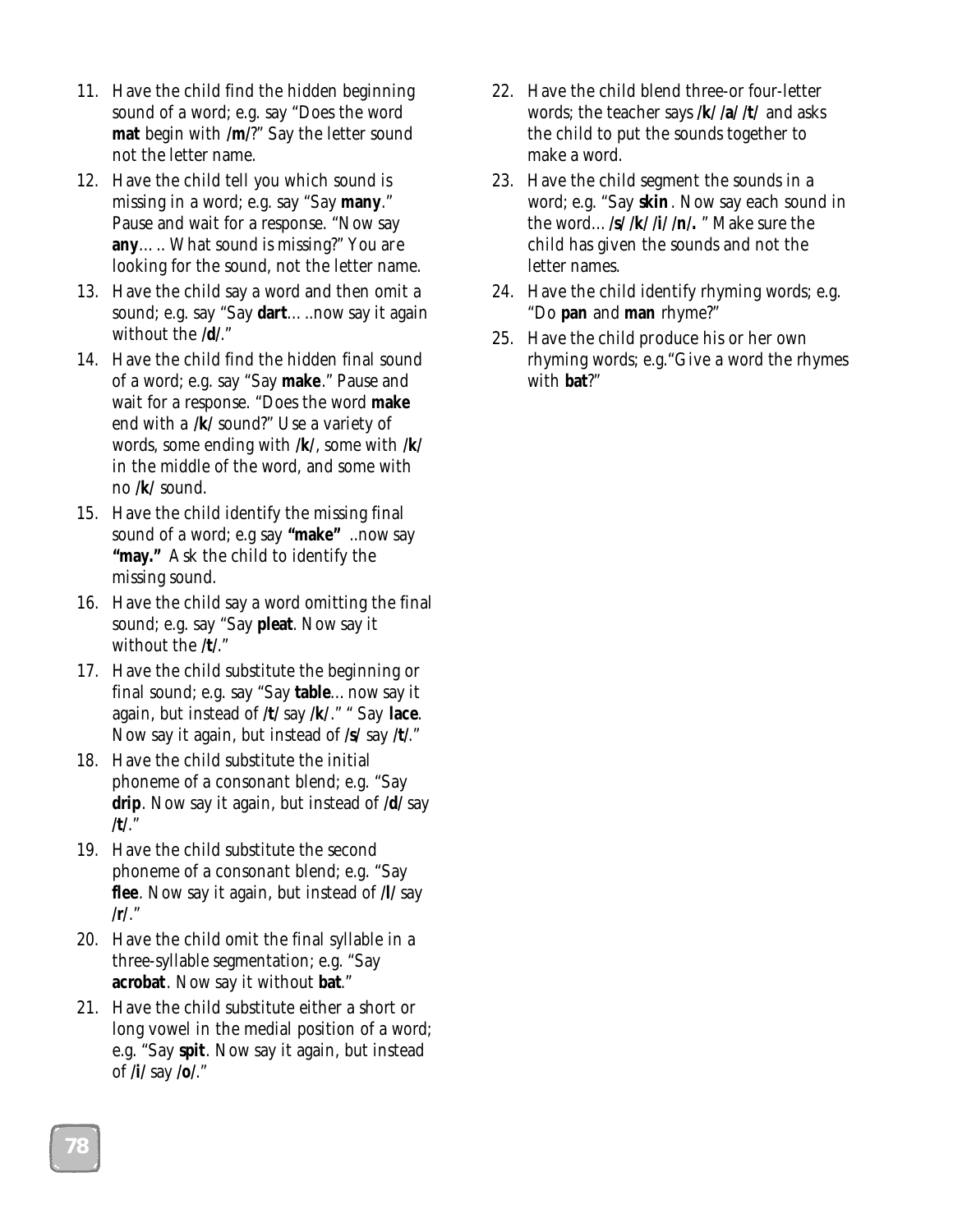- 11. Have the child find the hidden beginning sound of a word; e.g. say "Does the word **mat** begin with **/m/**?" Say the letter sound not the letter name.
- 12. Have the child tell you which sound is missing in a word; e.g. say "Say **many**." Pause and wait for a response. "Now say **any**….. What sound is missing?" You are looking for the sound, not the letter name.
- 13. Have the child say a word and then omit a sound; e.g. say "Say **dart**…..now say it again without the **/d/**."
- 14. Have the child find the hidden final sound of a word; e.g. say "Say **make**." Pause and wait for a response. "Does the word **make** end with a **/k/** sound?" Use a variety of words, some ending with **/k/**, some with **/k/** in the middle of the word, and some with no **/k/** sound.
- 15. Have the child identify the missing final sound of a word; e.g say **"make"** ..now say **"may."** Ask the child to identify the missing sound.
- 16. Have the child say a word omitting the final sound; e.g. say "Say **pleat**. Now say it without the **/t/**."
- 17. Have the child substitute the beginning or final sound; e.g. say "Say **table**…now say it again, but instead of **/t/** say **/k/**." " Say **lace**. Now say it again, but instead of **/s/** say **/t/**."
- 18. Have the child substitute the initial phoneme of a consonant blend; e.g. "Say **drip**. Now say it again, but instead of **/d/** say **/t/**."
- 19. Have the child substitute the second phoneme of a consonant blend; e.g. "Say **flee**. Now say it again, but instead of **/l/** say **/r/**."
- 20. Have the child omit the final syllable in a three-syllable segmentation; e.g. "Say **acrobat**. Now say it without **bat**."
- 21. Have the child substitute either a short or long vowel in the medial position of a word; e.g. "Say **spit**. Now say it again, but instead of **/i/** say **/o/**."
- 22. Have the child blend three-or four-letter words; the teacher says **/k/ /a/ /t/** and asks the child to put the sounds together to make a word.
- 23. Have the child segment the sounds in a word; e.g. "Say **skin**. Now say each sound in the word…**/s/ /k/ /i/ /n/.** " Make sure the child has given the sounds and not the letter names.
- 24. Have the child identify rhyming words; e.g. "Do **pan** and **man** rhyme?"
- 25. Have the child produce his or her own rhyming words; e.g."Give a word the rhymes with **bat**?"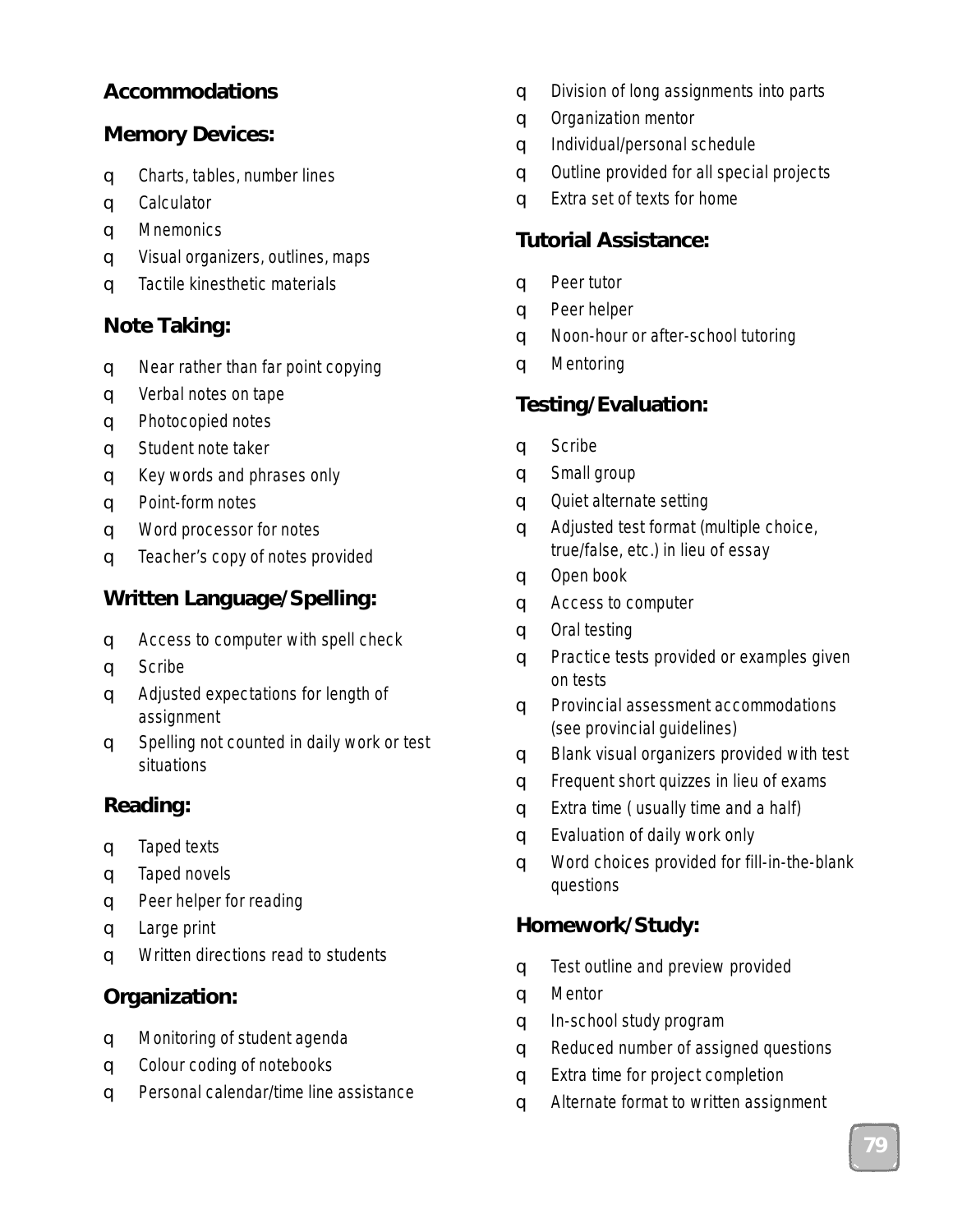# **Accommodations**

# *Memory Devices:*

- ❑ Charts, tables, number lines
- ❑ Calculator
- ❑ Mnemonics
- ❑ Visual organizers, outlines, maps
- ❑ Tactile kinesthetic materials

# *Note Taking:*

- ❑ Near rather than far point copying
- ❑ Verbal notes on tape
- ❑ Photocopied notes
- ❑ Student note taker
- ❑ Key words and phrases only
- ❑ Point-form notes
- ❑ Word processor for notes
- ❑ Teacher's copy of notes provided

# *Written Language/Spelling:*

- ❑ Access to computer with spell check
- ❑ Scribe
- ❑ Adjusted expectations for length of assignment
- ❑ Spelling not counted in daily work or test situations

# *Reading:*

- ❑ Taped texts
- ❑ Taped novels
- ❑ Peer helper for reading
- ❑ Large print
- ❑ Written directions read to students

# *Organization:*

- ❑ Monitoring of student agenda
- ❑ Colour coding of notebooks
- ❑ Personal calendar/time line assistance
- ❑ Division of long assignments into parts
- ❑ Organization mentor
- ❑ Individual/personal schedule
- ❑ Outline provided for all special projects
- ❑ Extra set of texts for home

## *Tutorial Assistance:*

- ❑ Peer tutor
- ❑ Peer helper
- ❑ Noon-hour or after-school tutoring
- ❑ Mentoring

# *Testing/Evaluation:*

- ❑ Scribe
- ❑ Small group
- ❑ Quiet alternate setting
- ❑ Adjusted test format (multiple choice, true/false, etc.) in lieu of essay
- ❑ Open book
- ❑ Access to computer
- ❑ Oral testing
- ❑ Practice tests provided or examples given on tests
- ❑ Provincial assessment accommodations (see provincial guidelines)
- ❑ Blank visual organizers provided with test
- ❑ Frequent short quizzes in lieu of exams
- ❑ Extra time ( usually time and a half)
- ❑ Evaluation of daily work only
- ❑ Word choices provided for fill-in-the-blank questions

# *Homework/Study:*

- ❑ Test outline and preview provided
- ❑ Mentor
- ❑ In-school study program
- ❑ Reduced number of assigned questions
- ❑ Extra time for project completion
- ❑ Alternate format to written assignment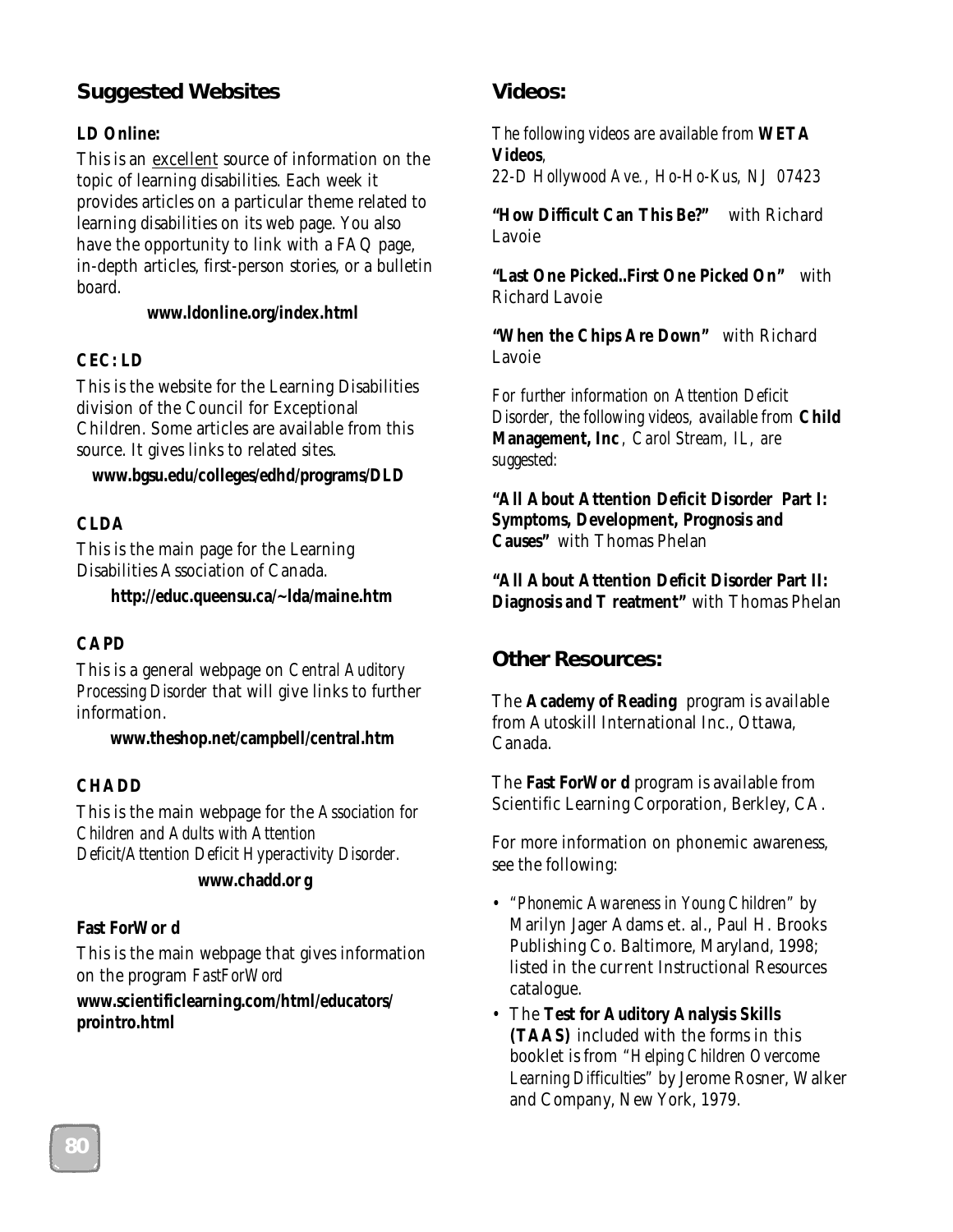# **Suggested Websites**

#### **LD Online:**

This is an excellent source of information on the topic of learning disabilities. Each week it provides articles on a particular theme related to learning disabilities on its web page. You also have the opportunity to link with a FAQ page, in-depth articles, first-person stories, or a bulletin board.

**www.ldonline.org/index.html**

#### **CEC: LD**

This is the website for the Learning Disabilities division of the Council for Exceptional Children. Some articles are available from this source. It gives links to related sites.

**www.bgsu.edu/colleges/edhd/programs/DLD**

#### **CLDA**

This is the main page for the Learning Disabilities Association of Canada.

**http://educ.queensu.ca/~lda/maine.htm**

#### **CAPD**

This is a general webpage on *Central Auditory Processing Disorder* that will give links to further information.

**www.theshop.net/campbell/central.htm**

#### **CHADD**

This is the main webpage for the *Association for Children and Adults with Attention Deficit/Attention Deficit Hyperactivity Disorder.* **www.chadd.or g**

#### **Fast ForWor d**

This is the main webpage that gives information on the program *FastForWord* **www.scientificlearning.com/html/educators/ prointro.html**

### **Videos:**

*The following videos are available from* **WETA Videos***, 22-D Hollywood Ave., Ho-Ho-Kus, NJ 07423*

**"How Difficult Can This Be?"** with Richard Lavoie

**"Last One Picked..First One Picked On"** with Richard Lavoie

**"When the Chips Are Down"** with Richard Lavoie

*For further information on Attention Deficit Disorder, the following videos, available from* **Child Management, Inc** *, Carol Stream, IL, are suggested:*

**"All About Attention Deficit Disorder Part I: Symptoms, Development, Prognosis and Causes"** with Thomas Phelan

**"All About Attention Deficit Disorder Part II: Diagnosis and T reatment"** with Thomas Phelan

## **Other Resources:**

The **Academy of Reading** program is available from Autoskill International Inc., Ottawa, Canada.

The **Fast ForWor d** program is available from Scientific Learning Corporation, Berkley, CA.

For more information on phonemic awareness, see the following:

- *"Phonemic Awareness in Young Children"* by Marilyn Jager Adams et. al., Paul H. Brooks Publishing Co. Baltimore, Maryland, 1998; listed in the current Instructional Resources catalogue.
- The **Test for Auditory Analysis Skills (TAAS)** included with the forms in this booklet is from *"Helping Children Overcome Learning Difficulties"* by Jerome Rosner, Walker and Company, New York, 1979.

**80**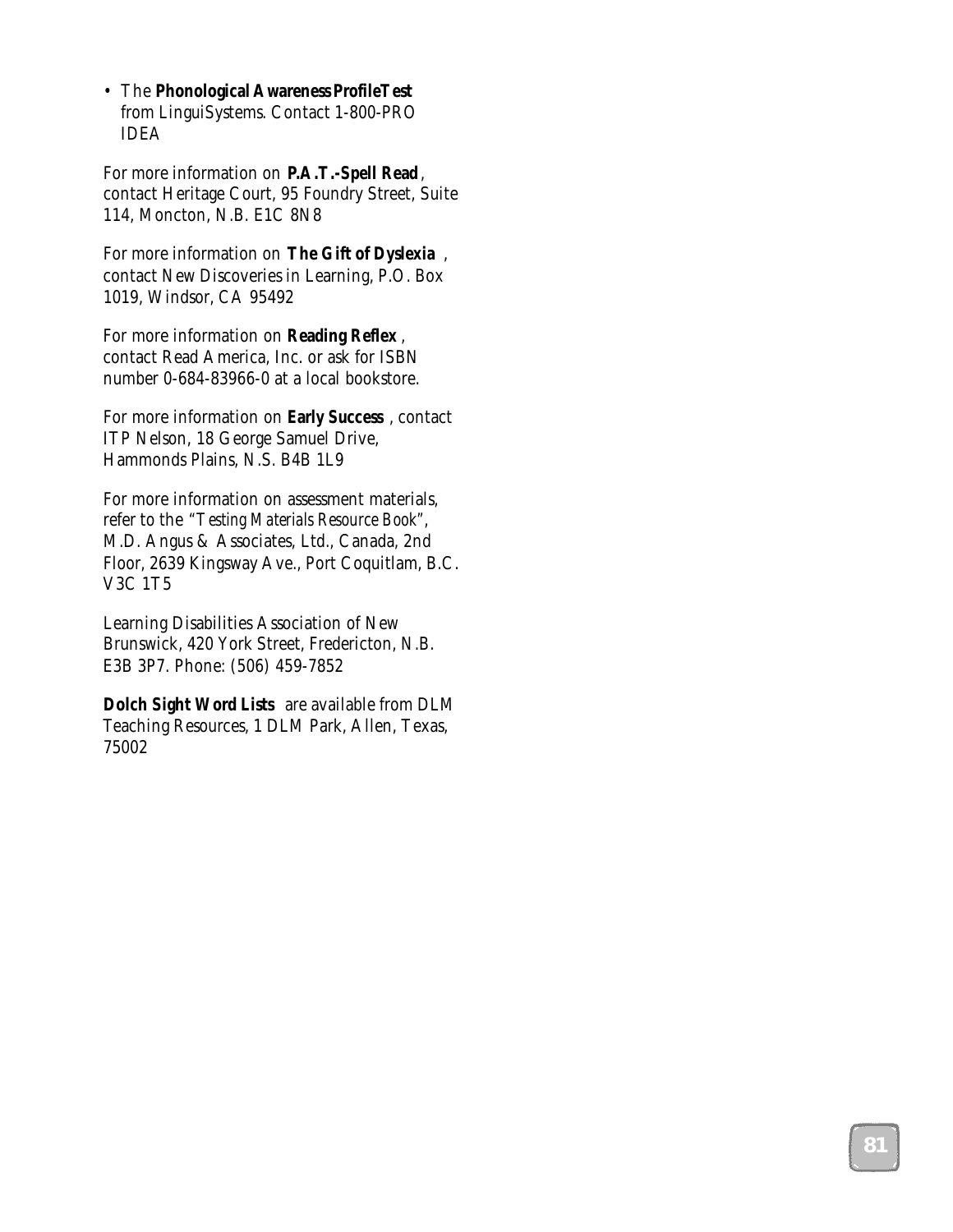• The **Phonological Awareness ProfileTest** from LinguiSystems. Contact 1-800-PRO IDEA

For more information on **P.A.T.-Spell Read** , contact Heritage Court, 95 Foundry Street, Suite 114, Moncton, N.B. E1C 8N8

For more information on **The Gift of Dyslexia** , contact New Discoveries in Learning, P.O. Box 1019, Windsor, CA 95492

For more information on **Reading Reflex** , contact Read America, Inc. or ask for ISBN number 0-684-83966-0 at a local bookstore.

For more information on **Early Success** , contact ITP Nelson, 18 George Samuel Drive, Hammonds Plains, N.S. B4B 1L9

For more information on assessment materials, refer to the *"Testing Materials Resource Book"*, M.D. Angus & Associates, Ltd., Canada, 2nd Floor, 2639 Kingsway Ave., Port Coquitlam, B.C. V3C 1T5

Learning Disabilities Association of New Brunswick, 420 York Street, Fredericton, N.B. E3B 3P7. Phone: (506) 459-7852

**Dolch Sight Word Lists** are available from DLM Teaching Resources, 1 DLM Park, Allen, Texas, 75002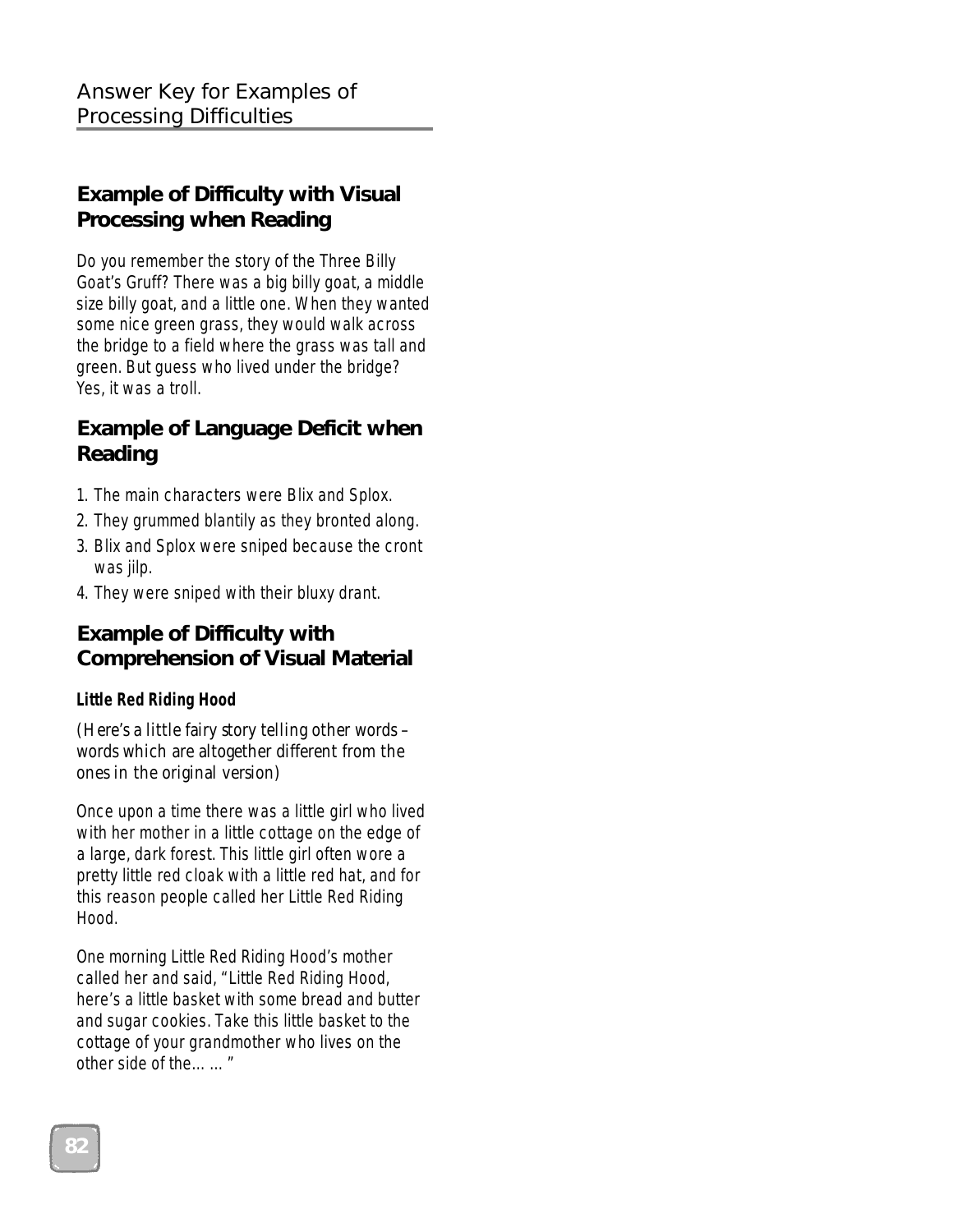# **Example of Difficulty with Visual Processing when Reading**

Do you remember the story of the Three Billy Goat's Gruff? There was a big billy goat, a middle size billy goat, and a little one. When they wanted some nice green grass, they would walk across the bridge to a field where the grass was tall and green. But guess who lived under the bridge? Yes, it was a troll.

## **Example of Language Deficit when Reading**

- 1. The main characters were Blix and Splox.
- 2. They grummed blantily as they bronted along.
- 3. Blix and Splox were sniped because the cront was jilp.
- 4. They were sniped with their bluxy drant.

# **Example of Difficulty with Comprehension of Visual Material**

#### **Little Red Riding Hood**

(Here's a little fairy story telling other words – words which are altogether different from the ones in the original version)

Once upon a time there was a little girl who lived with her mother in a little cottage on the edge of a large, dark forest. This little girl often wore a pretty little red cloak with a little red hat, and for this reason people called her Little Red Riding Hood.

One morning Little Red Riding Hood's mother called her and said, "Little Red Riding Hood, here's a little basket with some bread and butter and sugar cookies. Take this little basket to the cottage of your grandmother who lives on the other side of the……"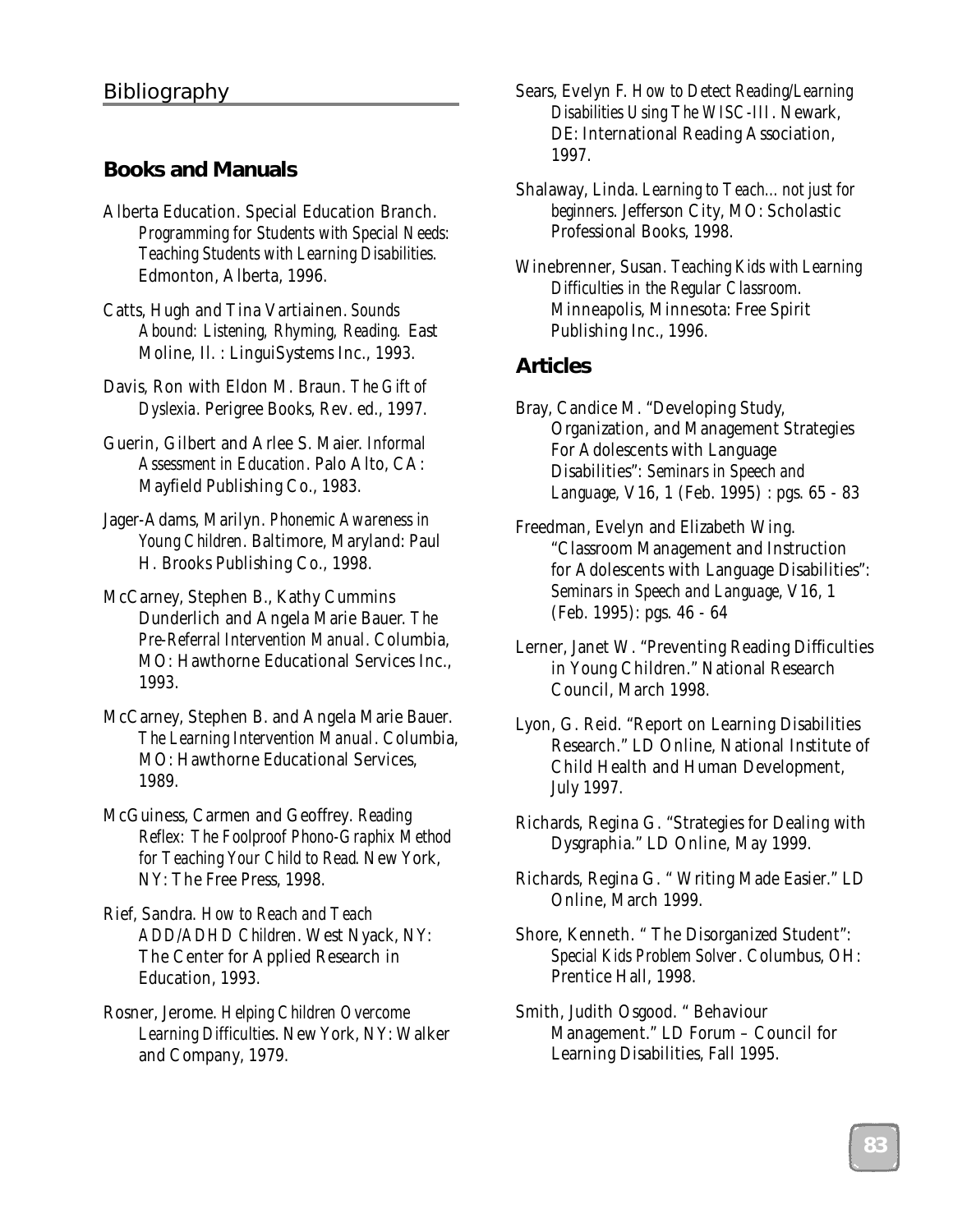## **Books and Manuals**

- Alberta Education. Special Education Branch. *Programming for Students with Special Needs: Teaching Students with Learning Disabilities.* Edmonton, Alberta, 1996.
- Catts, Hugh and Tina Vartiainen. *Sounds Abound: Listening, Rhyming, Reading.* East Moline, Il. : LinguiSystems Inc., 1993.
- Davis, Ron with Eldon M. Braun. *The Gift of Dyslexia*. Perigree Books, Rev. ed., 1997.
- Guerin, Gilbert and Arlee S. Maier. *Informal Assessment in Education*. Palo Alto, CA: Mayfield Publishing Co., 1983.
- Jager-Adams, Marilyn. *Phonemic Awareness in Young Children*. Baltimore, Maryland: Paul H. Brooks Publishing Co., 1998.
- McCarney, Stephen B., Kathy Cummins Dunderlich and Angela Marie Bauer. *The Pre-Referral Intervention Manual*. Columbia, MO: Hawthorne Educational Services Inc., 1993.
- McCarney, Stephen B. and Angela Marie Bauer. *The Learning Intervention Manual*. Columbia, MO: Hawthorne Educational Services, 1989.
- McGuiness, Carmen and Geoffrey. *Reading Reflex: The Foolproof Phono-Graphix Method for Teaching Your Child to Read*. New York, NY: The Free Press, 1998.
- Rief, Sandra. *How to Reach and Teach ADD/ADHD Children*. West Nyack, NY: The Center for Applied Research in Education, 1993.
- Rosner, Jerome. *Helping Children Overcome Learning Difficulties*. New York, NY: Walker and Company, 1979.
- Sears, Evelyn F. *How to Detect Reading/Learning Disabilities Using The WISC-III*. Newark, DE: International Reading Association, 1997.
- Shalaway, Linda. *Learning to Teach…not just for beginners*. Jefferson City, MO: Scholastic Professional Books, 1998.
- Winebrenner, Susan. *Teaching Kids with Learning Difficulties in the Regular Classroom*. Minneapolis, Minnesota: Free Spirit Publishing Inc., 1996.

### **Articles**

- Bray, Candice M. "Developing Study, Organization, and Management Strategies For Adolescents with Language Disabilities": *Seminars in Speech and Language*, V16, 1 (Feb. 1995) : pgs. 65 - 83
- Freedman, Evelyn and Elizabeth Wing. "Classroom Management and Instruction for Adolescents with Language Disabilities": *Seminars in Speech and Language*, V16, 1 (Feb. 1995): pgs. 46 - 64
- Lerner, Janet W. "Preventing Reading Difficulties in Young Children." National Research Council, March 1998.
- Lyon, G. Reid. "Report on Learning Disabilities Research." LD Online, National Institute of Child Health and Human Development, July 1997.
- Richards, Regina G. "Strategies for Dealing with Dysgraphia." LD Online, May 1999.
- Richards, Regina G. " Writing Made Easier." LD Online, March 1999.
- Shore, Kenneth. " The Disorganized Student": *Special Kids Problem Solver*. Columbus, OH: Prentice Hall, 1998.
- Smith, Judith Osgood. " Behaviour Management." LD Forum – Council for Learning Disabilities, Fall 1995.